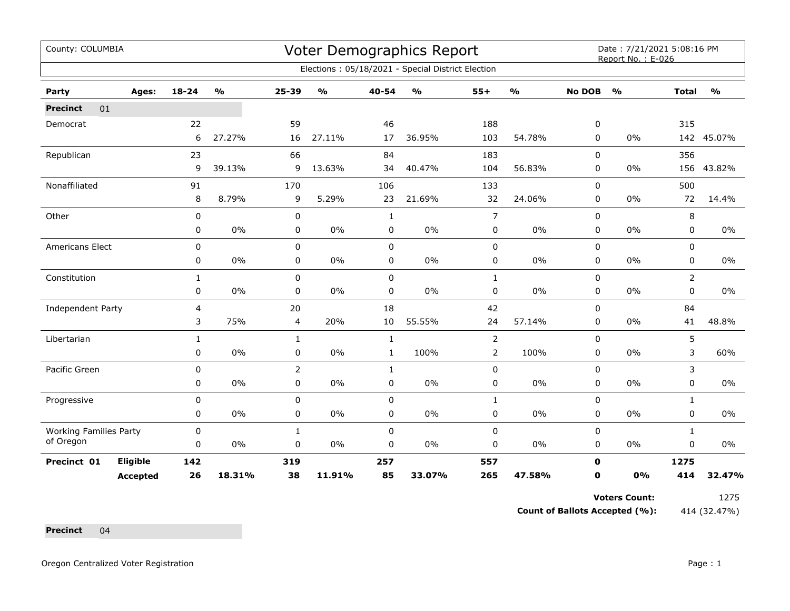| County: COLUMBIA              |                 |              |               |                |                                   |              | Voter Demographics Report                         |                |               |               | Date: 7/21/2021 5:08:16 PM<br>Report No.: E-026 |                |               |
|-------------------------------|-----------------|--------------|---------------|----------------|-----------------------------------|--------------|---------------------------------------------------|----------------|---------------|---------------|-------------------------------------------------|----------------|---------------|
|                               |                 |              |               |                |                                   |              | Elections: 05/18/2021 - Special District Election |                |               |               |                                                 |                |               |
| Party                         | Ages:           | 18-24        | $\frac{1}{2}$ | 25-39          | $\mathsf{o}\mathsf{v}_\mathsf{o}$ | 40-54        | $\mathsf{o}\mathsf{v}_\mathsf{o}$                 | $55+$          | $\frac{1}{2}$ | <b>No DOB</b> | $\frac{0}{0}$                                   | <b>Total</b>   | $\frac{1}{2}$ |
| 01<br><b>Precinct</b>         |                 |              |               |                |                                   |              |                                                   |                |               |               |                                                 |                |               |
| Democrat                      |                 | 22           |               | 59             |                                   | 46           |                                                   | 188            |               | 0             |                                                 | 315            |               |
|                               |                 | 6            | 27.27%        | 16             | 27.11%                            | 17           | 36.95%                                            | 103            | 54.78%        | 0             | 0%                                              |                | 142 45.07%    |
| Republican                    |                 | 23           |               | 66             |                                   | 84           |                                                   | 183            |               | 0             |                                                 | 356            |               |
|                               |                 | 9            | 39.13%        | 9              | 13.63%                            | 34           | 40.47%                                            | 104            | 56.83%        | $\mathbf 0$   | 0%                                              | 156            | 43.82%        |
| Nonaffiliated                 |                 | 91           |               | 170            |                                   | 106          |                                                   | 133            |               | 0             |                                                 | 500            |               |
|                               |                 | 8            | 8.79%         | 9              | 5.29%                             | 23           | 21.69%                                            | 32             | 24.06%        | 0             | 0%                                              | 72             | 14.4%         |
| Other                         |                 | 0            |               | $\pmb{0}$      |                                   | $\mathbf{1}$ |                                                   | $\overline{7}$ |               | $\mathbf 0$   |                                                 | 8              |               |
|                               |                 | 0            | 0%            | 0              | $0\%$                             | 0            | $0\%$                                             | 0              | $0\%$         | 0             | 0%                                              | 0              | 0%            |
| Americans Elect               |                 | $\mathbf 0$  |               | $\pmb{0}$      |                                   | $\mathbf 0$  |                                                   | 0              |               | 0             |                                                 | 0              |               |
|                               |                 | 0            | 0%            | $\mathbf 0$    | 0%                                | $\mathbf 0$  | 0%                                                | 0              | $0\%$         | 0             | 0%                                              | 0              | $0\%$         |
| Constitution                  |                 | $\mathbf{1}$ |               | 0              |                                   | $\mathbf 0$  |                                                   | $\mathbf{1}$   |               | 0             |                                                 | $\overline{2}$ |               |
|                               |                 | 0            | 0%            | 0              | $0\%$                             | $\mathbf 0$  | $0\%$                                             | 0              | 0%            | 0             | 0%                                              | 0              | $0\%$         |
| Independent Party             |                 | 4            |               | 20             |                                   | 18           |                                                   | 42             |               | 0             |                                                 | 84             |               |
|                               |                 | 3            | 75%           | 4              | 20%                               | 10           | 55.55%                                            | 24             | 57.14%        | 0             | 0%                                              | 41             | 48.8%         |
| Libertarian                   |                 | $\mathbf{1}$ |               | $\mathbf{1}$   |                                   | $\mathbf{1}$ |                                                   | $\overline{2}$ |               | 0             |                                                 | 5              |               |
|                               |                 | 0            | 0%            | 0              | $0\%$                             | $\mathbf{1}$ | 100%                                              | $\overline{2}$ | 100%          | 0             | 0%                                              | 3              | 60%           |
| Pacific Green                 |                 | 0            |               | $\overline{2}$ |                                   | $\mathbf{1}$ |                                                   | 0              |               | 0             |                                                 | 3              |               |
|                               |                 | 0            | 0%            | $\mathbf 0$    | $0\%$                             | $\pmb{0}$    | $0\%$                                             | $\pmb{0}$      | $0\%$         | 0             | 0%                                              | 0              | $0\%$         |
| Progressive                   |                 | 0            |               | $\mathbf 0$    |                                   | $\mathbf 0$  |                                                   | $\mathbf{1}$   |               | $\mathbf 0$   |                                                 | $\mathbf{1}$   |               |
|                               |                 | 0            | $0\%$         | 0              | $0\%$                             | $\mathbf 0$  | $0\%$                                             | 0              | 0%            | 0             | 0%                                              | 0              | $0\%$         |
| <b>Working Families Party</b> |                 | 0            |               | $\mathbf{1}$   |                                   | $\mathbf 0$  |                                                   | 0              |               | $\mathbf 0$   |                                                 | $\mathbf{1}$   |               |
| of Oregon                     |                 | 0            | 0%            | 0              | 0%                                | 0            | 0%                                                | 0              | $0\%$         | 0             | 0%                                              | 0              | 0%            |
| Precinct 01                   | <b>Eligible</b> | 142          |               | 319            |                                   | 257          |                                                   | 557            |               | $\mathbf 0$   |                                                 | 1275           |               |
|                               | <b>Accepted</b> | 26           | 18.31%        | 38             | 11.91%                            | 85           | 33.07%                                            | 265            | 47.58%        | 0             | 0%                                              | 414            | 32.47%        |

**Voters Count:** 1275

**Count of Ballots Accepted (%):** 414 (32.47%)

**Precinct** 04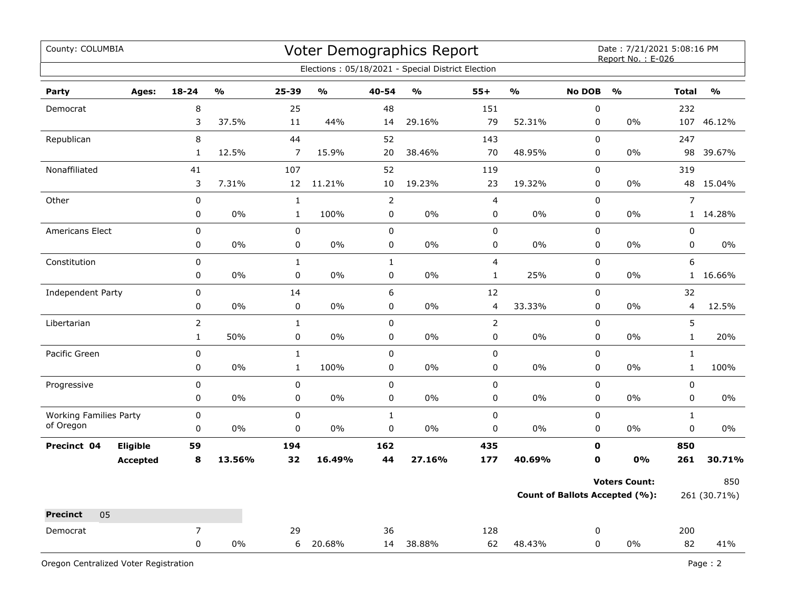| County: COLUMBIA              |                 |                |                                   |                |                                   |                | Voter Demographics Report<br>Elections: 05/18/2021 - Special District Election |                         |                                   |               | Date: 7/21/2021 5:08:16 PM<br>Report No.: E-026 |                |               |
|-------------------------------|-----------------|----------------|-----------------------------------|----------------|-----------------------------------|----------------|--------------------------------------------------------------------------------|-------------------------|-----------------------------------|---------------|-------------------------------------------------|----------------|---------------|
|                               |                 |                |                                   |                |                                   |                |                                                                                |                         |                                   |               |                                                 |                |               |
| Party                         | Ages:           | $18 - 24$      | $\mathsf{o}\mathsf{v}_\mathsf{o}$ | 25-39          | $\mathsf{o}\mathsf{v}_\mathsf{o}$ | 40-54          | %                                                                              | $55+$                   | $\mathsf{o}\mathsf{v}_\mathsf{o}$ | <b>No DOB</b> | $\frac{1}{2}$                                   | <b>Total</b>   | $\frac{0}{0}$ |
| Democrat                      |                 | 8              |                                   | 25             |                                   | 48             |                                                                                | 151                     |                                   | $\pmb{0}$     |                                                 | 232            |               |
|                               |                 | 3              | 37.5%                             | 11             | 44%                               | 14             | 29.16%                                                                         | 79                      | 52.31%                            | 0             | 0%                                              | 107            | 46.12%        |
| Republican                    |                 | 8              |                                   | 44             |                                   | 52             |                                                                                | 143                     |                                   | $\pmb{0}$     |                                                 | 247            |               |
|                               |                 | $\mathbf{1}$   | 12.5%                             | $\overline{7}$ | 15.9%                             | 20             | 38.46%                                                                         | 70                      | 48.95%                            | $\pmb{0}$     | $0\%$                                           | 98             | 39.67%        |
| Nonaffiliated                 |                 | 41             |                                   | 107            |                                   | 52             |                                                                                | 119                     |                                   | $\mathbf 0$   |                                                 | 319            |               |
|                               |                 | 3              | 7.31%                             | 12             | 11.21%                            | 10             | 19.23%                                                                         | 23                      | 19.32%                            | 0             | $0\%$                                           |                | 48 15.04%     |
| Other                         |                 | $\pmb{0}$      |                                   | $\mathbf{1}$   |                                   | $\overline{2}$ |                                                                                | $\overline{4}$          |                                   | $\pmb{0}$     |                                                 | $\overline{7}$ |               |
|                               |                 | 0              | $0\%$                             | $\mathbf{1}$   | 100%                              | $\pmb{0}$      | 0%                                                                             | 0                       | $0\%$                             | 0             | 0%                                              |                | 1 14.28%      |
| Americans Elect               |                 | 0              |                                   | $\mathbf 0$    |                                   | $\pmb{0}$      |                                                                                | $\mathbf 0$             |                                   | $\pmb{0}$     |                                                 | $\pmb{0}$      |               |
|                               |                 | 0              | 0%                                | 0              | 0%                                | $\pmb{0}$      | 0%                                                                             | $\pmb{0}$               | 0%                                | $\pmb{0}$     | 0%                                              | $\pmb{0}$      | 0%            |
| Constitution                  |                 | 0              |                                   | $\mathbf 1$    |                                   | $\mathbf{1}$   |                                                                                | $\overline{4}$          |                                   | $\pmb{0}$     |                                                 | 6              |               |
|                               |                 | 0              | 0%                                | $\pmb{0}$      | 0%                                | $\pmb{0}$      | 0%                                                                             | $\mathbf{1}$            | 25%                               | 0             | 0%                                              | $\mathbf{1}$   | 16.66%        |
| Independent Party             |                 | 0              |                                   | 14             |                                   | 6              |                                                                                | 12                      |                                   | $\mathbf 0$   |                                                 | 32             |               |
|                               |                 | 0              | $0\%$                             | 0              | $0\%$                             | 0              | 0%                                                                             | $\overline{\mathbf{4}}$ | 33.33%                            | $\pmb{0}$     | 0%                                              | 4              | 12.5%         |
| Libertarian                   |                 | $\overline{2}$ |                                   | $1\,$          |                                   | $\mathsf 0$    |                                                                                | $\overline{2}$          |                                   | $\pmb{0}$     |                                                 | 5              |               |
|                               |                 | $\mathbf{1}$   | 50%                               | 0              | 0%                                | 0              | 0%                                                                             | 0                       | $0\%$                             | 0             | 0%                                              | $\mathbf{1}$   | 20%           |
| Pacific Green                 |                 | $\pmb{0}$      |                                   | $\mathbf 1$    |                                   | $\pmb{0}$      |                                                                                | 0                       |                                   | $\pmb{0}$     |                                                 | $\mathbf{1}$   |               |
|                               |                 | 0              | 0%                                | $\mathbf{1}$   | 100%                              | $\pmb{0}$      | 0%                                                                             | 0                       | 0%                                | 0             | 0%                                              | $\mathbf{1}$   | 100%          |
| Progressive                   |                 | $\pmb{0}$      |                                   | $\mathbf 0$    |                                   | $\pmb{0}$      |                                                                                | $\mathbf 0$             |                                   | $\pmb{0}$     |                                                 | $\pmb{0}$      |               |
|                               |                 | 0              | 0%                                | 0              | 0%                                | $\pmb{0}$      | 0%                                                                             | 0                       | 0%                                | 0             | 0%                                              | $\pmb{0}$      | $0\%$         |
| <b>Working Families Party</b> |                 | 0              |                                   | $\mathbf 0$    |                                   | $\mathbf{1}$   |                                                                                | $\mathbf 0$             |                                   | $\pmb{0}$     |                                                 | $\mathbf{1}$   |               |
| of Oregon                     |                 | 0              | 0%                                | $\mathbf 0$    | 0%                                | $\pmb{0}$      | $0\%$                                                                          | $\mathbf 0$             | $0\%$                             | 0             | 0%                                              | $\pmb{0}$      | 0%            |
| Precinct 04                   | Eligible        | 59             |                                   | 194            |                                   | 162            |                                                                                | 435                     |                                   | $\mathbf 0$   |                                                 | 850            |               |
|                               | <b>Accepted</b> | 8              | 13.56%                            | 32             | 16.49%                            | 44             | 27.16%                                                                         | 177                     | 40.69%                            | $\mathbf o$   | 0%                                              | 261            | 30.71%        |
|                               |                 |                |                                   |                |                                   |                |                                                                                |                         |                                   |               | <b>Voters Count:</b>                            |                | 850           |
|                               |                 |                |                                   |                |                                   |                |                                                                                |                         |                                   |               | Count of Ballots Accepted (%):                  |                | 261 (30.71%)  |
| 05<br><b>Precinct</b>         |                 |                |                                   |                |                                   |                |                                                                                |                         |                                   |               |                                                 |                |               |
| Democrat                      |                 | 7              |                                   | 29             |                                   | 36             |                                                                                | 128                     |                                   | 0             |                                                 | 200            |               |
|                               |                 | 0              | 0%                                | 6              | 20.68%                            | 14             | 38.88%                                                                         | 62                      | 48.43%                            | 0             | 0%                                              | 82             | 41%           |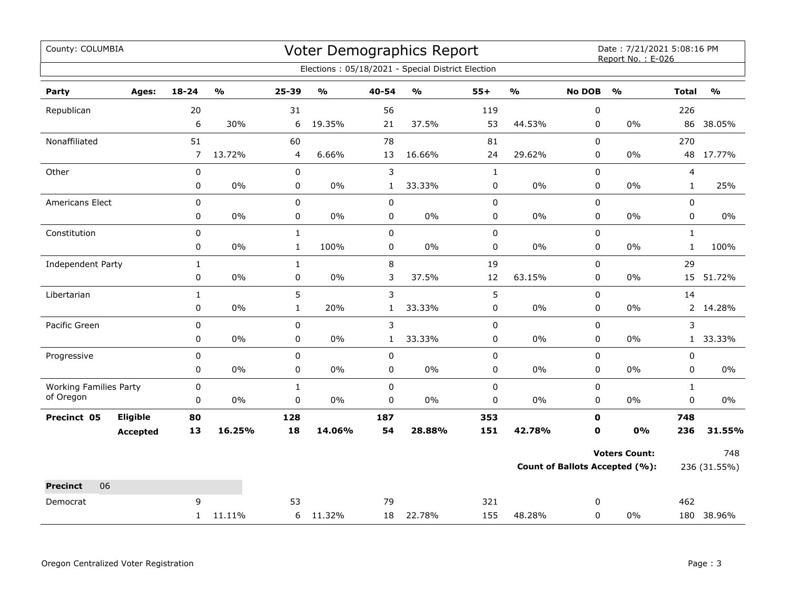| County: COLUMBIA                           |                 |                |          |              |               |              | Voter Demographics Report                         |             |               |               | Date: 7/21/2021 5:08:16 PM<br>Report No.: E-026 |              |               |
|--------------------------------------------|-----------------|----------------|----------|--------------|---------------|--------------|---------------------------------------------------|-------------|---------------|---------------|-------------------------------------------------|--------------|---------------|
|                                            |                 |                |          |              |               |              | Elections: 05/18/2021 - Special District Election |             |               |               |                                                 |              |               |
| Party                                      | Ages:           | $18 - 24$      | %        | 25-39        | $\frac{0}{0}$ | 40-54        | $\frac{1}{2}$                                     | $55+$       | $\frac{9}{0}$ | <b>No DOB</b> | $\frac{1}{2}$                                   | <b>Total</b> | $\frac{1}{2}$ |
| Republican                                 |                 | 20             |          | 31           |               | 56           |                                                   | 119         |               | 0             |                                                 | 226          |               |
|                                            |                 | 6              | 30%      | 6            | 19.35%        | 21           | 37.5%                                             | 53          | 44.53%        | $\mathbf 0$   | 0%                                              |              | 86 38.05%     |
| Nonaffiliated                              |                 | 51             |          | 60           |               | 78           |                                                   | 81          |               | $\mathbf 0$   |                                                 | 270          |               |
|                                            |                 | $\overline{7}$ | 13.72%   | 4            | 6.66%         | 13           | 16.66%                                            | 24          | 29.62%        | 0             | 0%                                              | 48           | 17.77%        |
| Other                                      |                 | $\pmb{0}$      |          | $\pmb{0}$    |               | 3            |                                                   | $1\,$       |               | $\pmb{0}$     |                                                 | 4            |               |
|                                            |                 | 0              | 0%       | 0            | $0\%$         | $\mathbf{1}$ | 33.33%                                            | 0           | $0\%$         | $\pmb{0}$     | 0%                                              | $\mathbf{1}$ | 25%           |
| Americans Elect                            |                 | $\mathbf 0$    |          | $\mathbf 0$  |               | $\mathbf 0$  |                                                   | $\mathbf 0$ |               | $\mathbf 0$   |                                                 | $\mathbf 0$  |               |
|                                            |                 | 0              | 0%       | 0            | $0\%$         | $\mathbf 0$  | $0\%$                                             | 0           | $0\%$         | $\mathbf 0$   | 0%                                              | $\mathbf 0$  | $0\%$         |
| Constitution                               |                 | 0              |          | $\mathbf 1$  |               | $\pmb{0}$    |                                                   | $\pmb{0}$   |               | $\pmb{0}$     |                                                 | $\mathbf{1}$ |               |
|                                            |                 | 0              | $0\%$    | $\mathbf{1}$ | 100%          | $\pmb{0}$    | $0\%$                                             | 0           | $0\%$         | 0             | $0\%$                                           | $\mathbf{1}$ | 100%          |
| Independent Party                          |                 | $\mathbf 1$    |          | $\mathbf 1$  |               | 8            |                                                   | 19          |               | $\pmb{0}$     |                                                 | 29           |               |
|                                            |                 | 0              | $0\%$    | 0            | $0\%$         | 3            | 37.5%                                             | 12          | 63.15%        | 0             | $0\%$                                           |              | 15 51.72%     |
| Libertarian                                |                 | $\mathbf{1}$   |          | 5            |               | 3            |                                                   | 5           |               | $\mathbf 0$   |                                                 | 14           |               |
|                                            |                 | 0              | 0%       | $\mathbf{1}$ | 20%           | $\mathbf{1}$ | 33.33%                                            | 0           | $0\%$         | $\mathbf 0$   | $0\%$                                           |              | 2 14.28%      |
| Pacific Green                              |                 | 0              |          | $\pmb{0}$    |               | $\mathbf{3}$ |                                                   | $\pmb{0}$   |               | $\mathsf 0$   |                                                 | 3            |               |
|                                            |                 | 0              | 0%       | $\pmb{0}$    | 0%            | $\mathbf{1}$ | 33.33%                                            | 0           | $0\%$         | 0             | $0\%$                                           | $\mathbf{1}$ | 33.33%        |
| Progressive                                |                 | 0              |          | $\pmb{0}$    |               | $\pmb{0}$    |                                                   | $\pmb{0}$   |               | $\pmb{0}$     |                                                 | $\mathsf 0$  |               |
|                                            |                 | 0              | $0\%$    | $\pmb{0}$    | $0\%$         | 0            | $0\%$                                             | 0           | $0\%$         | 0             | $0\%$                                           | 0            | 0%            |
| <b>Working Families Party</b><br>of Oregon |                 | 0              |          | $\mathbf{1}$ |               | $\mathbf 0$  |                                                   | $\mathbf 0$ |               | $\mathbf 0$   |                                                 | $\mathbf{1}$ |               |
|                                            |                 | 0              | 0%       | $\mathbf 0$  | $0\%$         | $\mathbf 0$  | $0\%$                                             | 0           | 0%            | $\mathbf 0$   | $0\%$                                           | $\mathbf 0$  | 0%            |
| Precinct 05                                | Eligible        | 80             |          | 128          |               | 187          |                                                   | 353         |               | $\mathbf 0$   |                                                 | 748          |               |
|                                            | <b>Accepted</b> | 13             | 16.25%   | 18           | 14.06%        | 54           | 28.88%                                            | 151         | 42.78%        | $\mathbf 0$   | 0%                                              | 236          | 31.55%        |
|                                            |                 |                |          |              |               |              |                                                   |             |               |               | <b>Voters Count:</b>                            |              | 748           |
|                                            |                 |                |          |              |               |              |                                                   |             |               |               | <b>Count of Ballots Accepted (%):</b>           |              | 236 (31.55%)  |
| <b>Precinct</b><br>06                      |                 |                |          |              |               |              |                                                   |             |               |               |                                                 |              |               |
| Democrat                                   |                 | 9              |          | 53           |               | 79           |                                                   | 321         |               | 0             |                                                 | 462          |               |
|                                            |                 |                | 1 11.11% | 6            | 11.32%        | 18           | 22.78%                                            | 155         | 48.28%        | 0             | 0%                                              |              | 180 38.96%    |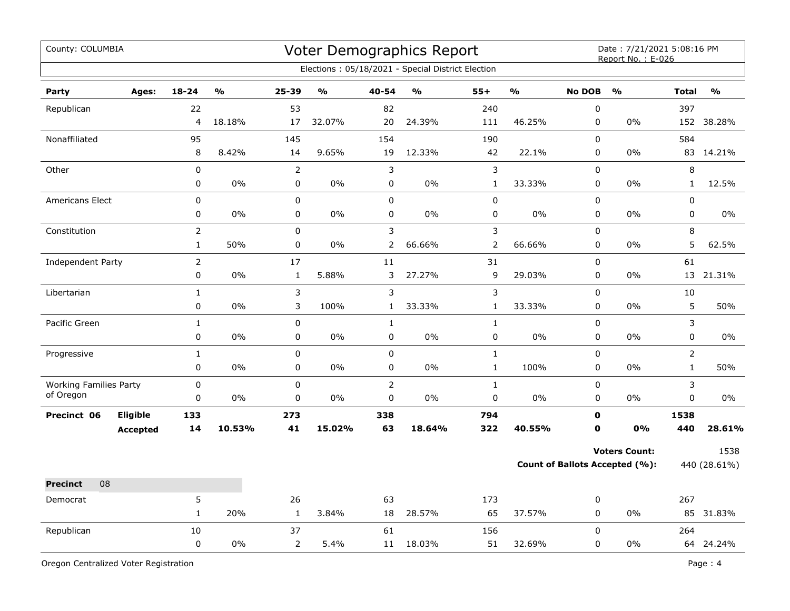| County: COLUMBIA              |                 |                |                         |                |                         |                | Voter Demographics Report<br>Elections: 05/18/2021 - Special District Election |                |                         |               | Date: 7/21/2021 5:08:16 PM<br>Report No.: E-026 |                |               |
|-------------------------------|-----------------|----------------|-------------------------|----------------|-------------------------|----------------|--------------------------------------------------------------------------------|----------------|-------------------------|---------------|-------------------------------------------------|----------------|---------------|
|                               |                 |                |                         |                |                         |                |                                                                                |                |                         |               |                                                 |                |               |
| Party                         | Ages:           | $18 - 24$      | $\mathbf{0}/\mathbf{0}$ | 25-39          | $\mathbf{O}/\mathbf{o}$ | 40-54          | $\frac{0}{0}$                                                                  | $55+$          | $\mathbf{0}/\mathbf{0}$ | <b>No DOB</b> | $\frac{1}{2}$                                   | <b>Total</b>   | $\frac{1}{2}$ |
| Republican                    |                 | 22             |                         | 53             |                         | 82             |                                                                                | 240            |                         | $\mathsf 0$   |                                                 | 397            |               |
|                               |                 | $\overline{4}$ | 18.18%                  | 17             | 32.07%                  | 20             | 24.39%                                                                         | 111            | 46.25%                  | 0             | 0%                                              | 152            | 38.28%        |
| Nonaffiliated                 |                 | 95             |                         | 145            |                         | 154            |                                                                                | 190            |                         | 0             |                                                 | 584            |               |
|                               |                 | 8              | 8.42%                   | 14             | 9.65%                   | 19             | 12.33%                                                                         | 42             | 22.1%                   | 0             | 0%                                              | 83             | 14.21%        |
| Other                         |                 | $\mathbf 0$    |                         | $\overline{2}$ |                         | $\mathsf 3$    |                                                                                | $\mathsf 3$    |                         | 0             |                                                 | 8              |               |
|                               |                 | $\pmb{0}$      | 0%                      | 0              | $0\%$                   | $\pmb{0}$      | $0\%$                                                                          | $\mathbf{1}$   | 33.33%                  | 0             | 0%                                              | $\mathbf{1}$   | 12.5%         |
| Americans Elect               |                 | $\pmb{0}$      |                         | 0              |                         | $\pmb{0}$      |                                                                                | $\pmb{0}$      |                         | 0             |                                                 | 0              |               |
|                               |                 | $\mathbf 0$    | 0%                      | $\mathbf 0$    | $0\%$                   | $\mathbf 0$    | 0%                                                                             | $\mathsf 0$    | 0%                      | 0             | 0%                                              | 0              | $0\%$         |
| Constitution                  |                 | $\overline{2}$ |                         | $\mathbf 0$    |                         | $\mathsf 3$    |                                                                                | $\mathsf 3$    |                         | 0             |                                                 | 8              |               |
|                               |                 | $\mathbf 1$    | 50%                     | 0              | $0\%$                   | 2              | 66.66%                                                                         | $\overline{2}$ | 66.66%                  | 0             | 0%                                              | 5              | 62.5%         |
| Independent Party             |                 | $\overline{2}$ |                         | 17             |                         | 11             |                                                                                | 31             |                         | 0             |                                                 | 61             |               |
|                               |                 | $\pmb{0}$      | 0%                      | $\mathbf{1}$   | 5.88%                   | 3              | 27.27%                                                                         | $\mathsf g$    | 29.03%                  | 0             | 0%                                              | 13             | 21.31%        |
| Libertarian                   |                 | $\mathbf{1}$   |                         | 3              |                         | $\mathsf{3}$   |                                                                                | $\overline{3}$ |                         | 0             |                                                 | 10             |               |
|                               |                 | $\pmb{0}$      | 0%                      | 3              | 100%                    | $\mathbf{1}$   | 33.33%                                                                         | $\mathbf{1}$   | 33.33%                  | $\mathsf 0$   | 0%                                              | 5              | 50%           |
| Pacific Green                 |                 | $\mathbf{1}$   |                         | 0              |                         | $\mathbf{1}$   |                                                                                | $\mathbf{1}$   |                         | $\mathsf 0$   |                                                 | 3              |               |
|                               |                 | $\pmb{0}$      | 0%                      | 0              | 0%                      | $\pmb{0}$      | $0\%$                                                                          | $\mathsf 0$    | 0%                      | 0             | 0%                                              | 0              | 0%            |
| Progressive                   |                 | $\mathbf 1$    |                         | 0              |                         | $\pmb{0}$      |                                                                                | $\mathbf{1}$   |                         | 0             |                                                 | $\overline{2}$ |               |
|                               |                 | $\pmb{0}$      | 0%                      | 0              | 0%                      | $\pmb{0}$      | 0%                                                                             | $\mathbf 1$    | 100%                    | 0             | 0%                                              | $\mathbf{1}$   | 50%           |
| <b>Working Families Party</b> |                 | $\pmb{0}$      |                         | 0              |                         | $\overline{2}$ |                                                                                | $\mathbf{1}$   |                         | 0             |                                                 | 3              |               |
| of Oregon                     |                 | 0              | 0%                      | 0              | 0%                      | $\pmb{0}$      | 0%                                                                             | $\pmb{0}$      | 0%                      | 0             | 0%                                              | 0              | 0%            |
| Precinct 06                   | Eligible        | 133            |                         | 273            |                         | 338            |                                                                                | 794            |                         | $\mathbf o$   |                                                 | 1538           |               |
|                               | <b>Accepted</b> | 14             | 10.53%                  | 41             | 15.02%                  | 63             | 18.64%                                                                         | 322            | 40.55%                  | $\mathbf o$   | 0%                                              | 440            | 28.61%        |
|                               |                 |                |                         |                |                         |                |                                                                                |                |                         |               | <b>Voters Count:</b>                            |                | 1538          |
|                               |                 |                |                         |                |                         |                |                                                                                |                |                         |               | <b>Count of Ballots Accepted (%):</b>           |                | 440 (28.61%)  |
| 08<br><b>Precinct</b>         |                 |                |                         |                |                         |                |                                                                                |                |                         |               |                                                 |                |               |
| Democrat                      |                 | 5              |                         | 26             |                         | 63             |                                                                                | 173            |                         | 0             |                                                 | 267            |               |
|                               |                 | $\mathbf{1}$   | 20%                     | $\mathbf 1$    | 3.84%                   | 18             | 28.57%                                                                         | 65             | 37.57%                  | $\mathsf 0$   | $0\%$                                           |                | 85 31.83%     |
| Republican                    |                 | 10             |                         | 37             |                         | 61             |                                                                                | 156            |                         | 0             |                                                 | 264            |               |
|                               |                 | $\pmb{0}$      | $0\%$                   | $\overline{2}$ | 5.4%                    | 11             | 18.03%                                                                         | 51             | 32.69%                  | 0             | 0%                                              |                | 64 24.24%     |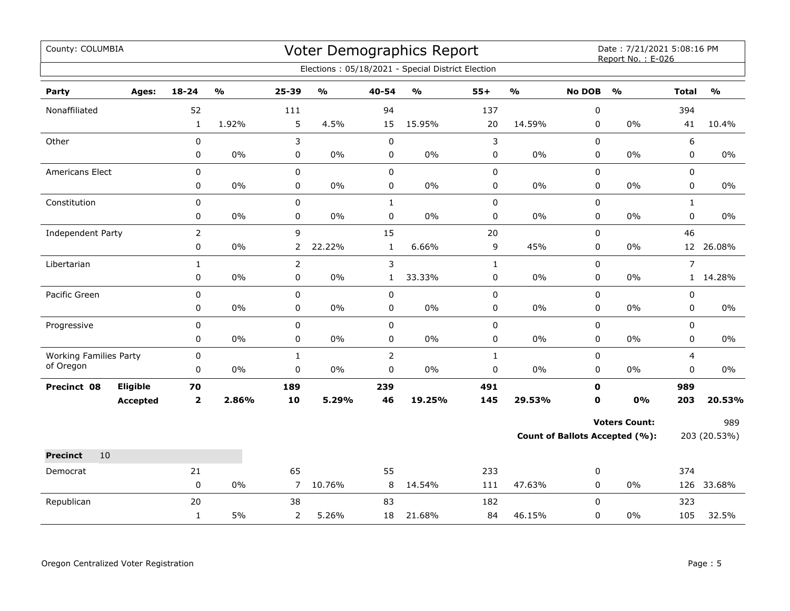| County: COLUMBIA                           |                 |                |                         |                |                                   |                | Voter Demographics Report                         |              |               |               | Date: 7/21/2021 5:08:16 PM<br>Report No.: E-026 |                |               |
|--------------------------------------------|-----------------|----------------|-------------------------|----------------|-----------------------------------|----------------|---------------------------------------------------|--------------|---------------|---------------|-------------------------------------------------|----------------|---------------|
|                                            |                 |                |                         |                |                                   |                | Elections: 05/18/2021 - Special District Election |              |               |               |                                                 |                |               |
| Party                                      | Ages:           | 18-24          | $\mathbf{O}/\mathbf{o}$ | 25-39          | $\mathsf{o}\mathsf{v}_\mathsf{o}$ | 40-54          | $\mathsf{o}\mathsf{v}_\mathsf{o}$                 | $55+$        | $\frac{0}{0}$ | <b>No DOB</b> | $\frac{0}{0}$                                   | <b>Total</b>   | $\frac{9}{6}$ |
| Nonaffiliated                              |                 | 52             |                         | 111            |                                   | 94             |                                                   | 137          |               | 0             |                                                 | 394            |               |
|                                            |                 | $\mathbf{1}$   | 1.92%                   | 5              | 4.5%                              | 15             | 15.95%                                            | 20           | 14.59%        | 0             | $0\%$                                           | 41             | 10.4%         |
| Other                                      |                 | 0              |                         | 3              |                                   | $\pmb{0}$      |                                                   | 3            |               | 0             |                                                 | 6              |               |
|                                            |                 | 0              | $0\%$                   | $\pmb{0}$      | 0%                                | 0              | $0\%$                                             | 0            | 0%            | 0             | 0%                                              | 0              | 0%            |
| Americans Elect                            |                 | 0              |                         | $\mathbf 0$    |                                   | $\mathbf 0$    |                                                   | $\pmb{0}$    |               | 0             |                                                 | $\mathbf 0$    |               |
|                                            |                 | 0              | 0%                      | 0              | 0%                                | $\mathbf 0$    | 0%                                                | 0            | 0%            | 0             | $0\%$                                           | 0              | $0\%$         |
| Constitution                               |                 | 0              |                         | 0              |                                   | $\mathbf{1}$   |                                                   | $\pmb{0}$    |               | 0             |                                                 | $\mathbf{1}$   |               |
|                                            |                 | 0              | $0\%$                   | 0              | 0%                                | $\pmb{0}$      | $0\%$                                             | $\pmb{0}$    | 0%            | 0             | $0\%$                                           | $\mathbf 0$    | 0%            |
| Independent Party                          |                 | $\overline{2}$ |                         | 9              |                                   | 15             |                                                   | 20           |               | 0             |                                                 | 46             |               |
|                                            |                 | 0              | $0\%$                   | 2              | 22.22%                            | $\mathbf{1}$   | 6.66%                                             | 9            | 45%           | 0             | $0\%$                                           | 12             | 26.08%        |
| Libertarian                                |                 | $\mathbf{1}$   |                         | $\overline{2}$ |                                   | $\mathsf{3}$   |                                                   | $\mathbf{1}$ |               | 0             |                                                 | $\overline{7}$ |               |
|                                            |                 | 0              | $0\%$                   | $\pmb{0}$      | 0%                                | $\mathbf{1}$   | 33.33%                                            | 0            | 0%            | 0             | $0\%$                                           |                | 1 14.28%      |
| Pacific Green                              |                 | 0              |                         | $\mathsf 0$    |                                   | $\pmb{0}$      |                                                   | $\pmb{0}$    |               | 0             |                                                 | 0              |               |
|                                            |                 | 0              | 0%                      | 0              | 0%                                | $\pmb{0}$      | $0\%$                                             | 0            | 0%            | 0             | $0\%$                                           | 0              | $0\%$         |
| Progressive                                |                 | 0              |                         | $\pmb{0}$      |                                   | $\mathbf 0$    |                                                   | $\mathbf 0$  |               | $\mathbf 0$   |                                                 | $\mathbf 0$    |               |
|                                            |                 | 0              | $0\%$                   | 0              | $0\%$                             | 0              | $0\%$                                             | 0            | $0\%$         | 0             | $0\%$                                           | 0              | $0\%$         |
| <b>Working Families Party</b><br>of Oregon |                 | 0              |                         | $\mathbf{1}$   |                                   | $\overline{2}$ |                                                   | $\mathbf{1}$ |               | 0             |                                                 | $\overline{4}$ |               |
|                                            |                 | 0              | $0\%$                   | $\pmb{0}$      | 0%                                | $\mathbf 0$    | $0\%$                                             | $\pmb{0}$    | 0%            | 0             | $0\%$                                           | 0              | 0%            |
| Precinct 08                                | Eligible        | 70             |                         | 189            |                                   | 239            |                                                   | 491          |               | $\mathbf 0$   |                                                 | 989            |               |
|                                            | <b>Accepted</b> | $\mathbf{2}$   | 2.86%                   | 10             | 5.29%                             | 46             | 19.25%                                            | 145          | 29.53%        | O             | 0%                                              | 203            | 20.53%        |
|                                            |                 |                |                         |                |                                   |                |                                                   |              |               |               | <b>Voters Count:</b>                            |                | 989           |
|                                            |                 |                |                         |                |                                   |                |                                                   |              |               |               | <b>Count of Ballots Accepted (%):</b>           |                | 203 (20.53%)  |
| <b>Precinct</b><br>10                      |                 |                |                         |                |                                   |                |                                                   |              |               |               |                                                 |                |               |
| Democrat                                   |                 | 21             |                         | 65             |                                   | 55             |                                                   | 233          |               | 0             |                                                 | 374            |               |
|                                            |                 | 0              | $0\%$                   | $\overline{7}$ | 10.76%                            | 8              | 14.54%                                            | 111          | 47.63%        | 0             | $0\%$                                           | 126            | 33.68%        |
| Republican                                 |                 | 20             |                         | 38             |                                   | 83             |                                                   | 182          |               | 0             |                                                 | 323            |               |
|                                            |                 | $\mathbf{1}$   | 5%                      | $\overline{2}$ | 5.26%                             | 18             | 21.68%                                            | 84           | 46.15%        | 0             | $0\%$                                           | 105            | 32.5%         |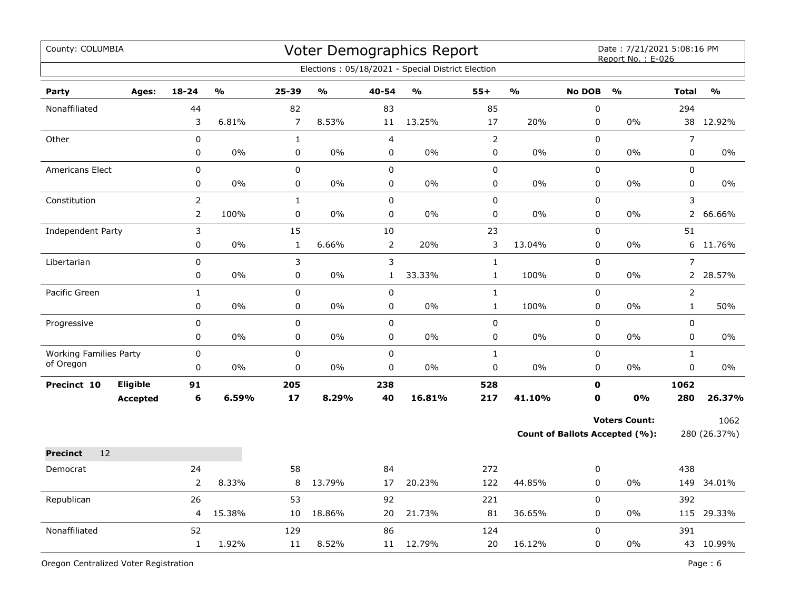| County: COLUMBIA                                  |       |                                  |        |                      |                                   |                             | <b>Voter Demographics Report</b><br>Elections: 05/18/2021 - Special District Election |                              |               |                  | Date: 7/21/2021 5:08:16 PM<br>Report No.: E-026        |                                |                      |
|---------------------------------------------------|-------|----------------------------------|--------|----------------------|-----------------------------------|-----------------------------|---------------------------------------------------------------------------------------|------------------------------|---------------|------------------|--------------------------------------------------------|--------------------------------|----------------------|
| Party                                             | Ages: | 18-24                            | %      | 25-39                | $\mathsf{o}\mathsf{v}_\mathsf{o}$ | 40-54                       | $\frac{1}{2}$                                                                         | $55+$                        | $\frac{1}{2}$ | <b>No DOB</b>    | $\frac{1}{2}$                                          | <b>Total</b>                   | $\frac{0}{0}$        |
| Nonaffiliated                                     |       | 44<br>3                          | 6.81%  | 82<br>$\overline{7}$ | 8.53%                             | 83<br>11                    | 13.25%                                                                                | 85<br>17                     | 20%           | 0<br>$\pmb{0}$   | 0%                                                     | 294                            | 38 12.92%            |
| Other                                             |       | $\pmb{0}$<br>0                   | 0%     | $\mathbf{1}$<br>0    | 0%                                | $\overline{4}$<br>$\pmb{0}$ | 0%                                                                                    | $\overline{2}$<br>$\pmb{0}$  | 0%            | 0<br>0           | 0%                                                     | $\overline{7}$<br>0            | 0%                   |
| <b>Americans Elect</b>                            |       | 0<br>0                           | 0%     | 0<br>0               | 0%                                | $\mathbf 0$<br>$\pmb{0}$    | 0%                                                                                    | $\mathsf 0$<br>$\pmb{0}$     | 0%            | 0<br>0           | 0%                                                     | 0<br>0                         | 0%                   |
| Constitution                                      |       | $\overline{2}$<br>$\overline{2}$ | 100%   | $\mathbf{1}$<br>0    | $0\%$                             | $\mathbf 0$<br>$\pmb{0}$    | 0%                                                                                    | $\mathsf 0$<br>$\pmb{0}$     | 0%            | 0<br>0           | $0\%$                                                  | 3<br>$2^{\circ}$               | 66.66%               |
| Independent Party                                 |       | 3<br>$\pmb{0}$                   | 0%     | 15<br>$\mathbf{1}$   | 6.66%                             | 10<br>$\overline{2}$        | 20%                                                                                   | 23<br>$\mathsf 3$            | 13.04%        | 0<br>0           | 0%                                                     | 51                             | 6 11.76%             |
| Libertarian                                       |       | $\mathbf 0$<br>0                 | 0%     | 3<br>0               | $0\%$                             | 3<br>$\mathbf{1}$           | 33.33%                                                                                | $\mathbf{1}$<br>$\mathbf{1}$ | 100%          | 0<br>0           | 0%                                                     | $\overline{7}$                 | 2 28.57%             |
| Pacific Green                                     |       | $\mathbf{1}$<br>0                | 0%     | 0<br>0               | 0%                                | $\pmb{0}$<br>$\pmb{0}$      | $0\%$                                                                                 | $\mathbf{1}$<br>$\mathbf{1}$ | 100%          | 0<br>0           | 0%                                                     | $\overline{2}$<br>$\mathbf{1}$ | 50%                  |
| Progressive                                       |       | $\mathbf 0$<br>0                 | 0%     | 0<br>0               | $0\%$                             | $\mathbf 0$<br>$\mathbf 0$  | 0%                                                                                    | $\pmb{0}$<br>$\pmb{0}$       | 0%            | 0<br>0           | $0\%$                                                  | 0<br>0                         | $0\%$                |
| <b>Working Families Party</b><br>of Oregon        |       | 0<br>0                           | 0%     | 0<br>0               | $0\%$                             | $\pmb{0}$<br>$\mathbf 0$    | 0%                                                                                    | $\mathbf 1$<br>$\pmb{0}$     | 0%            | 0<br>0           | $0\%$                                                  | $\mathbf 1$<br>0               | $0\%$                |
| <b>Eligible</b><br>Precinct 10<br><b>Accepted</b> |       | 91<br>6                          | 6.59%  | 205<br>17            | 8.29%                             | 238<br>40                   | 16.81%                                                                                | 528<br>217                   | 41.10%        | $\mathbf 0$<br>0 | 0%                                                     | 1062<br>280                    | 26.37%               |
|                                                   |       |                                  |        |                      |                                   |                             |                                                                                       |                              |               |                  | <b>Voters Count:</b><br>Count of Ballots Accepted (%): |                                | 1062<br>280 (26.37%) |
| 12<br><b>Precinct</b>                             |       |                                  |        |                      |                                   |                             |                                                                                       |                              |               |                  |                                                        |                                |                      |
| Democrat                                          |       | 24<br>$\mathbf 2$                | 8.33%  | 58<br>8              | 13.79%                            | 84<br>17                    | 20.23%                                                                                | 272<br>122                   | 44.85%        | 0<br>0           | $0\%$                                                  | 438<br>149                     | 34.01%               |
| Republican                                        |       | 26<br>4                          | 15.38% | 53<br>10             | 18.86%                            | 92<br>20                    | 21.73%                                                                                | 221<br>81                    | 36.65%        | 0<br>0           | 0%                                                     | 392                            | 115 29.33%           |
| Nonaffiliated                                     |       | 52<br>$1\,$                      | 1.92%  | 129<br>11            | 8.52%                             | 86<br>11                    | 12.79%                                                                                | 124<br>20                    | 16.12%        | 0<br>0           | 0%                                                     | 391                            | 43 10.99%            |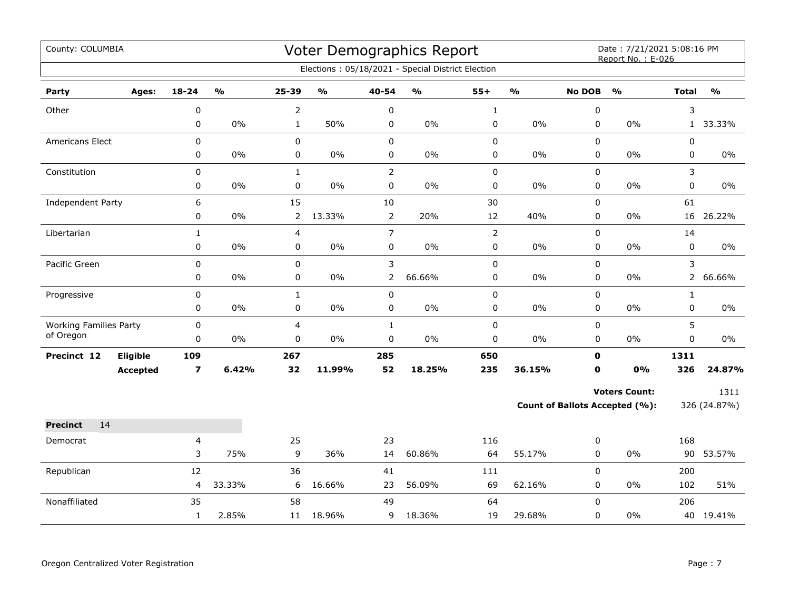| County: COLUMBIA              |                 |                         |               |                |               |                | Voter Demographics Report<br>Elections: 05/18/2021 - Special District Election |                |               |               | Date: 7/21/2021 5:08:16 PM<br>Report No.: E-026 |              |               |
|-------------------------------|-----------------|-------------------------|---------------|----------------|---------------|----------------|--------------------------------------------------------------------------------|----------------|---------------|---------------|-------------------------------------------------|--------------|---------------|
|                               |                 |                         |               |                |               |                |                                                                                |                |               |               |                                                 |              |               |
| Party                         | Ages:           | $18 - 24$               | $\frac{1}{2}$ | $25 - 39$      | $\frac{1}{2}$ | 40-54          | $\frac{0}{0}$                                                                  | $55+$          | $\frac{0}{0}$ | <b>No DOB</b> | $\frac{1}{2}$                                   | <b>Total</b> | $\frac{1}{2}$ |
| Other                         |                 | $\pmb{0}$               |               | 2              |               | 0              |                                                                                | $\mathbf 1$    |               | 0             |                                                 | 3            |               |
|                               |                 | 0                       | $0\%$         | $\mathbf{1}$   | 50%           | 0              | $0\%$                                                                          | 0              | 0%            | 0             | $0\%$                                           |              | 1 33.33%      |
| Americans Elect               |                 | $\mathbf 0$             |               | 0              |               | 0              |                                                                                | 0              |               | 0             |                                                 | $\mathbf 0$  |               |
|                               |                 | 0                       | $0\%$         | 0              | $0\%$         | 0              | $0\%$                                                                          | 0              | $0\%$         | 0             | $0\%$                                           | 0            | 0%            |
| Constitution                  |                 | 0                       |               | $\mathbf{1}$   |               | $\overline{2}$ |                                                                                | $\pmb{0}$      |               | 0             |                                                 | 3            |               |
|                               |                 | 0                       | $0\%$         | $\pmb{0}$      | $0\%$         | $\mathbf 0$    | 0%                                                                             | $\pmb{0}$      | 0%            | 0             | 0%                                              | $\mathbf 0$  | $0\%$         |
| <b>Independent Party</b>      |                 | 6                       |               | 15             |               | 10             |                                                                                | 30             |               | 0             |                                                 | 61           |               |
|                               |                 | 0                       | $0\%$         | $\overline{2}$ | 13.33%        | $\overline{2}$ | 20%                                                                            | 12             | 40%           | 0             | 0%                                              |              | 16 26.22%     |
| Libertarian                   |                 | $\mathbf{1}$            |               | 4              |               | $\overline{7}$ |                                                                                | $\overline{2}$ |               | 0             |                                                 | 14           |               |
|                               |                 | 0                       | $0\%$         | 0              | $0\%$         | 0              | 0%                                                                             | 0              | 0%            | 0             | $0\%$                                           | $\mathbf 0$  | $0\%$         |
| Pacific Green                 |                 | $\mathbf 0$             |               | $\mathbf 0$    |               | 3              |                                                                                | $\pmb{0}$      |               | 0             |                                                 | 3            |               |
|                               |                 | 0                       | 0%            | 0              | 0%            | 2              | 66.66%                                                                         | 0              | 0%            | 0             | $0\%$                                           |              | 2 66.66%      |
| Progressive                   |                 | $\pmb{0}$               |               | $\mathbf{1}$   |               | $\mathbf 0$    |                                                                                | 0              |               | $\mathbf 0$   |                                                 | $\mathbf{1}$ |               |
|                               |                 | $\mathbf 0$             | $0\%$         | 0              | $0\%$         | 0              | 0%                                                                             | 0              | $0\%$         | 0             | $0\%$                                           | 0            | $0\%$         |
| <b>Working Families Party</b> |                 | $\pmb{0}$               |               | $\overline{4}$ |               | $\mathbf 1$    |                                                                                | 0              |               | 0             |                                                 | 5            |               |
| of Oregon                     |                 | 0                       | $0\%$         | 0              | 0%            | 0              | $0\%$                                                                          | 0              | $0\%$         | 0             | $0\%$                                           | $\pmb{0}$    | $0\%$         |
| Precinct 12                   | <b>Eligible</b> | 109                     |               | 267            |               | 285            |                                                                                | 650            |               | $\mathbf{0}$  |                                                 | 1311         |               |
|                               | <b>Accepted</b> | $\overline{\mathbf{z}}$ | 6.42%         | 32             | 11.99%        | 52             | 18.25%                                                                         | 235            | 36.15%        | $\mathbf 0$   | 0%                                              | 326          | 24.87%        |
|                               |                 |                         |               |                |               |                |                                                                                |                |               |               | <b>Voters Count:</b>                            |              | 1311          |
|                               |                 |                         |               |                |               |                |                                                                                |                |               |               | <b>Count of Ballots Accepted (%):</b>           |              | 326 (24.87%)  |
| <b>Precinct</b><br>14         |                 |                         |               |                |               |                |                                                                                |                |               |               |                                                 |              |               |
| Democrat                      |                 | 4                       |               | 25             |               | 23             |                                                                                | 116            |               | 0             |                                                 | 168          |               |
|                               |                 | 3                       | 75%           | 9              | 36%           | 14             | 60.86%                                                                         | 64             | 55.17%        | 0             | $0\%$                                           | 90           | 53.57%        |
| Republican                    |                 | 12                      |               | 36             |               | 41             |                                                                                | 111            |               | 0             |                                                 | 200          |               |
|                               |                 | 4                       | 33.33%        | 6              | 16.66%        | 23             | 56.09%                                                                         | 69             | 62.16%        | 0             | $0\%$                                           | 102          | 51%           |
| Nonaffiliated                 |                 | 35                      |               | 58             |               | 49             |                                                                                | 64             |               | $\Omega$      |                                                 | 206          |               |
|                               |                 | $\mathbf{1}$            | 2.85%         | 11             | 18.96%        | 9              | 18.36%                                                                         | 19             | 29.68%        | 0             | $0\%$                                           |              | 40 19.41%     |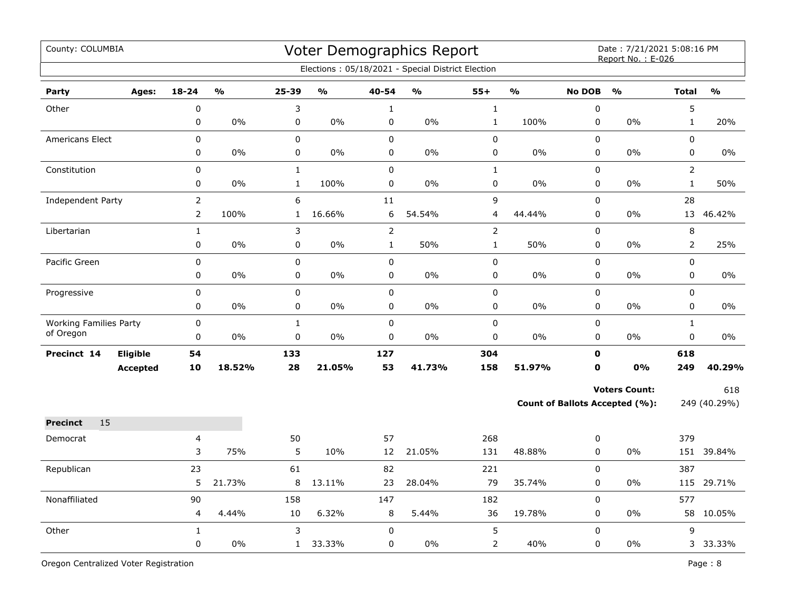| County: COLUMBIA              |                 |                |               |              |               |                | Voter Demographics Report                         |                |               |               | Date: 7/21/2021 5:08:16 PM<br>Report No.: E-026 |                |               |
|-------------------------------|-----------------|----------------|---------------|--------------|---------------|----------------|---------------------------------------------------|----------------|---------------|---------------|-------------------------------------------------|----------------|---------------|
|                               |                 |                |               |              |               |                | Elections: 05/18/2021 - Special District Election |                |               |               |                                                 |                |               |
| Party                         | Ages:           | $18 - 24$      | $\frac{1}{2}$ | 25-39        | $\frac{1}{2}$ | 40-54          | $\mathbf{O}/\mathbf{o}$                           | $55+$          | $\frac{1}{2}$ | <b>No DOB</b> | $\frac{1}{2}$                                   | <b>Total</b>   | $\frac{1}{2}$ |
| Other                         |                 | $\pmb{0}$      |               | 3            |               | $\mathbf{1}$   |                                                   | $\mathbf{1}$   |               | 0             |                                                 | 5              |               |
|                               |                 | $\pmb{0}$      | 0%            | $\mathbf 0$  | 0%            | $\pmb{0}$      | 0%                                                | $\mathbf{1}$   | 100%          | 0             | 0%                                              | $\mathbf{1}$   | 20%           |
| Americans Elect               |                 | 0              |               | $\mathbf 0$  |               | 0              |                                                   | 0              |               | 0             |                                                 | $\mathbf 0$    |               |
|                               |                 | 0              | $0\%$         | 0            | 0%            | 0              | 0%                                                | 0              | 0%            | 0             | $0\%$                                           | 0              | $0\%$         |
| Constitution                  |                 | $\mathbf 0$    |               | $\mathbf{1}$ |               | $\mathbf 0$    |                                                   | $\mathbf{1}$   |               | 0             |                                                 | $\overline{2}$ |               |
|                               |                 | 0              | 0%            | $\mathbf{1}$ | 100%          | $\pmb{0}$      | 0%                                                | $\pmb{0}$      | 0%            | 0             | 0%                                              | $\mathbf{1}$   | 50%           |
| <b>Independent Party</b>      |                 | $\overline{2}$ |               | 6            |               | 11             |                                                   | 9              |               | 0             |                                                 | 28             |               |
|                               |                 | $\mathsf{2}$   | 100%          | $\mathbf{1}$ | 16.66%        | 6              | 54.54%                                            | 4              | 44.44%        | 0             | 0%                                              | 13             | 46.42%        |
| Libertarian                   |                 | $\mathbf{1}$   |               | 3            |               | $\overline{2}$ |                                                   | $\overline{2}$ |               | 0             |                                                 | $\,8\,$        |               |
|                               |                 | $\mathsf 0$    | 0%            | $\pmb{0}$    | 0%            | $\mathbf{1}$   | 50%                                               | $\mathbf 1$    | 50%           | 0             | 0%                                              | $\overline{2}$ | 25%           |
| Pacific Green                 |                 | $\pmb{0}$      |               | $\mathsf 0$  |               | $\mathbf 0$    |                                                   | $\pmb{0}$      |               | 0             |                                                 | $\mathbf 0$    |               |
|                               |                 | $\pmb{0}$      | 0%            | $\pmb{0}$    | 0%            | 0              | 0%                                                | 0              | 0%            | 0             | 0%                                              | $\pmb{0}$      | 0%            |
| Progressive                   |                 | $\pmb{0}$      |               | $\mathsf 0$  |               | $\mathbf 0$    |                                                   | $\pmb{0}$      |               | 0             |                                                 | $\mathbf 0$    |               |
|                               |                 | 0              | 0%            | 0            | 0%            | 0              | 0%                                                | $\pmb{0}$      | $0\%$         | 0             | $0\%$                                           | 0              | $0\%$         |
| <b>Working Families Party</b> |                 | $\mathbf 0$    |               | $\mathbf{1}$ |               | $\mathsf 0$    |                                                   | $\pmb{0}$      |               | 0             |                                                 | $\mathbf{1}$   |               |
| of Oregon                     |                 | 0              | 0%            | 0            | 0%            | 0              | 0%                                                | $\pmb{0}$      | 0%            | 0             | 0%                                              | $\pmb{0}$      | 0%            |
| Precinct 14                   | Eligible        | 54             |               | 133          |               | 127            |                                                   | 304            |               | $\mathbf 0$   |                                                 | 618            |               |
|                               | <b>Accepted</b> | 10             | 18.52%        | 28           | 21.05%        | 53             | 41.73%                                            | 158            | 51.97%        | $\mathbf 0$   | 0%                                              | 249            | 40.29%        |
|                               |                 |                |               |              |               |                |                                                   |                |               |               | <b>Voters Count:</b>                            |                | 618           |
|                               |                 |                |               |              |               |                |                                                   |                |               |               | <b>Count of Ballots Accepted (%):</b>           |                | 249 (40.29%)  |
| 15<br><b>Precinct</b>         |                 |                |               |              |               |                |                                                   |                |               |               |                                                 |                |               |
| Democrat                      |                 | $\overline{4}$ |               | 50           |               | 57             |                                                   | 268            |               | 0             |                                                 | 379            |               |
|                               |                 | 3              | 75%           | 5            | 10%           | 12             | 21.05%                                            | 131            | 48.88%        | 0             | 0%                                              |                | 151 39.84%    |
| Republican                    |                 | 23             |               | 61           |               | 82             |                                                   | 221            |               | $\mathbf 0$   |                                                 | 387            |               |
|                               |                 | 5              | 21.73%        | 8            | 13.11%        | 23             | 28.04%                                            | 79             | 35.74%        | 0             | 0%                                              | 115            | 29.71%        |
| Nonaffiliated                 |                 | 90             |               | 158          |               | 147            |                                                   | 182            |               | 0             |                                                 | 577            |               |
|                               |                 | 4              | 4.44%         | 10           | 6.32%         | 8              | 5.44%                                             | 36             | 19.78%        | 0             | $0\%$                                           |                | 58 10.05%     |
| Other                         |                 | $\mathbf{1}$   |               | 3            |               | $\pmb{0}$      |                                                   | 5              |               | 0             |                                                 | 9              |               |
|                               |                 | $\pmb{0}$      | 0%            | $\mathbf{1}$ | 33.33%        | 0              | 0%                                                | $\overline{2}$ | 40%           | 0             | 0%                                              |                | 3 33.33%      |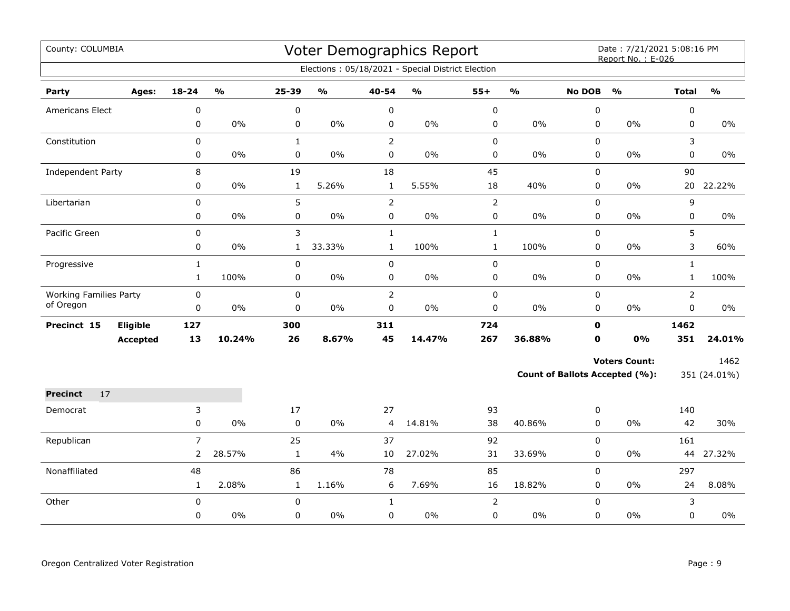| County: COLUMBIA              |                 |                |               |              |               |                | Voter Demographics Report<br>Elections: 05/18/2021 - Special District Election |              |               |                  | Date: 7/21/2021 5:08:16 PM<br>Report No.: E-026 |                |               |
|-------------------------------|-----------------|----------------|---------------|--------------|---------------|----------------|--------------------------------------------------------------------------------|--------------|---------------|------------------|-------------------------------------------------|----------------|---------------|
|                               |                 |                |               |              |               |                |                                                                                |              |               |                  |                                                 |                |               |
| Party                         | Ages:           | $18 - 24$      | $\frac{1}{2}$ | 25-39        | $\frac{1}{2}$ | 40-54          | $\frac{1}{2}$                                                                  | $55+$        | $\frac{1}{2}$ | <b>No DOB</b>    | $\frac{1}{2}$                                   | <b>Total</b>   | $\frac{1}{2}$ |
| Americans Elect               |                 | 0              |               | $\pmb{0}$    |               | $\pmb{0}$      |                                                                                | $\pmb{0}$    |               | $\boldsymbol{0}$ |                                                 | 0              |               |
|                               |                 | $\pmb{0}$      | $0\%$         | 0            | $0\%$         | 0              | $0\%$                                                                          | $\pmb{0}$    | $0\%$         | 0                | $0\%$                                           | 0              | $0\%$         |
| Constitution                  |                 | $\mathbf 0$    |               | $\mathbf{1}$ |               | $\overline{2}$ |                                                                                | $\pmb{0}$    |               | 0                |                                                 | 3              |               |
|                               |                 | 0              | $0\%$         | 0            | 0%            | $\mathbf 0$    | $0\%$                                                                          | 0            | $0\%$         | 0                | 0%                                              | 0              | 0%            |
| Independent Party             |                 | 8              |               | 19           |               | 18             |                                                                                | 45           |               | 0                |                                                 | 90             |               |
|                               |                 | 0              | 0%            | $\mathbf{1}$ | 5.26%         | $\mathbf 1$    | 5.55%                                                                          | 18           | 40%           | $\pmb{0}$        | 0%                                              | 20             | 22.22%        |
| Libertarian                   |                 | $\pmb{0}$      |               | 5            |               | $\overline{2}$ |                                                                                | $\mathbf 2$  |               | $\pmb{0}$        |                                                 | 9              |               |
|                               |                 | 0              | $0\%$         | 0            | 0%            | $\pmb{0}$      | $0\%$                                                                          | 0            | $0\%$         | 0                | $0\%$                                           | 0              | 0%            |
| Pacific Green                 |                 | $\mathbf 0$    |               | 3            |               | $\mathbf{1}$   |                                                                                | $\mathbf{1}$ |               | 0                |                                                 | 5              |               |
|                               |                 | 0              | $0\%$         | $\mathbf{1}$ | 33.33%        | $\mathbf{1}$   | 100%                                                                           | $\mathbf{1}$ | 100%          | 0                | 0%                                              | 3              | 60%           |
| Progressive                   |                 | $\mathbf{1}$   |               | 0            |               | 0              |                                                                                | $\mathbf 0$  |               | 0                |                                                 | $\mathbf{1}$   |               |
|                               |                 | $\mathbf{1}$   | 100%          | 0            | 0%            | $\pmb{0}$      | $0\%$                                                                          | 0            | 0%            | 0                | 0%                                              | $\mathbf{1}$   | 100%          |
| <b>Working Families Party</b> |                 | $\pmb{0}$      |               | 0            |               | $\overline{2}$ |                                                                                | $\pmb{0}$    |               | 0                |                                                 | $\overline{2}$ |               |
| of Oregon                     |                 | $\mathbf 0$    | $0\%$         | $\mathbf 0$  | 0%            | $\pmb{0}$      | $0\%$                                                                          | $\pmb{0}$    | $0\%$         | 0                | 0%                                              | 0              | $0\%$         |
| Precinct 15                   | Eligible        | 127            |               | 300          |               | 311            |                                                                                | 724          |               | $\mathbf 0$      |                                                 | 1462           |               |
|                               | <b>Accepted</b> | 13             | 10.24%        | 26           | 8.67%         | 45             | 14.47%                                                                         | 267          | 36.88%        | O                | 0%                                              | 351            | 24.01%        |
|                               |                 |                |               |              |               |                |                                                                                |              |               |                  | <b>Voters Count:</b>                            |                | 1462          |
|                               |                 |                |               |              |               |                |                                                                                |              |               |                  | Count of Ballots Accepted (%):                  |                | 351 (24.01%)  |
| <b>Precinct</b><br>17         |                 |                |               |              |               |                |                                                                                |              |               |                  |                                                 |                |               |
| Democrat                      |                 | 3              |               | 17           |               | 27             |                                                                                | 93           |               | 0                |                                                 | 140            |               |
|                               |                 | 0              | 0%            | $\pmb{0}$    | $0\%$         | 4              | 14.81%                                                                         | 38           | 40.86%        | 0                | $0\%$                                           | 42             | 30%           |
| Republican                    |                 | $\overline{7}$ |               | 25           |               | 37             |                                                                                | 92           |               | $\pmb{0}$        |                                                 | 161            |               |
|                               |                 | $\overline{2}$ | 28.57%        | $\mathbf{1}$ | 4%            | 10             | 27.02%                                                                         | 31           | 33.69%        | 0                | 0%                                              | 44             | 27.32%        |
| Nonaffiliated                 |                 | 48             |               | 86           |               | 78             |                                                                                | 85           |               | 0                |                                                 | 297            |               |
|                               |                 | $\mathbf{1}$   | 2.08%         | $\mathbf{1}$ | 1.16%         | 6              | 7.69%                                                                          | 16           | 18.82%        | 0                | 0%                                              | 24             | 8.08%         |
| Other                         |                 | 0              |               | 0            |               | $\mathbf{1}$   |                                                                                | 2            |               | 0                |                                                 | 3              |               |
|                               |                 | 0              | 0%            | 0            | 0%            | 0              | 0%                                                                             | 0            | $0\%$         | 0                | 0%                                              | 0              | 0%            |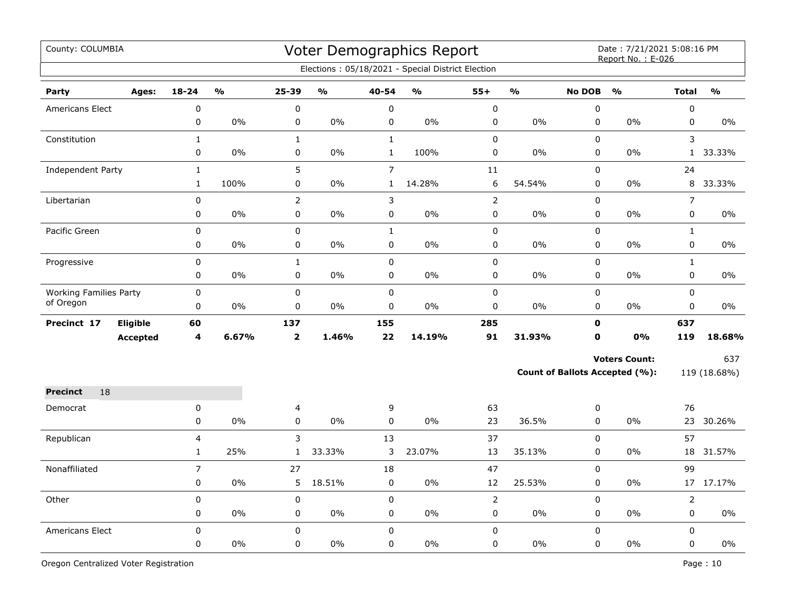| County: COLUMBIA              |                 |                |                         |                         |               |                | Voter Demographics Report<br>Elections: 05/18/2021 - Special District Election |                |                         |               | Date: 7/21/2021 5:08:16 PM<br>Report No.: E-026 |                |               |
|-------------------------------|-----------------|----------------|-------------------------|-------------------------|---------------|----------------|--------------------------------------------------------------------------------|----------------|-------------------------|---------------|-------------------------------------------------|----------------|---------------|
|                               |                 |                |                         |                         |               |                |                                                                                |                |                         |               |                                                 |                |               |
| Party                         | Ages:           | $18 - 24$      | $\mathbf{O}/\mathbf{O}$ | 25-39                   | $\frac{1}{2}$ | 40-54          | $\frac{1}{2}$                                                                  | $55+$          | $\mathbf{O}/\mathbf{O}$ | <b>No DOB</b> | $\frac{1}{2}$                                   | <b>Total</b>   | $\frac{0}{0}$ |
| <b>Americans Elect</b>        |                 | 0              |                         | $\pmb{0}$               |               | $\mathbf 0$    |                                                                                | $\mathbf 0$    |                         | 0             |                                                 | 0              |               |
|                               |                 | 0              | 0%                      | $\mathsf 0$             | $0\%$         | $\mathbf 0$    | 0%                                                                             | 0              | $0\%$                   | 0             | $0\%$                                           | 0              | $0\%$         |
| Constitution                  |                 | $\mathbf{1}$   |                         | $\mathbf{1}$            |               | $\mathbf{1}$   |                                                                                | $\mathbf 0$    |                         | $\mathbf 0$   |                                                 | 3              |               |
|                               |                 | 0              | 0%                      | $\pmb{0}$               | 0%            | $\mathbf{1}$   | 100%                                                                           | 0              | 0%                      | 0             | 0%                                              |                | 1 33.33%      |
| Independent Party             |                 | $\mathbf{1}$   |                         | 5                       |               | $\overline{7}$ |                                                                                | 11             |                         | $\mathbf 0$   |                                                 | 24             |               |
|                               |                 | $\mathbf{1}$   | 100%                    | $\pmb{0}$               | $0\%$         | $\mathbf{1}$   | 14.28%                                                                         | 6              | 54.54%                  | $\mathsf 0$   | $0\%$                                           |                | 8 33.33%      |
| Libertarian                   |                 | 0              |                         | $\overline{2}$          |               | 3              |                                                                                | $\overline{2}$ |                         | $\mathbf 0$   |                                                 | $\overline{7}$ |               |
|                               |                 | 0              | 0%                      | $\pmb{0}$               | $0\%$         | $\mathsf 0$    | 0%                                                                             | $\pmb{0}$      | $0\%$                   | $\mathsf 0$   | $0\%$                                           | 0              | 0%            |
| Pacific Green                 |                 | 0              |                         | $\pmb{0}$               |               | $\mathbf{1}$   |                                                                                | $\pmb{0}$      |                         | $\mathbf 0$   |                                                 | $\mathbf{1}$   |               |
|                               |                 | 0              | 0%                      | 0                       | $0\%$         | 0              | 0%                                                                             | 0              | $0\%$                   | 0             | $0\%$                                           | 0              | 0%            |
| Progressive                   |                 | 0              |                         | $\mathbf{1}$            |               | $\mathbf 0$    |                                                                                | $\mathbf 0$    |                         | $\mathbf 0$   |                                                 | $\mathbf{1}$   |               |
|                               |                 | 0              | 0%                      | $\pmb{0}$               | 0%            | 0              | 0%                                                                             | 0              | 0%                      | $\mathbf 0$   | 0%                                              | 0              | 0%            |
| <b>Working Families Party</b> |                 | 0              |                         | $\mathbf 0$             |               | $\mathbf 0$    |                                                                                | $\mathbf 0$    |                         | $\mathbf 0$   |                                                 | 0              |               |
| of Oregon                     |                 | 0              | 0%                      | 0                       | 0%            | 0              | 0%                                                                             | 0              | $0\%$                   | 0             | 0%                                              | 0              | 0%            |
| Precinct 17                   | Eligible        | 60             |                         | 137                     |               | 155            |                                                                                | 285            |                         | $\mathbf 0$   |                                                 | 637            |               |
|                               | <b>Accepted</b> | 4              | 6.67%                   | $\overline{\mathbf{2}}$ | 1.46%         | 22             | 14.19%                                                                         | 91             | 31.93%                  | $\mathbf 0$   | 0%                                              | 119            | 18.68%        |
|                               |                 |                |                         |                         |               |                |                                                                                |                |                         |               | <b>Voters Count:</b>                            |                | 637           |
|                               |                 |                |                         |                         |               |                |                                                                                |                |                         |               | <b>Count of Ballots Accepted (%):</b>           |                | 119 (18.68%)  |
| 18<br><b>Precinct</b>         |                 |                |                         |                         |               |                |                                                                                |                |                         |               |                                                 |                |               |
| Democrat                      |                 | $\pmb{0}$      |                         | 4                       |               | 9              |                                                                                | 63             |                         | 0             |                                                 | 76             |               |
|                               |                 | 0              | 0%                      | $\mathbf 0$             | 0%            | $\Omega$       | 0%                                                                             | 23             | 36.5%                   | $\mathbf 0$   | 0%                                              | 23             | 30.26%        |
| Republican                    |                 | 4              |                         | 3                       |               | 13             |                                                                                | 37             |                         | 0             |                                                 | 57             |               |
|                               |                 | $\mathbf{1}$   | 25%                     | $\mathbf{1}$            | 33.33%        | 3              | 23.07%                                                                         | 13             | 35.13%                  | 0             | 0%                                              | 18             | 31.57%        |
| Nonaffiliated                 |                 | $\overline{7}$ |                         | 27                      |               | 18             |                                                                                | 47             |                         | $\pmb{0}$     |                                                 | 99             |               |
|                               |                 | 0              | 0%                      | 5                       | 18.51%        | $\mathbf 0$    | 0%                                                                             | 12             | 25.53%                  | $\mathbf 0$   | 0%                                              |                | 17 17.17%     |
| Other                         |                 | 0              |                         | $\pmb{0}$               |               | $\pmb{0}$      |                                                                                | $\overline{2}$ |                         | 0             |                                                 | 2              |               |
|                               |                 | 0              | 0%                      | $\mathbf 0$             | $0\%$         | $\mathbf 0$    | 0%                                                                             | $\mathbf 0$    | 0%                      | 0             | 0%                                              | 0              | 0%            |
| Americans Elect               |                 | 0              |                         | $\Omega$                |               | $\Omega$       |                                                                                | $\pmb{0}$      |                         | 0             |                                                 | $\Omega$       |               |
|                               |                 | 0              | 0%                      | $\mathbf 0$             | 0%            | 0              | 0%                                                                             | 0              | 0%                      | 0             | 0%                                              | 0              | $0\%$         |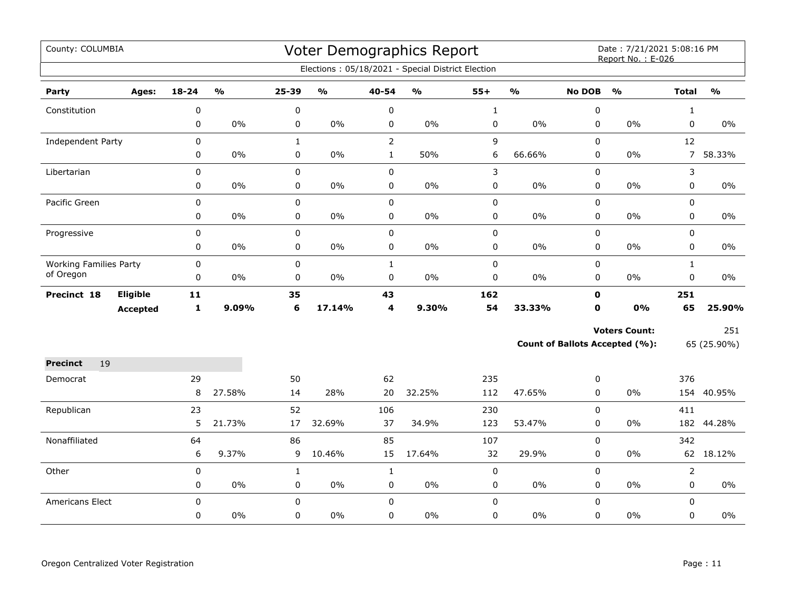| County: COLUMBIA              |          |               |               |              |               |                | Voter Demographics Report                         |              |               |               | Date: 7/21/2021 5:08:16 PM<br>Report No.: E-026 |                |               |
|-------------------------------|----------|---------------|---------------|--------------|---------------|----------------|---------------------------------------------------|--------------|---------------|---------------|-------------------------------------------------|----------------|---------------|
|                               |          |               |               |              |               |                | Elections: 05/18/2021 - Special District Election |              |               |               |                                                 |                |               |
| Party                         | Ages:    | $18 - 24$     | $\frac{1}{2}$ | 25-39        | $\frac{1}{2}$ | 40-54          | $\frac{0}{0}$                                     | $55+$        | $\frac{0}{0}$ | <b>No DOB</b> | $\frac{1}{2}$                                   | <b>Total</b>   | $\frac{1}{2}$ |
| Constitution                  |          | $\pmb{0}$     |               | $\pmb{0}$    |               | $\pmb{0}$      |                                                   | $\mathbf{1}$ |               | 0             |                                                 | $\mathbf{1}$   |               |
|                               |          | 0             | 0%            | $\pmb{0}$    | $0\%$         | 0              | 0%                                                | $\pmb{0}$    | 0%            | 0             | 0%                                              | $\mathsf 0$    | 0%            |
| Independent Party             |          | 0             |               | $\mathbf{1}$ |               | $\overline{2}$ |                                                   | 9            |               | 0             |                                                 | 12             |               |
|                               |          | 0             | $0\%$         | $\mathbf 0$  | $0\%$         | $\mathbf{1}$   | 50%                                               | 6            | 66.66%        | 0             | 0%                                              | $\overline{7}$ | 58.33%        |
| Libertarian                   |          | 0             |               | $\mathbf 0$  |               | $\mathbf 0$    |                                                   | 3            |               | 0             |                                                 | 3              |               |
|                               |          | 0             | 0%            | $\pmb{0}$    | 0%            | $\pmb{0}$      | 0%                                                | $\pmb{0}$    | 0%            | 0             | 0%                                              | $\mathbf 0$    | $0\%$         |
| Pacific Green                 |          | $\mathbf 0$   |               | $\mathbf 0$  |               | $\mathbf 0$    |                                                   | $\pmb{0}$    |               | 0             |                                                 | $\mathbf 0$    |               |
|                               |          | 0             | $0\%$         | $\mathbf 0$  | $0\%$         | 0              | 0%                                                | $\pmb{0}$    | 0%            | 0             | 0%                                              | $\mathbf 0$    | 0%            |
| Progressive                   |          | $\pmb{0}$     |               | $\pmb{0}$    |               | $\pmb{0}$      |                                                   | $\pmb{0}$    |               | 0             |                                                 | $\Omega$       |               |
|                               |          | 0             | $0\%$         | $\mathbf 0$  | 0%            | $\mathbf 0$    | $0\%$                                             | $\pmb{0}$    | 0%            | 0             | 0%                                              | $\mathbf 0$    | $0\%$         |
| <b>Working Families Party</b> |          | $\pmb{0}$     |               | $\mathbf 0$  |               | $\mathbf{1}$   |                                                   | $\pmb{0}$    |               | $\mathbf 0$   |                                                 | $\mathbf{1}$   |               |
| of Oregon                     |          | 0             | 0%            | $\mathbf 0$  | 0%            | $\mathbf 0$    | 0%                                                | 0            | $0\%$         | 0             | 0%                                              | 0              | 0%            |
| Precinct 18                   | Eligible | $\mathbf{11}$ |               | 35           |               | 43             |                                                   | 162          |               | $\mathbf 0$   |                                                 | 251            |               |
|                               | Accepted | $\mathbf{1}$  | 9.09%         | 6            | 17.14%        | 4              | 9.30%                                             | 54           | 33.33%        | $\mathbf 0$   | 0%                                              | 65             | 25.90%        |
|                               |          |               |               |              |               |                |                                                   |              |               |               | <b>Voters Count:</b>                            |                | 251           |
|                               |          |               |               |              |               |                |                                                   |              |               |               | Count of Ballots Accepted (%):                  |                | 65 (25.90%)   |
| <b>Precinct</b><br>19         |          |               |               |              |               |                |                                                   |              |               |               |                                                 |                |               |
| Democrat                      |          | 29            |               | 50           |               | 62             |                                                   | 235          |               | 0             |                                                 | 376            |               |
|                               |          | 8             | 27.58%        | 14           | 28%           | 20             | 32.25%                                            | 112          | 47.65%        | $\Omega$      | 0%                                              |                | 154 40.95%    |
| Republican                    |          | 23            |               | 52           |               | 106            |                                                   | 230          |               | 0             |                                                 | 411            |               |
|                               |          | 5             | 21.73%        | 17           | 32.69%        | 37             | 34.9%                                             | 123          | 53.47%        | 0             | 0%                                              |                | 182 44.28%    |
| Nonaffiliated                 |          | 64            |               | 86           |               | 85             |                                                   | 107          |               | 0             |                                                 | 342            |               |
|                               |          | 6             | 9.37%         | 9            | 10.46%        | 15             | 17.64%                                            | 32           | 29.9%         | 0             | 0%                                              |                | 62 18.12%     |
| Other                         |          | $\pmb{0}$     |               | $\mathbf{1}$ |               | $\mathbf{1}$   |                                                   | $\pmb{0}$    |               | 0             |                                                 | $\overline{2}$ |               |
|                               |          | 0             | $0\%$         | $\pmb{0}$    | $0\%$         | 0              | 0%                                                | 0            | 0%            | 0             | 0%                                              | $\pmb{0}$      | $0\%$         |
| Americans Elect               |          | $\mathbf 0$   |               | $\Omega$     |               | $\mathbf 0$    |                                                   | $\mathbf 0$  |               | $\Omega$      |                                                 | $\Omega$       |               |
|                               |          | 0             | $0\%$         | 0            | 0%            | $\mathbf 0$    | 0%                                                | $\mathbf 0$  | $0\%$         | 0             | 0%                                              | $\mathbf 0$    | 0%            |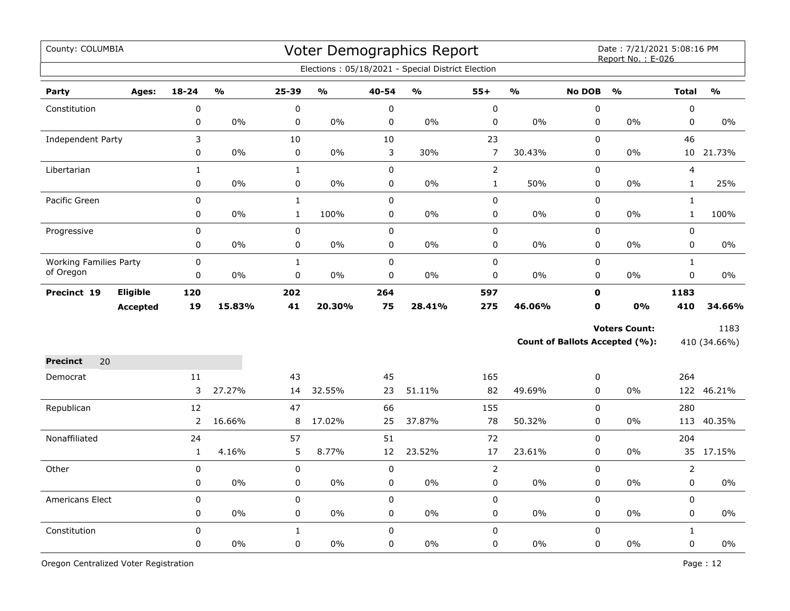| County: COLUMBIA              |                 |                |                                   |              |                                   |             | <b>Voter Demographics Report</b><br>Elections: 05/18/2021 - Special District Election |                |               |               | Date: 7/21/2021 5:08:16 PM<br>Report No.: E-026 |                |               |
|-------------------------------|-----------------|----------------|-----------------------------------|--------------|-----------------------------------|-------------|---------------------------------------------------------------------------------------|----------------|---------------|---------------|-------------------------------------------------|----------------|---------------|
| Party                         | Ages:           | $18 - 24$      | $\mathsf{o}\mathsf{v}_\mathsf{o}$ | 25-39        | $\mathsf{o}\mathsf{v}_\mathsf{o}$ | 40-54       | $\frac{1}{2}$                                                                         | $55+$          | $\frac{1}{2}$ | <b>No DOB</b> | $\frac{0}{0}$                                   | <b>Total</b>   | $\frac{0}{0}$ |
| Constitution                  |                 | $\pmb{0}$      |                                   | 0            |                                   | $\pmb{0}$   |                                                                                       | $\pmb{0}$      |               | 0             |                                                 | 0              |               |
|                               |                 | $\pmb{0}$      | 0%                                | 0            | 0%                                | $\pmb{0}$   | 0%                                                                                    | $\pmb{0}$      | 0%            | 0             | 0%                                              | 0              | 0%            |
| Independent Party             |                 | 3              |                                   | 10           |                                   | 10          |                                                                                       | 23             |               | 0             |                                                 | 46             |               |
|                               |                 | 0              | 0%                                | $\mathbf 0$  | 0%                                | 3           | 30%                                                                                   | $\overline{7}$ | 30.43%        | 0             | 0%                                              |                | 10 21.73%     |
| Libertarian                   |                 | $\mathbf{1}$   |                                   | $\mathbf{1}$ |                                   | $\pmb{0}$   |                                                                                       | $\overline{2}$ |               | $\pmb{0}$     |                                                 | $\overline{4}$ |               |
|                               |                 | $\pmb{0}$      | 0%                                | 0            | 0%                                | $\pmb{0}$   | 0%                                                                                    | $\mathbf 1$    | 50%           | 0             | 0%                                              | $\mathbf{1}$   | 25%           |
| Pacific Green                 |                 | $\mathbf 0$    |                                   | $\mathbf{1}$ |                                   | $\pmb{0}$   |                                                                                       | $\pmb{0}$      |               | 0             |                                                 | $\mathbf{1}$   |               |
|                               |                 | 0              | 0%                                | $\mathbf{1}$ | 100%                              | $\pmb{0}$   | 0%                                                                                    | $\pmb{0}$      | 0%            | 0             | 0%                                              | $\mathbf{1}$   | 100%          |
| Progressive                   |                 | $\pmb{0}$      |                                   | 0            |                                   | $\pmb{0}$   |                                                                                       | $\pmb{0}$      |               | 0             |                                                 | 0              |               |
|                               |                 | 0              | 0%                                | 0            | 0%                                | $\pmb{0}$   | 0%                                                                                    | $\pmb{0}$      | 0%            | 0             | $0\%$                                           | 0              | 0%            |
| <b>Working Families Party</b> |                 | $\pmb{0}$      |                                   | $\mathbf{1}$ |                                   | $\pmb{0}$   |                                                                                       | $\pmb{0}$      |               | 0             |                                                 | $\mathbf{1}$   |               |
| of Oregon                     |                 | $\pmb{0}$      | 0%                                | 0            | 0%                                | $\pmb{0}$   | 0%                                                                                    | $\pmb{0}$      | 0%            | 0             | 0%                                              | 0              | $0\%$         |
| Precinct 19                   | Eligible        | 120            |                                   | 202          |                                   | 264         |                                                                                       | 597            |               | $\mathbf 0$   |                                                 | 1183           |               |
|                               | <b>Accepted</b> | 19             | 15.83%                            | 41           | 20.30%                            | 75          | 28.41%                                                                                | 275            | 46.06%        | $\mathbf{0}$  | 0%                                              | 410            | 34.66%        |
|                               |                 |                |                                   |              |                                   |             |                                                                                       |                |               |               | <b>Voters Count:</b>                            |                | 1183          |
|                               |                 |                |                                   |              |                                   |             |                                                                                       |                |               |               | Count of Ballots Accepted (%):                  |                | 410 (34.66%)  |
| 20<br><b>Precinct</b>         |                 |                |                                   |              |                                   |             |                                                                                       |                |               |               |                                                 |                |               |
| Democrat                      |                 | 11             |                                   | 43           |                                   | 45          |                                                                                       | 165            |               | 0             |                                                 | 264            |               |
|                               |                 | 3              | 27.27%                            | 14           | 32.55%                            | 23          | 51.11%                                                                                | 82             | 49.69%        | $\Omega$      | 0%                                              |                | 122 46.21%    |
| Republican                    |                 | 12             |                                   | 47           |                                   | 66          |                                                                                       | 155            |               | 0             |                                                 | 280            |               |
|                               |                 | $\overline{2}$ | 16.66%                            | 8            | 17.02%                            | 25          | 37.87%                                                                                | 78             | 50.32%        | $\Omega$      | $0\%$                                           |                | 113 40.35%    |
| Nonaffiliated                 |                 | 24             |                                   | 57           |                                   | 51          |                                                                                       | 72             |               | 0             |                                                 | 204            |               |
|                               |                 | $\mathbf{1}$   | 4.16%                             | 5            | 8.77%                             | 12          | 23.52%                                                                                | 17             | 23.61%        | 0             | 0%                                              |                | 35 17.15%     |
| Other                         |                 | $\pmb{0}$      |                                   | 0            |                                   | $\pmb{0}$   |                                                                                       | $\overline{2}$ |               | $\pmb{0}$     |                                                 | $\overline{2}$ |               |
|                               |                 | $\mathbf 0$    | 0%                                | 0            | 0%                                | $\mathbf 0$ | 0%                                                                                    | $\pmb{0}$      | 0%            | 0             | 0%                                              | 0              | 0%            |
| <b>Americans Elect</b>        |                 | $\pmb{0}$      |                                   | $\mathbf 0$  |                                   | $\pmb{0}$   |                                                                                       | $\pmb{0}$      |               | $\Omega$      |                                                 | 0              |               |
|                               |                 | $\mathbf 0$    | 0%                                | 0            | $0\%$                             | 0           | 0%                                                                                    | 0              | 0%            | 0             | 0%                                              | 0              | $0\%$         |
| Constitution                  |                 | $\Omega$       |                                   | $\mathbf{1}$ |                                   | $\pmb{0}$   |                                                                                       | $\pmb{0}$      |               | $\Omega$      |                                                 | $\mathbf{1}$   |               |
|                               |                 | 0              | 0%                                | 0            | $0\%$                             | $\mathbf 0$ | 0%                                                                                    | $\pmb{0}$      | 0%            | 0             | 0%                                              | 0              | 0%            |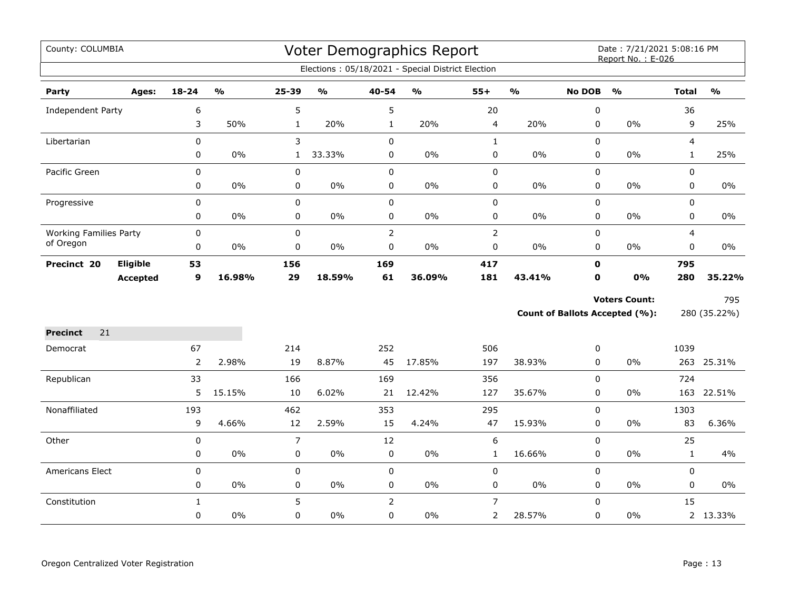| County: COLUMBIA              |                 |                |                         |                |                                   |                | Voter Demographics Report<br>Elections: 05/18/2021 - Special District Election |                  |                         |               | Date: 7/21/2021 5:08:16 PM<br>Report No.: E-026 |                |                         |
|-------------------------------|-----------------|----------------|-------------------------|----------------|-----------------------------------|----------------|--------------------------------------------------------------------------------|------------------|-------------------------|---------------|-------------------------------------------------|----------------|-------------------------|
| Party                         | Ages:           | 18-24          | $\mathbf{O}/\mathbf{o}$ | 25-39          | $\mathsf{o}\mathsf{v}_\mathsf{o}$ | 40-54          | $\mathsf{o}\mathsf{v}_\mathsf{o}$                                              | $55+$            | $\mathbf{O}/\mathbf{o}$ | <b>No DOB</b> | $\mathbf{O}/\mathbf{o}$                         | <b>Total</b>   | $\mathbf{O}/\mathbf{o}$ |
| <b>Independent Party</b>      |                 | 6              |                         | 5              |                                   | 5              |                                                                                | 20               |                         | $\pmb{0}$     |                                                 | 36             |                         |
|                               |                 | 3              | 50%                     | $\mathbf{1}$   | 20%                               | $\mathbf{1}$   | 20%                                                                            | 4                | 20%                     | 0             | 0%                                              | 9              | 25%                     |
| Libertarian                   |                 | $\mathbf 0$    |                         | 3              |                                   | $\mathbf 0$    |                                                                                | $\mathbf{1}$     |                         | $\mathbf 0$   |                                                 | $\overline{4}$ |                         |
|                               |                 | 0              | 0%                      | $\mathbf{1}$   | 33.33%                            | 0              | 0%                                                                             | 0                | 0%                      | 0             | 0%                                              | $\mathbf{1}$   | 25%                     |
| Pacific Green                 |                 | 0              |                         | $\pmb{0}$      |                                   | $\pmb{0}$      |                                                                                | 0                |                         | $\mathbf 0$   |                                                 | 0              |                         |
|                               |                 | 0              | 0%                      | $\pmb{0}$      | $0\%$                             | 0              | $0\%$                                                                          | $\mathsf 0$      | 0%                      | $\pmb{0}$     | 0%                                              | 0              | 0%                      |
| Progressive                   |                 | $\mathbf 0$    |                         | $\mathbf 0$    |                                   | $\mathbf 0$    |                                                                                | 0                |                         | 0             |                                                 | 0              |                         |
|                               |                 | 0              | 0%                      | 0              | 0%                                | $\mathbf 0$    | $0\%$                                                                          | 0                | 0%                      | $\mathbf 0$   | 0%                                              | 0              | $0\%$                   |
| <b>Working Families Party</b> |                 | 0              |                         | $\pmb{0}$      |                                   | $\mathsf{2}$   |                                                                                | $\mathsf{2}$     |                         | 0             |                                                 | $\overline{4}$ |                         |
| of Oregon                     |                 | 0              | $0\%$                   | $\pmb{0}$      | $0\%$                             | $\pmb{0}$      | $0\%$                                                                          | 0                | $0\%$                   | 0             | 0%                                              | 0              | 0%                      |
| Precinct 20                   | <b>Eligible</b> | 53             |                         | 156            |                                   | 169            |                                                                                | 417              |                         | $\mathbf{0}$  |                                                 | 795            |                         |
|                               | <b>Accepted</b> | 9              | 16.98%                  | 29             | 18.59%                            | 61             | 36.09%                                                                         | 181              | 43.41%                  | $\mathbf{0}$  | 0%                                              | 280            | 35.22%                  |
|                               |                 |                |                         |                |                                   |                |                                                                                |                  |                         |               | <b>Voters Count:</b>                            |                | 795                     |
|                               |                 |                |                         |                |                                   |                |                                                                                |                  |                         |               | <b>Count of Ballots Accepted (%):</b>           |                | 280 (35.22%)            |
| <b>Precinct</b><br>21         |                 |                |                         |                |                                   |                |                                                                                |                  |                         |               |                                                 |                |                         |
| Democrat                      |                 | 67             |                         | 214            |                                   | 252            |                                                                                | 506              |                         | 0             |                                                 | 1039           |                         |
|                               |                 | $\overline{2}$ | 2.98%                   | 19             | 8.87%                             | 45             | 17.85%                                                                         | 197              | 38.93%                  | $\pmb{0}$     | 0%                                              |                | 263 25.31%              |
| Republican                    |                 | 33             |                         | 166            |                                   | 169            |                                                                                | 356              |                         | 0             |                                                 | 724            |                         |
|                               |                 | 5              | 15.15%                  | 10             | 6.02%                             | 21             | 12.42%                                                                         | 127              | 35.67%                  | 0             | 0%                                              | 163            | 22.51%                  |
| Nonaffiliated                 |                 | 193            |                         | 462            |                                   | 353            |                                                                                | 295              |                         | 0             |                                                 | 1303           |                         |
|                               |                 | 9              | 4.66%                   | 12             | 2.59%                             | 15             | 4.24%                                                                          | 47               | 15.93%                  | 0             | 0%                                              | 83             | 6.36%                   |
| Other                         |                 | $\mathbf 0$    |                         | $\overline{7}$ |                                   | 12             |                                                                                | $\boldsymbol{6}$ |                         | $\pmb{0}$     |                                                 | 25             |                         |
|                               |                 | 0              | 0%                      | $\mathbf 0$    | $0\%$                             | $\mathsf 0$    | $0\%$                                                                          | $\mathbf{1}$     | 16.66%                  | 0             | 0%                                              | $\mathbf{1}$   | 4%                      |
| Americans Elect               |                 | 0              |                         | 0              |                                   | $\mathbf 0$    |                                                                                | $\pmb{0}$        |                         | $\mathbf 0$   |                                                 | 0              |                         |
|                               |                 | 0              | 0%                      | $\pmb{0}$      | $0\%$                             | 0              | $0\%$                                                                          | $\mathsf 0$      | 0%                      | 0             | 0%                                              | 0              | $0\%$                   |
| Constitution                  |                 | $\mathbf{1}$   |                         | 5              |                                   | $\overline{2}$ |                                                                                | $\overline{7}$   |                         | $\pmb{0}$     |                                                 | 15             |                         |
|                               |                 | 0              | 0%                      | 0              | $0\%$                             | 0              | $0\%$                                                                          | 2                | 28.57%                  | 0             | 0%                                              |                | 2 13.33%                |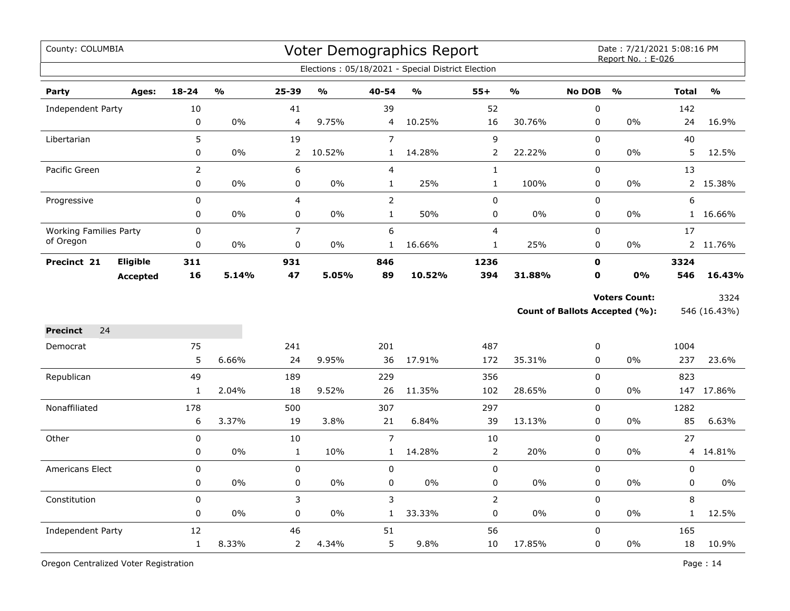| County: COLUMBIA              |                 |                |               |                |               |                         | <b>Voter Demographics Report</b><br>Elections: 05/18/2021 - Special District Election |                         |               |                  | Date: 7/21/2021 5:08:16 PM<br>Report No.: E-026               |              |                                   |
|-------------------------------|-----------------|----------------|---------------|----------------|---------------|-------------------------|---------------------------------------------------------------------------------------|-------------------------|---------------|------------------|---------------------------------------------------------------|--------------|-----------------------------------|
| Party                         | Ages:           | $18 - 24$      | $\frac{0}{0}$ | 25-39          | $\frac{0}{0}$ | 40-54                   | $\frac{9}{0}$                                                                         | $55+$                   | $\frac{1}{2}$ | <b>No DOB</b>    | $\frac{0}{0}$                                                 | <b>Total</b> | $\mathsf{o}\mathsf{v}_\mathsf{o}$ |
| Independent Party             |                 | 10             |               | 41             |               | 39                      |                                                                                       | 52                      |               | $\pmb{0}$        |                                                               | 142          |                                   |
|                               |                 | $\pmb{0}$      | 0%            | 4              | 9.75%         | 4                       | 10.25%                                                                                | 16                      | 30.76%        | $\pmb{0}$        | $0\%$                                                         | 24           | 16.9%                             |
| Libertarian                   |                 | 5              |               | 19             |               | $\overline{7}$          |                                                                                       | $\mathsf g$             |               | 0                |                                                               | 40           |                                   |
|                               |                 | 0              | 0%            | $\overline{2}$ | 10.52%        | $\mathbf{1}$            | 14.28%                                                                                | $\mathbf 2$             | 22.22%        | $\pmb{0}$        | 0%                                                            | 5            | 12.5%                             |
| Pacific Green                 |                 | $\overline{2}$ |               | 6              |               | $\overline{\mathbf{4}}$ |                                                                                       | $\mathbf 1$             |               | 0                |                                                               | 13           |                                   |
|                               |                 | 0              | 0%            | 0              | 0%            | $\mathbf{1}$            | 25%                                                                                   | $\mathbf{1}$            | 100%          | $\pmb{0}$        | 0%                                                            |              | 2 15.38%                          |
| Progressive                   |                 | 0              |               | $\overline{4}$ |               | $\overline{2}$          |                                                                                       | $\pmb{0}$               |               | $\mathbf 0$      |                                                               | 6            |                                   |
|                               |                 | 0              | $0\%$         | 0              | 0%            | $\mathbf{1}$            | 50%                                                                                   | 0                       | $0\%$         | $\pmb{0}$        | 0%                                                            | 1            | 16.66%                            |
| <b>Working Families Party</b> |                 | 0              |               | $\overline{7}$ |               | 6                       |                                                                                       | $\overline{\mathbf{4}}$ |               | $\pmb{0}$        |                                                               | 17           |                                   |
| of Oregon                     |                 | 0              | $0\%$         | $\pmb{0}$      | 0%            | $\mathbf{1}$            | 16.66%                                                                                | $\mathbf{1}$            | 25%           | $\pmb{0}$        | $0\%$                                                         |              | 2 11.76%                          |
| Precinct 21                   | Eligible        | 311            |               | 931            |               | 846                     |                                                                                       | 1236                    |               | $\mathbf 0$      |                                                               | 3324         |                                   |
|                               | <b>Accepted</b> | 16             | 5.14%         | 47             | 5.05%         | 89                      | 10.52%                                                                                | 394                     | 31.88%        | 0                | 0%                                                            | 546          | 16.43%                            |
|                               |                 |                |               |                |               |                         |                                                                                       |                         |               |                  | <b>Voters Count:</b><br><b>Count of Ballots Accepted (%):</b> |              | 3324<br>546 (16.43%)              |
| 24<br><b>Precinct</b>         |                 |                |               |                |               |                         |                                                                                       |                         |               |                  |                                                               |              |                                   |
| Democrat                      |                 | 75             |               | 241            |               | 201                     |                                                                                       | 487                     |               | $\boldsymbol{0}$ |                                                               | 1004         |                                   |
|                               |                 | 5              | 6.66%         | 24             | 9.95%         | 36                      | 17.91%                                                                                | 172                     | 35.31%        | 0                | 0%                                                            | 237          | 23.6%                             |
| Republican                    |                 | 49             |               | 189            |               | 229                     |                                                                                       | 356                     |               | 0                |                                                               | 823          |                                   |
|                               |                 | $\mathbf{1}$   | 2.04%         | 18             | 9.52%         | 26                      | 11.35%                                                                                | 102                     | 28.65%        | 0                | 0%                                                            |              | 147 17.86%                        |
| Nonaffiliated                 |                 | 178            |               | 500            |               | 307                     |                                                                                       | 297                     |               | $\Omega$         |                                                               | 1282         |                                   |
|                               |                 | 6              | 3.37%         | 19             | 3.8%          | 21                      | 6.84%                                                                                 | 39                      | 13.13%        | $\mathbf 0$      | 0%                                                            | 85           | 6.63%                             |
| Other                         |                 | 0              |               | 10             |               | $\overline{7}$          |                                                                                       | 10                      |               | $\mathbf 0$      |                                                               | 27           |                                   |
|                               |                 | 0              | $0\%$         | $\mathbf{1}$   | 10%           | $\mathbf{1}$            | 14.28%                                                                                | $\mathbf 2$             | 20%           | 0                | 0%                                                            | 4            | 14.81%                            |
| <b>Americans Elect</b>        |                 | 0              |               | 0              |               | $\mathbf 0$             |                                                                                       | $\pmb{0}$               |               | $\mathbf 0$      |                                                               | 0            |                                   |
|                               |                 | $\pmb{0}$      | 0%            | $\mathbf 0$    | 0%            | $\pmb{0}$               | 0%                                                                                    | $\pmb{0}$               | 0%            | $\pmb{0}$        | 0%                                                            | 0            | 0%                                |
| Constitution                  |                 | $\pmb{0}$      |               | 3              |               | 3                       |                                                                                       | $\overline{2}$          |               | $\pmb{0}$        |                                                               | 8            |                                   |
|                               |                 | 0              | 0%            | 0              | 0%            | $\mathbf{1}$            | 33.33%                                                                                | $\pmb{0}$               | 0%            | 0                | 0%                                                            | $\mathbf 1$  | 12.5%                             |
| Independent Party             |                 | 12             |               | 46             |               | 51                      |                                                                                       | 56                      |               | 0                |                                                               | 165          |                                   |
|                               |                 | $\mathbf{1}$   | 8.33%         | $\overline{2}$ | 4.34%         | 5                       | 9.8%                                                                                  | $10\,$                  | 17.85%        | $\pmb{0}$        | 0%                                                            | 18           | 10.9%                             |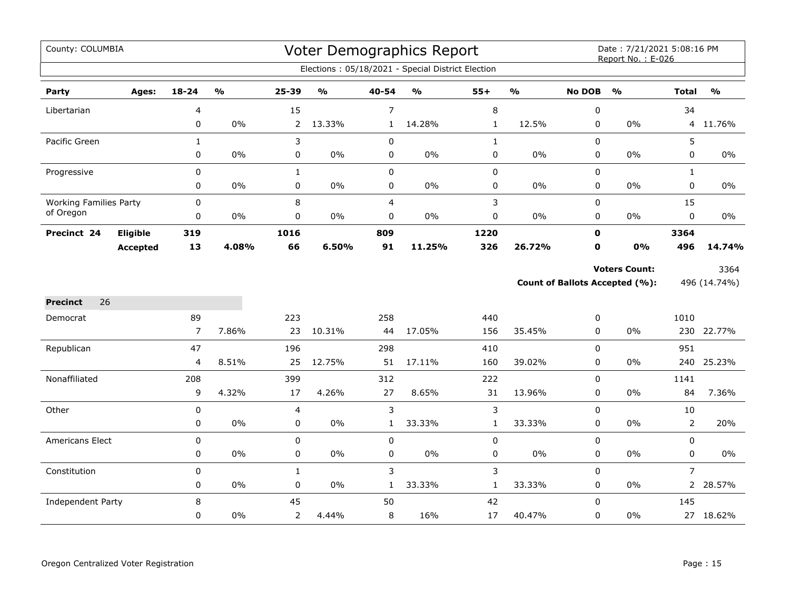| County: COLUMBIA              |                 |                |       |                |               |                | Voter Demographics Report                         |              |        |               | Date: 7/21/2021 5:08:16 PM<br>Report No.: E-026 |                |               |
|-------------------------------|-----------------|----------------|-------|----------------|---------------|----------------|---------------------------------------------------|--------------|--------|---------------|-------------------------------------------------|----------------|---------------|
|                               |                 |                |       |                |               |                | Elections: 05/18/2021 - Special District Election |              |        |               |                                                 |                |               |
| Party                         | Ages:           | 18-24          | %     | 25-39          | $\frac{1}{2}$ | 40-54          | $\frac{1}{2}$                                     | $55+$        | %      | <b>No DOB</b> | $\frac{0}{0}$                                   | <b>Total</b>   | $\frac{0}{0}$ |
| Libertarian                   |                 | 4              |       | 15             |               | 7              |                                                   | 8            |        | 0             |                                                 | 34             |               |
|                               |                 | 0              | 0%    | $\overline{2}$ | 13.33%        | $\mathbf{1}$   | 14.28%                                            | $\mathbf{1}$ | 12.5%  | 0             | 0%                                              |                | 4 11.76%      |
| Pacific Green                 |                 | $\mathbf{1}$   |       | 3              |               | $\pmb{0}$      |                                                   | $\mathbf{1}$ |        | $\mathbf 0$   |                                                 | 5              |               |
|                               |                 | 0              | $0\%$ | $\pmb{0}$      | $0\%$         | $\pmb{0}$      | $0\%$                                             | 0            | 0%     | 0             | 0%                                              | 0              | 0%            |
| Progressive                   |                 | 0              |       | $\mathbf{1}$   |               | $\mathbf 0$    |                                                   | 0            |        | $\mathbf 0$   |                                                 | $\mathbf{1}$   |               |
|                               |                 | 0              | $0\%$ | $\mathbf 0$    | 0%            | $\mathbf 0$    | $0\%$                                             | 0            | 0%     | $\mathbf 0$   | 0%                                              | 0              | $0\%$         |
| <b>Working Families Party</b> |                 | 0              |       | 8              |               | $\overline{4}$ |                                                   | 3            |        | $\mathbf 0$   |                                                 | 15             |               |
| of Oregon                     |                 | 0              | 0%    | 0              | 0%            | $\mathbf 0$    | 0%                                                | 0            | 0%     | 0             | 0%                                              | 0              | $0\%$         |
| Precinct 24                   | Eligible        | 319            |       | 1016           |               | 809            |                                                   | 1220         |        | $\mathbf 0$   |                                                 | 3364           |               |
|                               | <b>Accepted</b> | 13             | 4.08% | 66             | 6.50%         | 91             | 11.25%                                            | 326          | 26.72% | 0             | <b>0%</b>                                       | 496            | 14.74%        |
|                               |                 |                |       |                |               |                |                                                   |              |        |               | <b>Voters Count:</b>                            |                | 3364          |
|                               |                 |                |       |                |               |                |                                                   |              |        |               | Count of Ballots Accepted (%):                  |                | 496 (14.74%)  |
| 26<br><b>Precinct</b>         |                 |                |       |                |               |                |                                                   |              |        |               |                                                 |                |               |
| Democrat                      |                 | 89             |       | 223            |               | 258            |                                                   | 440          |        | 0             |                                                 | 1010           |               |
|                               |                 | $\overline{7}$ | 7.86% | 23             | 10.31%        | 44             | 17.05%                                            | 156          | 35.45% | 0             | 0%                                              |                | 230 22.77%    |
| Republican                    |                 | 47             |       | 196            |               | 298            |                                                   | 410          |        | $\Omega$      |                                                 | 951            |               |
|                               |                 | 4              | 8.51% | 25             | 12.75%        | 51             | 17.11%                                            | 160          | 39.02% | $\pmb{0}$     | 0%                                              | 240            | 25.23%        |
| Nonaffiliated                 |                 | 208            |       | 399            |               | 312            |                                                   | 222          |        | 0             |                                                 | 1141           |               |
|                               |                 | 9              | 4.32% | 17             | 4.26%         | 27             | 8.65%                                             | 31           | 13.96% | 0             | 0%                                              | 84             | 7.36%         |
| Other                         |                 | 0              |       | 4              |               | 3              |                                                   | 3            |        | $\mathbf 0$   |                                                 | 10             |               |
|                               |                 | 0              | 0%    | 0              | $0\%$         | $\mathbf{1}$   | 33.33%                                            | $\mathbf{1}$ | 33.33% | $\Omega$      | 0%                                              | $\overline{2}$ | 20%           |
| Americans Elect               |                 | 0              |       | $\mathbf 0$    |               | $\mathbf 0$    |                                                   | 0            |        | $\mathbf 0$   |                                                 | 0              |               |
|                               |                 | 0              | $0\%$ | 0              | 0%            | 0              | $0\%$                                             | 0            | $0\%$  | 0             | 0%                                              | 0              | $0\%$         |
| Constitution                  |                 | $\mathbf 0$    |       | $\mathbf{1}$   |               | 3              |                                                   | 3            |        | $\pmb{0}$     |                                                 | $\overline{7}$ |               |
|                               |                 | 0              | $0\%$ | $\pmb{0}$      | $0\%$         | $\mathbf{1}$   | 33.33%                                            | $\mathbf{1}$ | 33.33% | $\pmb{0}$     | 0%                                              |                | 2 28.57%      |
| <b>Independent Party</b>      |                 | 8              |       | 45             |               | 50             |                                                   | 42           |        | $\Omega$      |                                                 | 145            |               |
|                               |                 | 0              | $0\%$ | $\overline{2}$ | 4.44%         | 8              | 16%                                               | 17           | 40.47% | $\mathbf 0$   | $0\%$                                           |                | 27 18.62%     |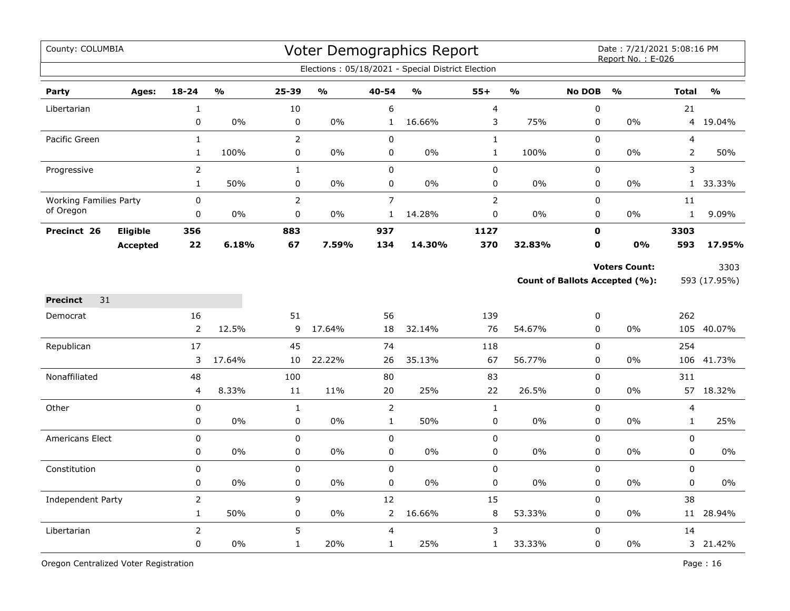| County: COLUMBIA              |          |                |               |                |                         |                | Voter Demographics Report<br>Elections: 05/18/2021 - Special District Election |                |                         |               | Date: 7/21/2021 5:08:16 PM<br>Report No.: E-026               |                         |                      |
|-------------------------------|----------|----------------|---------------|----------------|-------------------------|----------------|--------------------------------------------------------------------------------|----------------|-------------------------|---------------|---------------------------------------------------------------|-------------------------|----------------------|
|                               |          |                |               |                |                         |                |                                                                                |                |                         |               |                                                               |                         |                      |
| Party                         | Ages:    | $18 - 24$      | $\frac{1}{2}$ | 25-39          | $\mathbf{0}/\mathbf{0}$ | 40-54          | $\mathbf{O}/\mathbf{o}$                                                        | $55+$          | $\mathbf{O}/\mathbf{O}$ | <b>No DOB</b> | $\frac{1}{2}$                                                 | <b>Total</b>            | $\frac{1}{2}$        |
| Libertarian                   |          | 1              |               | 10             |                         | 6              |                                                                                | $\overline{4}$ |                         | $\pmb{0}$     |                                                               | 21                      |                      |
|                               |          | 0              | 0%            | $\pmb{0}$      | 0%                      | $\mathbf{1}$   | 16.66%                                                                         | 3              | 75%                     | $\pmb{0}$     | 0%                                                            | 4                       | 19.04%               |
| Pacific Green                 |          | $\mathbf 1$    |               | $\overline{2}$ |                         | $\mathbf 0$    |                                                                                | $\mathbf{1}$   |                         | $\mathbf 0$   |                                                               | $\overline{\mathbf{4}}$ |                      |
|                               |          | $\mathbf{1}$   | 100%          | 0              | 0%                      | $\mathbf 0$    | 0%                                                                             | $\mathbf{1}$   | 100%                    | $\mathbf 0$   | 0%                                                            | $\overline{2}$          | 50%                  |
| Progressive                   |          | $\overline{2}$ |               | $\mathbf{1}$   |                         | $\mathbf 0$    |                                                                                | 0              |                         | $\mathbf 0$   |                                                               | 3                       |                      |
|                               |          | $\mathbf{1}$   | 50%           | 0              | 0%                      | $\pmb{0}$      | 0%                                                                             | 0              | 0%                      | $\pmb{0}$     | 0%                                                            |                         | 1 33.33%             |
| <b>Working Families Party</b> |          | 0              |               | $\overline{2}$ |                         | $\overline{7}$ |                                                                                | $\overline{2}$ |                         | $\mathbf 0$   |                                                               | 11                      |                      |
| of Oregon                     |          | 0              | 0%            | $\mathbf 0$    | 0%                      | $\mathbf{1}$   | 14.28%                                                                         | 0              | $0\%$                   | $\mathbf 0$   | $0\%$                                                         | $\mathbf{1}$            | 9.09%                |
| Precinct 26                   | Eligible | 356            |               | 883            |                         | 937            |                                                                                | 1127           |                         | $\mathbf o$   |                                                               | 3303                    |                      |
|                               | Accepted | 22             | 6.18%         | 67             | 7.59%                   | 134            | 14.30%                                                                         | 370            | 32.83%                  | 0             | 0%                                                            | 593                     | 17.95%               |
|                               |          |                |               |                |                         |                |                                                                                |                |                         |               | <b>Voters Count:</b><br><b>Count of Ballots Accepted (%):</b> |                         | 3303<br>593 (17.95%) |
| 31<br><b>Precinct</b>         |          |                |               |                |                         |                |                                                                                |                |                         |               |                                                               |                         |                      |
| Democrat                      |          | 16             |               | 51             |                         | 56             |                                                                                | 139            |                         | 0             |                                                               | 262                     |                      |
|                               |          | $\overline{2}$ | 12.5%         | 9              | 17.64%                  | 18             | 32.14%                                                                         | 76             | 54.67%                  | 0             | 0%                                                            | 105                     | 40.07%               |
| Republican                    |          | 17             |               | 45             |                         | 74             |                                                                                | 118            |                         | 0             |                                                               | 254                     |                      |
|                               |          | 3              | 17.64%        | 10             | 22.22%                  | 26             | 35.13%                                                                         | 67             | 56.77%                  | 0             | 0%                                                            |                         | 106 41.73%           |
| Nonaffiliated                 |          | 48             |               | 100            |                         | 80             |                                                                                | 83             |                         | $\pmb{0}$     |                                                               | 311                     |                      |
|                               |          | 4              | 8.33%         | 11             | 11%                     | 20             | 25%                                                                            | 22             | 26.5%                   | 0             | $0\%$                                                         |                         | 57 18.32%            |
| Other                         |          | 0              |               | $\mathbf 1$    |                         | $\overline{2}$ |                                                                                | $\mathbf 1$    |                         | $\Omega$      |                                                               | 4                       |                      |
|                               |          | 0              | 0%            | 0              | 0%                      | $\mathbf{1}$   | 50%                                                                            | $\pmb{0}$      | $0\%$                   | $\mathbf 0$   | 0%                                                            | $\mathbf{1}$            | 25%                  |
| <b>Americans Elect</b>        |          | 0              |               | 0              |                         | $\pmb{0}$      |                                                                                | 0              |                         | $\pmb{0}$     |                                                               | 0                       |                      |
|                               |          | 0              | 0%            | 0              | 0%                      | $\pmb{0}$      | 0%                                                                             | 0              | 0%                      | $\pmb{0}$     | 0%                                                            | 0                       | 0%                   |
| Constitution                  |          | 0              |               | 0              |                         | $\mathbf 0$    |                                                                                | 0              |                         | $\mathbf 0$   |                                                               | $\mathbf 0$             |                      |
|                               |          | 0              | 0%            | 0              | 0%                      | $\pmb{0}$      | 0%                                                                             | 0              | 0%                      | $\pmb{0}$     | 0%                                                            | 0                       | 0%                   |
| Independent Party             |          | $\overline{2}$ |               | 9              |                         | 12             |                                                                                | 15             |                         | $\mathbf 0$   |                                                               | 38                      |                      |
|                               |          | $\mathbf{1}$   | 50%           | 0              | $0\%$                   | $\overline{2}$ | 16.66%                                                                         | 8              | 53.33%                  | 0             | 0%                                                            |                         | 11 28.94%            |
| Libertarian                   |          | $\overline{2}$ |               | 5              |                         | $\overline{4}$ |                                                                                | 3              |                         | 0             |                                                               | 14                      |                      |
|                               |          | $\mathbf 0$    | 0%            | $\mathbf{1}$   | 20%                     | $\mathbf{1}$   | 25%                                                                            | $\mathbf{1}$   | 33.33%                  | 0             | 0%                                                            |                         | 3 21.42%             |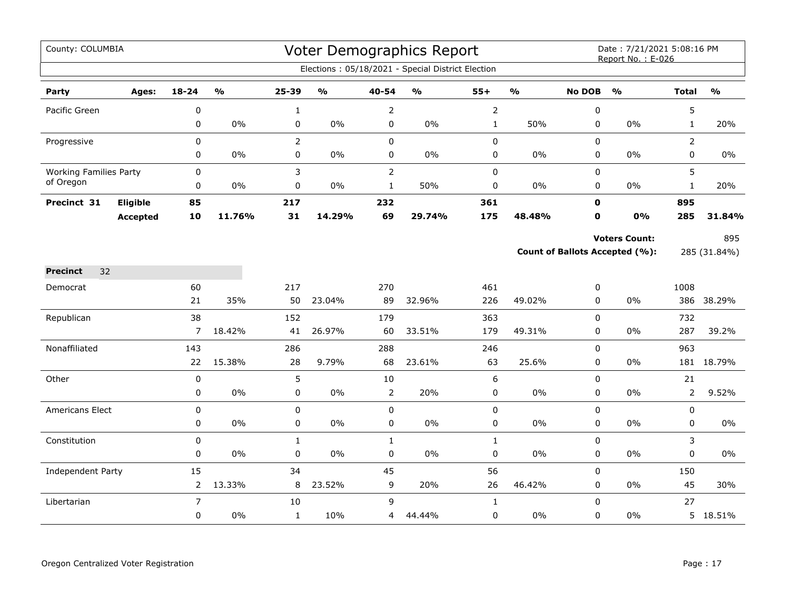| County: COLUMBIA              |          |                        |                         |                  |               |                             | Voter Demographics Report<br>Elections: 05/18/2021 - Special District Election |                              |               |               | Date: 7/21/2021 5:08:16 PM<br>Report No.: E-026 |                   |               |
|-------------------------------|----------|------------------------|-------------------------|------------------|---------------|-----------------------------|--------------------------------------------------------------------------------|------------------------------|---------------|---------------|-------------------------------------------------|-------------------|---------------|
| Party                         | Ages:    | 18-24                  | $\mathbf{O}/\mathbf{o}$ | 25-39            | $\frac{0}{0}$ | 40-54                       | $\frac{9}{0}$                                                                  | $55+$                        | $\frac{9}{6}$ | <b>No DOB</b> | $\frac{0}{0}$                                   | <b>Total</b>      | $\frac{0}{0}$ |
|                               |          |                        |                         |                  |               |                             |                                                                                |                              |               |               |                                                 |                   |               |
| Pacific Green                 |          | $\pmb{0}$<br>$\pmb{0}$ | $0\%$                   | $\mathbf 1$<br>0 | $0\%$         | $\overline{2}$<br>$\pmb{0}$ | 0%                                                                             | $\mathsf{2}$<br>$\mathbf{1}$ | 50%           | 0<br>0        | 0%                                              | 5<br>$\mathbf{1}$ | 20%           |
| Progressive                   |          | $\mathbf 0$            |                         | $\overline{2}$   |               | $\mathsf 0$                 |                                                                                | $\pmb{0}$                    |               | 0             |                                                 | $\overline{2}$    |               |
|                               |          | 0                      | 0%                      | 0                | 0%            | 0                           | $0\%$                                                                          | 0                            | 0%            | 0             | $0\%$                                           | 0                 | $0\%$         |
| <b>Working Families Party</b> |          | $\pmb{0}$              |                         | 3                |               | $\overline{2}$              |                                                                                | $\pmb{0}$                    |               | 0             |                                                 | 5                 |               |
| of Oregon                     |          | $\mathbf 0$            | 0%                      | 0                | $0\%$         | $\mathbf 1$                 | 50%                                                                            | $\pmb{0}$                    | 0%            | 0             | 0%                                              | $\mathbf{1}$      | 20%           |
| Precinct 31                   | Eligible | 85                     |                         | 217              |               | 232                         |                                                                                | 361                          |               | $\mathbf{0}$  |                                                 | 895               |               |
|                               | Accepted | 10                     | 11.76%                  | 31               | 14.29%        | 69                          | 29.74%                                                                         | 175                          | 48.48%        | 0             | <b>0%</b>                                       | 285               | 31.84%        |
|                               |          |                        |                         |                  |               |                             |                                                                                |                              |               |               | <b>Voters Count:</b>                            |                   | 895           |
|                               |          |                        |                         |                  |               |                             |                                                                                |                              |               |               | Count of Ballots Accepted (%):                  |                   | 285 (31.84%)  |
| <b>Precinct</b><br>32         |          |                        |                         |                  |               |                             |                                                                                |                              |               |               |                                                 |                   |               |
| Democrat                      |          | 60                     |                         | 217              |               | 270                         |                                                                                | 461                          |               | 0             |                                                 | 1008              |               |
|                               |          | 21                     | 35%                     | 50               | 23.04%        | 89                          | 32.96%                                                                         | 226                          | 49.02%        | 0             | 0%                                              | 386               | 38.29%        |
| Republican                    |          | 38                     |                         | 152              |               | 179                         |                                                                                | 363                          |               | 0             |                                                 | 732               |               |
|                               |          | $\overline{7}$         | 18.42%                  | 41               | 26.97%        | 60                          | 33.51%                                                                         | 179                          | 49.31%        | 0             | 0%                                              | 287               | 39.2%         |
| Nonaffiliated                 |          | 143                    |                         | 286              |               | 288                         |                                                                                | 246                          |               | $\mathsf 0$   |                                                 | 963               |               |
|                               |          | 22                     | 15.38%                  | 28               | 9.79%         | 68                          | 23.61%                                                                         | 63                           | 25.6%         | 0             | 0%                                              |                   | 181 18.79%    |
| Other                         |          | $\pmb{0}$              |                         | 5                |               | 10                          |                                                                                | $\boldsymbol{6}$             |               | 0             |                                                 | 21                |               |
|                               |          | $\pmb{0}$              | $0\%$                   | 0                | $0\%$         | $\overline{2}$              | 20%                                                                            | $\mathbf 0$                  | 0%            | 0             | $0\%$                                           | $\overline{2}$    | 9.52%         |
| Americans Elect               |          | $\mathbf 0$            |                         | 0                |               | $\mathbf 0$                 |                                                                                | $\mathbf 0$                  |               | 0             |                                                 | 0                 |               |
|                               |          | $\mathbf 0$            | 0%                      | 0                | $0\%$         | $\mathbf 0$                 | $0\%$                                                                          | 0                            | 0%            | 0             | 0%                                              | 0                 | 0%            |
| Constitution                  |          | $\pmb{0}$              |                         | $\mathbf{1}$     |               | $\mathbf{1}$                |                                                                                | $\mathbf{1}$                 |               | 0             |                                                 | 3                 |               |
|                               |          | $\pmb{0}$              | $0\%$                   | 0                | $0\%$         | $\pmb{0}$                   | $0\%$                                                                          | $\pmb{0}$                    | 0%            | 0             | 0%                                              | 0                 | 0%            |
| <b>Independent Party</b>      |          | 15                     |                         | 34               |               | 45                          |                                                                                | 56                           |               | 0             |                                                 | 150               |               |
|                               |          | $\overline{2}$         | 13.33%                  | 8                | 23.52%        | 9                           | 20%                                                                            | 26                           | 46.42%        | 0             | 0%                                              | 45                | 30%           |
| Libertarian                   |          | $\overline{7}$         |                         | 10               |               | 9                           |                                                                                | $\mathbf{1}$                 |               | 0             |                                                 | 27                |               |
|                               |          | $\pmb{0}$              | $0\%$                   | $\mathbf{1}$     | 10%           | 4                           | 44.44%                                                                         | $\mathbf 0$                  | $0\%$         | $\mathbf{0}$  | $0\%$                                           |                   | 5 18.51%      |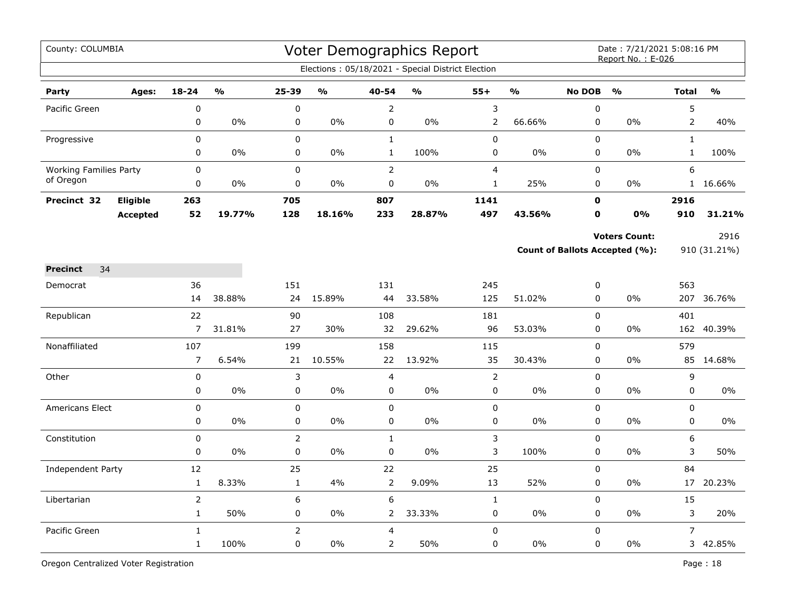| County: COLUMBIA              |                 |                  |               |                |               |                | Voter Demographics Report<br>Elections: 05/18/2021 - Special District Election |                |               |               | Date: 7/21/2021 5:08:16 PM<br>Report No.: E-026 |                |               |
|-------------------------------|-----------------|------------------|---------------|----------------|---------------|----------------|--------------------------------------------------------------------------------|----------------|---------------|---------------|-------------------------------------------------|----------------|---------------|
| Party                         | Ages:           | 18-24            | $\frac{1}{2}$ | 25-39          | $\frac{0}{0}$ | 40-54          | $\frac{0}{0}$                                                                  | $55+$          | $\frac{9}{6}$ | <b>No DOB</b> | $\frac{0}{0}$                                   | <b>Total</b>   | $\frac{0}{0}$ |
| Pacific Green                 |                 | 0                |               | $\mathbf 0$    |               | $\overline{2}$ |                                                                                | 3              |               | $\pmb{0}$     |                                                 | 5              |               |
|                               |                 | $\mathbf 0$      | 0%            | $\pmb{0}$      | 0%            | $\pmb{0}$      | 0%                                                                             | $\overline{2}$ | 66.66%        | $\mathbf 0$   | 0%                                              | $\overline{2}$ | 40%           |
| Progressive                   |                 | 0                |               | $\mathbf 0$    |               | $\mathbf{1}$   |                                                                                | 0              |               | $\mathbf 0$   |                                                 | $\mathbf{1}$   |               |
|                               |                 | 0                | $0\%$         | $\pmb{0}$      | 0%            | $\mathbf 1$    | 100%                                                                           | 0              | 0%            | $\mathbf 0$   | 0%                                              | $\mathbf 1$    | 100%          |
| <b>Working Families Party</b> |                 | 0                |               | 0              |               | $\mathsf{2}$   |                                                                                | $\overline{4}$ |               | 0             |                                                 | 6              |               |
| of Oregon                     |                 | 0                | 0%            | 0              | 0%            | $\pmb{0}$      | 0%                                                                             | $\mathbf{1}$   | 25%           | $\pmb{0}$     | 0%                                              |                | 1 16.66%      |
| Precinct 32                   | Eligible        | 263              |               | 705            |               | 807            |                                                                                | 1141           |               | $\mathbf 0$   |                                                 | 2916           |               |
|                               | <b>Accepted</b> | 52               | 19.77%        | 128            | 18.16%        | 233            | 28.87%                                                                         | 497            | 43.56%        | O             | <b>0%</b>                                       | 910            | 31.21%        |
|                               |                 |                  |               |                |               |                |                                                                                |                |               |               | <b>Voters Count:</b>                            |                | 2916          |
|                               |                 |                  |               |                |               |                |                                                                                |                |               |               | <b>Count of Ballots Accepted (%):</b>           |                | 910 (31.21%)  |
| 34<br><b>Precinct</b>         |                 |                  |               |                |               |                |                                                                                |                |               |               |                                                 |                |               |
| Democrat                      |                 | 36               |               | 151            |               | 131            |                                                                                | 245            |               | 0             |                                                 | 563            |               |
|                               |                 | 14               | 38.88%        | 24             | 15.89%        | 44             | 33.58%                                                                         | 125            | 51.02%        | 0             | 0%                                              | 207            | 36.76%        |
| Republican                    |                 | 22               |               | 90             |               | 108            |                                                                                | 181            |               | 0             |                                                 | 401            |               |
|                               |                 | 7                | 31.81%        | 27             | 30%           | 32             | 29.62%                                                                         | 96             | 53.03%        | 0             | 0%                                              | 162            | 40.39%        |
| Nonaffiliated                 |                 | 107              |               | 199            |               | 158            |                                                                                | 115            |               | $\mathbf 0$   |                                                 | 579            |               |
|                               |                 | $\boldsymbol{7}$ | 6.54%         | 21             | 10.55%        | 22             | 13.92%                                                                         | 35             | 30.43%        | $\pmb{0}$     | 0%                                              |                | 85 14.68%     |
| Other                         |                 | 0                |               | 3              |               | $\overline{4}$ |                                                                                | $\mathsf{2}$   |               | $\pmb{0}$     |                                                 | 9              |               |
|                               |                 | 0                | 0%            | 0              | 0%            | 0              | 0%                                                                             | $\mathsf 0$    | $0\%$         | 0             | 0%                                              | 0              | 0%            |
| <b>Americans Elect</b>        |                 | $\Omega$         |               | $\Omega$       |               | $\Omega$       |                                                                                | 0              |               | $\Omega$      |                                                 | 0              |               |
|                               |                 | 0                | 0%            | 0              | 0%            | $\mathbf 0$    | $0\%$                                                                          | 0              | 0%            | $\mathbf 0$   | 0%                                              | 0              | $0\%$         |
| Constitution                  |                 | 0                |               | $\mathsf{2}\,$ |               | $\mathbf{1}$   |                                                                                | 3              |               | $\mathbf 0$   |                                                 | 6              |               |
|                               |                 | $\mathsf 0$      | 0%            | 0              | $0\%$         | $\pmb{0}$      | 0%                                                                             | 3              | 100%          | 0             | 0%                                              | 3              | 50%           |
| Independent Party             |                 | 12               |               | 25             |               | 22             |                                                                                | 25             |               | $\mathbf 0$   |                                                 | 84             |               |
|                               |                 | $\mathbf{1}$     | 8.33%         | $\mathbf{1}$   | 4%            | $\overline{2}$ | 9.09%                                                                          | 13             | 52%           | $\pmb{0}$     | 0%                                              | 17             | 20.23%        |
| Libertarian                   |                 | $\overline{2}$   |               | 6              |               | 6              |                                                                                | $\mathbf{1}$   |               | 0             |                                                 | 15             |               |
|                               |                 | $\mathbf{1}$     | 50%           | 0              | 0%            | $\overline{2}$ | 33.33%                                                                         | 0              | $0\%$         | 0             | 0%                                              | 3              | 20%           |
| Pacific Green                 |                 | $\mathbf{1}$     |               | $\overline{2}$ |               | $\overline{4}$ |                                                                                | 0              |               | 0             |                                                 | $\overline{7}$ |               |
|                               |                 | $\mathbf{1}$     | 100%          | 0              | 0%            | $\overline{2}$ | 50%                                                                            | 0              | $0\%$         | $\pmb{0}$     | 0%                                              | 3              | 42.85%        |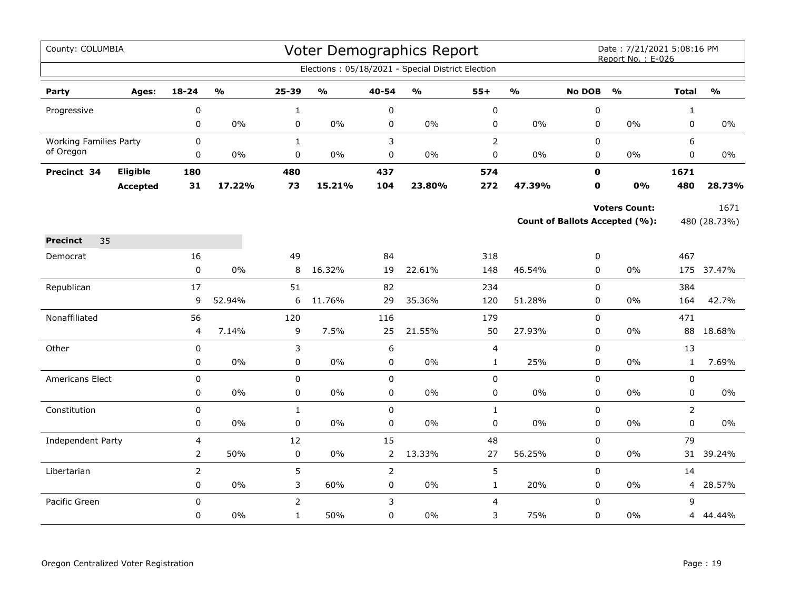| County: COLUMBIA              |          |                             |               |                   |               |                     | Voter Demographics Report                         |                  |               |                  | Date: 7/21/2021 5:08:16 PM<br>Report No.: E-026 |                |               |
|-------------------------------|----------|-----------------------------|---------------|-------------------|---------------|---------------------|---------------------------------------------------|------------------|---------------|------------------|-------------------------------------------------|----------------|---------------|
|                               |          |                             |               |                   |               |                     | Elections: 05/18/2021 - Special District Election |                  |               |                  |                                                 |                |               |
| Party                         | Ages:    | 18-24                       | $\frac{9}{6}$ | 25-39             | $\frac{1}{2}$ | 40-54               | $\frac{0}{0}$                                     | $55+$            | $\frac{1}{2}$ | <b>No DOB</b>    | $\frac{0}{0}$                                   | <b>Total</b>   | $\frac{0}{0}$ |
| Progressive                   |          | 0                           |               | $\mathbf{1}$      |               | 0                   |                                                   | 0                |               | 0                |                                                 | 1              |               |
|                               |          | $\mathbf 0$                 | $0\%$         | 0                 | 0%            | 0                   | 0%                                                | $\pmb{0}$        | $0\%$         | 0                | $0\%$                                           | 0              | 0%            |
| <b>Working Families Party</b> |          | $\pmb{0}$                   |               | $\mathbf{1}$      |               | 3                   |                                                   | $\overline{2}$   |               | $\mathbf 0$      |                                                 | 6              |               |
| of Oregon                     |          | 0                           | $0\%$         | $\pmb{0}$         | $0\%$         | $\pmb{0}$           | $0\%$                                             | $\pmb{0}$        | $0\%$         | 0                | $0\%$                                           | 0              | $0\%$         |
| Precinct 34                   | Eligible | 180                         |               | 480               |               | 437                 |                                                   | 574              |               | $\mathbf 0$      |                                                 | 1671           |               |
|                               | Accepted | 31                          | 17.22%        | 73                | 15.21%        | 104                 | 23.80%                                            | 272              | 47.39%        | O                | 0%                                              | 480            | 28.73%        |
|                               |          |                             |               |                   |               |                     |                                                   |                  |               |                  | <b>Voters Count:</b>                            |                | 1671          |
|                               |          |                             |               |                   |               |                     |                                                   |                  |               |                  | <b>Count of Ballots Accepted (%):</b>           |                | 480 (28.73%)  |
| <b>Precinct</b><br>35         |          |                             |               |                   |               |                     |                                                   |                  |               |                  |                                                 |                |               |
| Democrat                      |          | 16                          |               | 49                |               | 84                  |                                                   | 318              |               | 0                |                                                 | 467            |               |
|                               |          | $\pmb{0}$                   | $0\%$         | 8                 | 16.32%        | 19                  | 22.61%                                            | 148              | 46.54%        | 0                | $0\%$                                           |                | 175 37.47%    |
| Republican                    |          | 17                          |               | 51                |               | 82                  |                                                   | 234              |               | 0                |                                                 | 384            |               |
|                               |          | 9                           | 52.94%        | 6                 | 11.76%        | 29                  | 35.36%                                            | 120              | 51.28%        | 0                | 0%                                              | 164            | 42.7%         |
| Nonaffiliated                 |          | 56                          |               | 120               |               | 116                 |                                                   | 179              |               | $\mathbf 0$      |                                                 | 471            |               |
|                               |          | 4                           | 7.14%         | 9                 | 7.5%          | 25                  | 21.55%                                            | 50               | 27.93%        | 0                | $0\%$                                           |                | 88 18.68%     |
| Other                         |          | $\pmb{0}$                   |               | 3                 |               | 6                   |                                                   | $\overline{4}$   |               | 0                |                                                 | 13             |               |
|                               |          | 0                           | $0\%$         | $\pmb{0}$         | $0\%$         | 0                   | $0\%$                                             | $\mathbf 1$      | 25%           | 0                | 0%                                              | $\mathbf{1}$   | 7.69%         |
| Americans Elect               |          | $\mathbf 0$                 |               | $\mathbf 0$       |               | $\mathbf 0$         |                                                   | $\mathbf 0$      |               | $\mathbf 0$      |                                                 | 0              |               |
|                               |          | $\mathbf 0$                 | $0\%$         | $\mathbf 0$       | $0\%$         | $\mathbf 0$         | $0\%$                                             | $\pmb{0}$        | $0\%$         | $\mathbf 0$      | $0\%$                                           | $\mathbf 0$    | 0%            |
| Constitution                  |          | $\pmb{0}$                   |               | $\mathbf{1}$      |               | $\pmb{0}$           |                                                   | $\mathbf 1$      |               | 0                |                                                 | $\overline{2}$ |               |
|                               |          | 0                           | $0\%$         | 0                 | $0\%$         | 0                   | $0\%$                                             | $\pmb{0}$        | $0\%$         | 0                | $0\%$                                           | $\mathbf 0$    | 0%            |
| Independent Party             |          | $\overline{4}$<br>2         | 50%           | 12<br>$\mathbf 0$ | $0\%$         | 15<br>2             | 13.33%                                            | 48<br>27         | 56.25%        | $\mathbf 0$<br>0 | 0%                                              | 79<br>31       | 39.24%        |
|                               |          |                             |               |                   |               |                     |                                                   |                  |               |                  |                                                 |                |               |
| Libertarian                   |          | $\overline{2}$<br>$\pmb{0}$ | $0\%$         | 5<br>3            | 60%           | $\overline{2}$<br>0 | $0\%$                                             | 5<br>$\mathbf 1$ | 20%           | $\mathbf 0$<br>0 | $0\%$                                           | 14<br>4        | 28.57%        |
| Pacific Green                 |          | $\Omega$                    |               | $\overline{2}$    |               | 3                   |                                                   | $\overline{4}$   |               | 0                |                                                 | 9              |               |
|                               |          | 0                           | $0\%$         | $\mathbf{1}$      | 50%           | $\mathbf 0$         | $0\%$                                             | 3                | 75%           | 0                | 0%                                              |                | 4 44.44%      |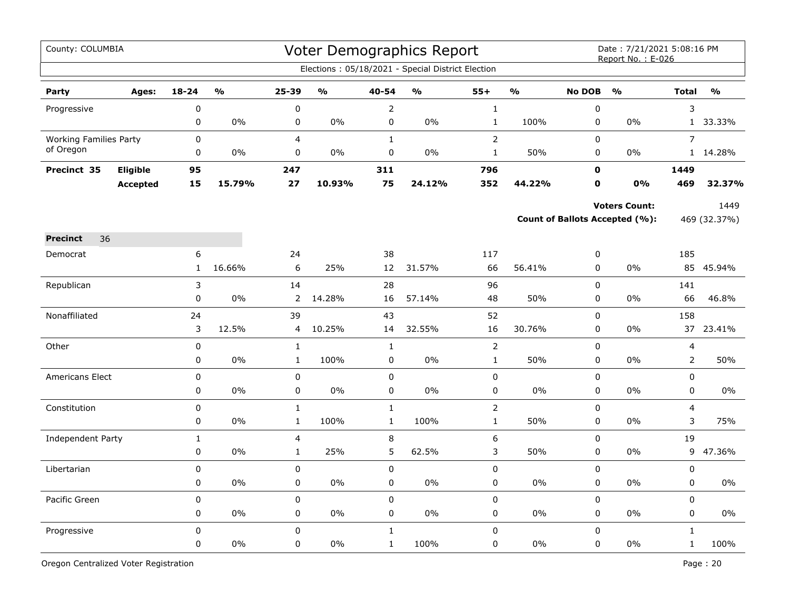| County: COLUMBIA              |                 |              |               |                |                         |                | Voter Demographics Report<br>Elections: 05/18/2021 - Special District Election |                |                         |               | Date: 7/21/2021 5:08:16 PM<br>Report No.: E-026 |                         |               |
|-------------------------------|-----------------|--------------|---------------|----------------|-------------------------|----------------|--------------------------------------------------------------------------------|----------------|-------------------------|---------------|-------------------------------------------------|-------------------------|---------------|
| Party                         | Ages:           | $18 - 24$    | $\frac{1}{2}$ | 25-39          | $\mathbf{0}/\mathbf{0}$ | 40-54          | $\mathbf{O}/\mathbf{o}$                                                        | $55+$          | $\mathbf{O}/\mathbf{O}$ | <b>No DOB</b> | $\frac{0}{0}$                                   | <b>Total</b>            | $\frac{1}{2}$ |
| Progressive                   |                 | 0            |               | $\pmb{0}$      |                         | $\overline{2}$ |                                                                                | $\mathbf{1}$   |                         | $\mathbf 0$   |                                                 | 3                       |               |
|                               |                 | $\pmb{0}$    | 0%            | 0              | $0\%$                   | $\pmb{0}$      | $0\%$                                                                          | $\mathbf{1}$   | 100%                    | $\mathsf 0$   | 0%                                              | 1                       | 33.33%        |
| <b>Working Families Party</b> |                 | $\pmb{0}$    |               | $\overline{4}$ |                         | $\mathbf 1$    |                                                                                | $\overline{2}$ |                         | $\mathsf 0$   |                                                 | $\overline{7}$          |               |
| of Oregon                     |                 | 0            | 0%            | $\pmb{0}$      | 0%                      | $\pmb{0}$      | 0%                                                                             | $\mathbf 1$    | 50%                     | $\pmb{0}$     | 0%                                              |                         | 1 14.28%      |
| Precinct 35                   | Eligible        | 95           |               | 247            |                         | 311            |                                                                                | 796            |                         | $\mathbf 0$   |                                                 | 1449                    |               |
|                               | <b>Accepted</b> | 15           | 15.79%        | 27             | 10.93%                  | 75             | 24.12%                                                                         | 352            | 44.22%                  | O             | 0%                                              | 469                     | 32.37%        |
|                               |                 |              |               |                |                         |                |                                                                                |                |                         |               | <b>Voters Count:</b>                            |                         | 1449          |
|                               |                 |              |               |                |                         |                |                                                                                |                |                         |               | Count of Ballots Accepted (%):                  |                         | 469 (32.37%)  |
| 36<br><b>Precinct</b>         |                 |              |               |                |                         |                |                                                                                |                |                         |               |                                                 |                         |               |
| Democrat                      |                 | 6            |               | 24             |                         | 38             |                                                                                | 117            |                         | 0             |                                                 | 185                     |               |
|                               |                 | $\mathbf{1}$ | 16.66%        | 6              | 25%                     | 12             | 31.57%                                                                         | 66             | 56.41%                  | $\mathbf 0$   | 0%                                              | 85                      | 45.94%        |
| Republican                    |                 | 3            |               | 14             |                         | 28             |                                                                                | 96             |                         | $\mathbf 0$   |                                                 | 141                     |               |
|                               |                 | 0            | 0%            | $\overline{2}$ | 14.28%                  | 16             | 57.14%                                                                         | 48             | 50%                     | 0             | $0\%$                                           | 66                      | 46.8%         |
| Nonaffiliated                 |                 | 24           |               | 39             |                         | 43             |                                                                                | 52             |                         | $\mathsf 0$   |                                                 | 158                     |               |
|                               |                 | 3            | 12.5%         | $\overline{4}$ | 10.25%                  | 14             | 32.55%                                                                         | 16             | 30.76%                  | $\mathbf 0$   | $0\%$                                           | 37                      | 23.41%        |
| Other                         |                 | $\mathsf 0$  |               | $\mathbf 1$    |                         | $\mathbf 1$    |                                                                                | $\overline{2}$ |                         | $\mathsf 0$   |                                                 | $\overline{\mathbf{4}}$ |               |
|                               |                 | 0            | 0%            | $\mathbf{1}$   | 100%                    | $\pmb{0}$      | 0%                                                                             | $\mathbf{1}$   | 50%                     | $\pmb{0}$     | 0%                                              | $\overline{2}$          | 50%           |
| <b>Americans Elect</b>        |                 | $\pmb{0}$    |               | $\mathbf 0$    |                         | $\mathbf 0$    |                                                                                | $\pmb{0}$      |                         | $\mathbf 0$   |                                                 | $\mathbf 0$             |               |
|                               |                 | 0            | 0%            | 0              | 0%                      | $\mathbf 0$    | 0%                                                                             | $\pmb{0}$      | 0%                      | $\mathbf 0$   | 0%                                              | 0                       | 0%            |
| Constitution                  |                 | 0            |               | $\mathbf 1$    |                         | $\mathbf 1$    |                                                                                | $\overline{2}$ |                         | $\mathsf 0$   |                                                 | $\overline{\mathbf{4}}$ |               |
|                               |                 | 0            | 0%            | $\mathbf{1}$   | 100%                    | $\mathbf{1}$   | 100%                                                                           | $1\,$          | 50%                     | 0             | 0%                                              | 3                       | 75%           |
| Independent Party             |                 | $1\,$        |               | 4              |                         | $\,8\,$        |                                                                                | 6              |                         | $\pmb{0}$     |                                                 | 19                      |               |
|                               |                 | 0            | 0%            | $\mathbf{1}$   | 25%                     | 5              | 62.5%                                                                          | 3              | 50%                     | $\mathbf 0$   | $0\%$                                           | 9                       | 47.36%        |
| Libertarian                   |                 | 0            |               | 0              |                         | $\mathbf 0$    |                                                                                | 0              |                         | $\mathbf 0$   |                                                 | $\mathbf 0$             |               |
|                               |                 | 0            | 0%            | 0              | $0\%$                   | 0              | $0\%$                                                                          | 0              | $0\%$                   | $\pmb{0}$     | $0\%$                                           | $\mathbf 0$             | $0\%$         |
| Pacific Green                 |                 | $\mathbf 0$  |               | $\mathbf 0$    |                         | $\mathbf 0$    |                                                                                | $\mathsf 0$    |                         | $\mathbf 0$   |                                                 | $\mathbf 0$             |               |
|                               |                 | 0            | $0\%$         | $\pmb{0}$      | 0%                      | $\pmb{0}$      | 0%                                                                             | $\pmb{0}$      | $0\%$                   | $\pmb{0}$     | 0%                                              | $\pmb{0}$               | $0\%$         |
| Progressive                   |                 | 0            |               | $\mathsf 0$    |                         | $\mathbf{1}$   |                                                                                | $\pmb{0}$      |                         | $\mathsf 0$   |                                                 | $\mathbf{1}$            |               |
|                               |                 | 0            | 0%            | 0              | 0%                      | $\mathbf{1}$   | 100%                                                                           | 0              | 0%                      | $\pmb{0}$     | 0%                                              | $\mathbf 1$             | 100%          |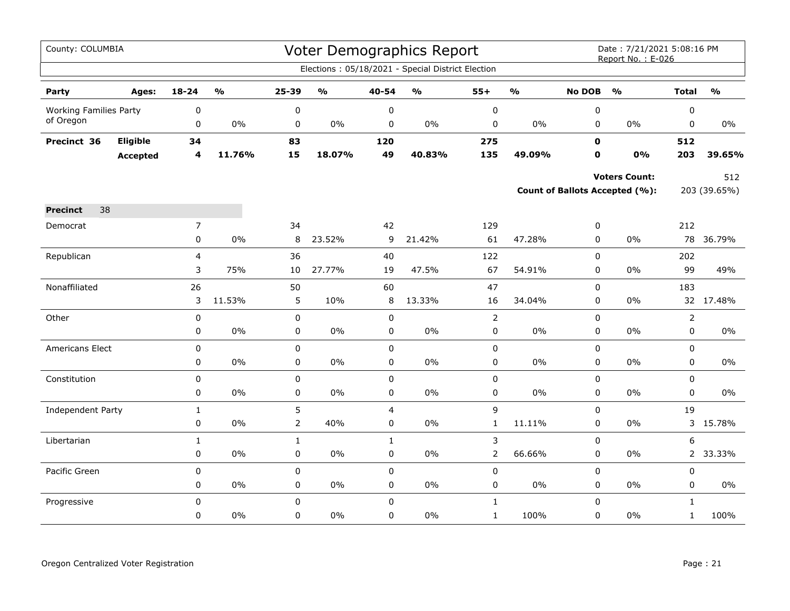| County: COLUMBIA              |                 |                |               |                |               |                | Voter Demographics Report                         |                |               |               | Date: 7/21/2021 5:08:16 PM<br>Report No.: E-026 |                |               |
|-------------------------------|-----------------|----------------|---------------|----------------|---------------|----------------|---------------------------------------------------|----------------|---------------|---------------|-------------------------------------------------|----------------|---------------|
|                               |                 |                |               |                |               |                | Elections: 05/18/2021 - Special District Election |                |               |               |                                                 |                |               |
| Party                         | Ages:           | 18-24          | $\frac{1}{2}$ | 25-39          | $\frac{1}{2}$ | 40-54          | $\frac{0}{0}$                                     | $55+$          | $\frac{1}{2}$ | <b>No DOB</b> | $\frac{1}{2}$                                   | <b>Total</b>   | $\frac{0}{0}$ |
| <b>Working Families Party</b> |                 | $\pmb{0}$      |               | $\pmb{0}$      |               | 0              |                                                   | 0              |               | $\pmb{0}$     |                                                 | $\pmb{0}$      |               |
| of Oregon                     |                 | $\mathbf 0$    | $0\%$         | 0              | 0%            | $\mathbf 0$    | $0\%$                                             | 0              | $0\%$         | $\mathbf 0$   | $0\%$                                           | $\mathbf 0$    | $0\%$         |
| Precinct 36                   | Eligible        | 34             |               | 83             |               | 120            |                                                   | 275            |               | $\mathbf 0$   |                                                 | 512            |               |
|                               | <b>Accepted</b> | 4              | 11.76%        | 15             | 18.07%        | 49             | 40.83%                                            | 135            | 49.09%        | 0             | 0%                                              | 203            | 39.65%        |
|                               |                 |                |               |                |               |                |                                                   |                |               |               | <b>Voters Count:</b>                            |                | 512           |
|                               |                 |                |               |                |               |                |                                                   |                |               |               | Count of Ballots Accepted (%):                  |                | 203 (39.65%)  |
| 38<br><b>Precinct</b>         |                 |                |               |                |               |                |                                                   |                |               |               |                                                 |                |               |
| Democrat                      |                 | $\overline{7}$ |               | 34             |               | 42             |                                                   | 129            |               | $\pmb{0}$     |                                                 | 212            |               |
|                               |                 | 0              | 0%            | 8              | 23.52%        | 9              | 21.42%                                            | 61             | 47.28%        | 0             | 0%                                              | 78             | 36.79%        |
| Republican                    |                 | $\overline{4}$ |               | 36             |               | 40             |                                                   | 122            |               | $\pmb{0}$     |                                                 | 202            |               |
|                               |                 | 3              | 75%           | 10             | 27.77%        | 19             | 47.5%                                             | 67             | 54.91%        | $\mathbf 0$   | $0\%$                                           | 99             | 49%           |
| Nonaffiliated                 |                 | 26             |               | 50             |               | 60             |                                                   | 47             |               | $\pmb{0}$     |                                                 | 183            |               |
|                               |                 | 3              | 11.53%        | 5              | 10%           | 8              | 13.33%                                            | 16             | 34.04%        | $\pmb{0}$     | $0\%$                                           |                | 32 17.48%     |
| Other                         |                 | $\pmb{0}$      |               | $\pmb{0}$      |               | $\pmb{0}$      |                                                   | $\overline{2}$ |               | $\mathsf 0$   |                                                 | $\overline{2}$ |               |
|                               |                 | $\mathbf 0$    | $0\%$         | $\pmb{0}$      | 0%            | $\mathbf 0$    | $0\%$                                             | 0              | $0\%$         | $\pmb{0}$     | $0\%$                                           | $\pmb{0}$      | $0\%$         |
| <b>Americans Elect</b>        |                 | $\pmb{0}$      |               | $\pmb{0}$      |               | $\mathsf 0$    |                                                   | 0              |               | $\pmb{0}$     |                                                 | $\mathsf 0$    |               |
|                               |                 | 0              | $0\%$         | 0              | 0%            | $\pmb{0}$      | $0\%$                                             | 0              | $0\%$         | $\pmb{0}$     | $0\%$                                           | $\pmb{0}$      | $0\%$         |
| Constitution                  |                 | $\mathbf 0$    |               | $\mathbf 0$    |               | $\mathbf 0$    |                                                   | 0              |               | $\mathbf 0$   |                                                 | $\mathbf 0$    |               |
|                               |                 | $\pmb{0}$      | 0%            | $\pmb{0}$      | 0%            | $\pmb{0}$      | $0\%$                                             | 0              | 0%            | $\pmb{0}$     | 0%                                              | $\pmb{0}$      | $0\%$         |
| Independent Party             |                 | $\mathbf{1}$   |               | 5              |               | $\overline{4}$ |                                                   | 9              |               | $\pmb{0}$     |                                                 | 19             |               |
|                               |                 | $\mathbf 0$    | $0\%$         | $\overline{2}$ | 40%           | 0              | 0%                                                | $\mathbf{1}$   | 11.11%        | $\mathbf 0$   | $0\%$                                           |                | 3 15.78%      |
| Libertarian                   |                 | $\mathbf{1}$   |               | $\mathbf{1}$   |               | $\mathbf{1}$   |                                                   | 3              |               | $\mathbf 0$   |                                                 | 6              |               |
|                               |                 | $\pmb{0}$      | $0\%$         | $\pmb{0}$      | 0%            | $\pmb{0}$      | 0%                                                | 2              | 66.66%        | $\pmb{0}$     | $0\%$                                           | $\overline{2}$ | 33.33%        |
| Pacific Green                 |                 | $\mathbf 0$    |               | $\mathbf 0$    |               | $\mathbf 0$    |                                                   | 0              |               | $\mathbf 0$   |                                                 | $\pmb{0}$      |               |
|                               |                 | 0              | $0\%$         | 0              | 0%            | $\mathbf 0$    | $0\%$                                             | 0              | $0\%$         | 0             | $0\%$                                           | 0              | $0\%$         |
| Progressive                   |                 | $\mathbf 0$    |               | $\pmb{0}$      |               | $\mathsf 0$    |                                                   | $\mathbf{1}$   |               | $\pmb{0}$     |                                                 | $\mathbf 1$    |               |
|                               |                 | 0              | 0%            | $\mathbf 0$    | 0%            | 0              | 0%                                                | $\mathbf{1}$   | 100%          | $\mathbf 0$   | $0\%$                                           | $\mathbf 1$    | 100%          |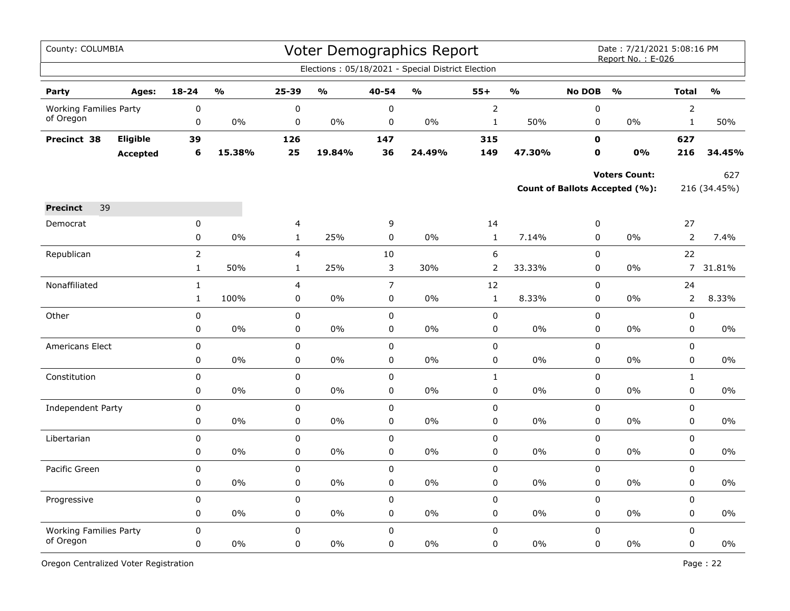| County: COLUMBIA                           |                 |                |               |                |               |                | Voter Demographics Report                         |                |               |               | Date: 7/21/2021 5:08:16 PM<br>Report No.: E-026 |                |               |
|--------------------------------------------|-----------------|----------------|---------------|----------------|---------------|----------------|---------------------------------------------------|----------------|---------------|---------------|-------------------------------------------------|----------------|---------------|
|                                            |                 |                |               |                |               |                | Elections: 05/18/2021 - Special District Election |                |               |               |                                                 |                |               |
| Party                                      | Ages:           | 18-24          | $\frac{0}{0}$ | 25-39          | $\frac{1}{2}$ | 40-54          | $\frac{0}{0}$                                     | $55+$          | $\frac{1}{2}$ | <b>No DOB</b> | $\frac{0}{0}$                                   | <b>Total</b>   | $\frac{1}{2}$ |
| <b>Working Families Party</b>              |                 | 0              |               | $\pmb{0}$      |               | 0              |                                                   | $\overline{2}$ |               | 0             |                                                 | $\overline{2}$ |               |
| of Oregon                                  |                 | 0              | 0%            | 0              | 0%            | 0              | 0%                                                | $\mathbf{1}$   | 50%           | 0             | $0\%$                                           | $\mathbf{1}$   | 50%           |
| Precinct 38                                | Eligible        | 39             |               | 126            |               | 147            |                                                   | 315            |               | $\mathbf 0$   |                                                 | 627            |               |
|                                            | <b>Accepted</b> | 6              | 15.38%        | 25             | 19.84%        | 36             | 24.49%                                            | 149            | 47.30%        | $\mathbf 0$   | 0%                                              | 216            | 34.45%        |
|                                            |                 |                |               |                |               |                |                                                   |                |               |               | <b>Voters Count:</b>                            |                | 627           |
|                                            |                 |                |               |                |               |                |                                                   |                |               |               | Count of Ballots Accepted (%):                  |                | 216 (34.45%)  |
| 39<br><b>Precinct</b>                      |                 |                |               |                |               |                |                                                   |                |               |               |                                                 |                |               |
| Democrat                                   |                 | 0              |               | 4              |               | 9              |                                                   | 14             |               | $\pmb{0}$     |                                                 | 27             |               |
|                                            |                 | 0              | 0%            | $\mathbf{1}$   | 25%           | 0              | 0%                                                | $\mathbf 1$    | 7.14%         | 0             | 0%                                              | $\overline{2}$ | 7.4%          |
| Republican                                 |                 | $\overline{2}$ |               | $\overline{4}$ |               | 10             |                                                   | 6              |               | $\mathsf 0$   |                                                 | 22             |               |
|                                            |                 | $\mathbf{1}$   | 50%           | $\mathbf{1}$   | 25%           | 3              | 30%                                               | $\overline{2}$ | 33.33%        | $\pmb{0}$     | 0%                                              | 7 <sup>7</sup> | 31.81%        |
| Nonaffiliated                              |                 | $\mathbf{1}$   |               | 4              |               | $\overline{7}$ |                                                   | 12             |               | $\pmb{0}$     |                                                 | 24             |               |
|                                            |                 | $\mathbf{1}$   | 100%          | $\mathbf 0$    | 0%            | 0              | 0%                                                | $\mathbf{1}$   | 8.33%         | $\mathbf 0$   | 0%                                              | $\overline{2}$ | 8.33%         |
| Other                                      |                 | $\pmb{0}$      |               | $\pmb{0}$      |               | 0              |                                                   | $\pmb{0}$      |               | $\mathbf 0$   |                                                 | 0              |               |
|                                            |                 | 0              | 0%            | 0              | 0%            | $\pmb{0}$      | 0%                                                | $\mathbf 0$    | 0%            | $\pmb{0}$     | 0%                                              | 0              | 0%            |
| Americans Elect                            |                 | 0              |               | 0              |               | 0              |                                                   | $\mathbf 0$    |               | $\mathbf 0$   |                                                 | 0              |               |
|                                            |                 | 0              | 0%            | 0              | 0%            | 0              | 0%                                                | $\mathbf 0$    | 0%            | $\pmb{0}$     | $0\%$                                           | 0              | 0%            |
| Constitution                               |                 | 0              |               | $\pmb{0}$      |               | $\mathbf 0$    |                                                   | $\mathbf{1}$   |               | $\pmb{0}$     |                                                 | $\mathbf{1}$   |               |
|                                            |                 | 0              | 0%            | 0              | 0%            | 0              | 0%                                                | 0              | $0\%$         | 0             | $0\%$                                           | 0              | 0%            |
| <b>Independent Party</b>                   |                 | 0              |               | $\mathbf 0$    |               | 0              |                                                   | $\mathbf 0$    |               | $\mathbf 0$   |                                                 | 0              |               |
|                                            |                 | 0              | $0\%$         | $\mathsf 0$    | 0%            | $\pmb{0}$      | 0%                                                | $\pmb{0}$      | 0%            | $\pmb{0}$     | 0%                                              | $\pmb{0}$      | $0\%$         |
| Libertarian                                |                 | 0              |               | $\pmb{0}$      |               | $\pmb{0}$      |                                                   | $\pmb{0}$      |               | $\pmb{0}$     |                                                 | $\pmb{0}$      |               |
|                                            |                 | 0              | 0%            | $\mathbf 0$    | 0%            | $\pmb{0}$      | 0%                                                | $\mathbf 0$    | 0%            | $\mathbf 0$   | 0%                                              | $\mathbf 0$    | $0\%$         |
| Pacific Green                              |                 | 0              |               | $\mathbf 0$    |               | $\mathbf 0$    |                                                   | $\mathbf 0$    |               | $\mathbf 0$   |                                                 | $\mathbf 0$    |               |
|                                            |                 | 0              | 0%            | 0              | 0%            | 0              | 0%                                                | 0              | 0%            | $\mathbf 0$   | 0%                                              | 0              | $0\%$         |
| Progressive                                |                 | $\pmb{0}$      |               | 0              |               | $\pmb{0}$      |                                                   | 0              |               | $\mathbf 0$   |                                                 | $\mathbf 0$    |               |
|                                            |                 | 0              | 0%            | 0              | 0%            | $\pmb{0}$      | 0%                                                | $\mathbf 0$    | 0%            | $\pmb{0}$     | 0%                                              | 0              | 0%            |
| <b>Working Families Party</b><br>of Oregon |                 | 0              |               | $\mathbf 0$    |               | $\mathbf 0$    |                                                   | 0              |               | $\mathbf 0$   |                                                 | 0              |               |
|                                            |                 | 0              | 0%            | $\mathbf 0$    | 0%            | 0              | 0%                                                | $\mathbf 0$    | $0\%$         | 0             | $0\%$                                           | 0              | 0%            |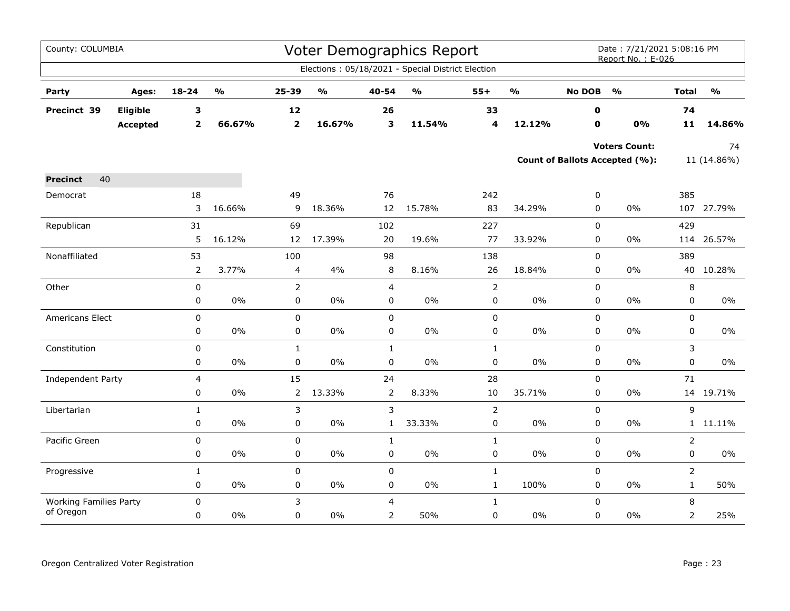| County: COLUMBIA              |                 |                |                         |                         |                                   |                | Voter Demographics Report                         |                |                         |               | Date: 7/21/2021 5:08:16 PM<br>Report No.: E-026 |                |                         |
|-------------------------------|-----------------|----------------|-------------------------|-------------------------|-----------------------------------|----------------|---------------------------------------------------|----------------|-------------------------|---------------|-------------------------------------------------|----------------|-------------------------|
|                               |                 |                |                         |                         |                                   |                | Elections: 05/18/2021 - Special District Election |                |                         |               |                                                 |                |                         |
| Party                         | Ages:           | $18 - 24$      | $\mathbf{0}/\mathbf{0}$ | 25-39                   | $\mathsf{o}\mathsf{v}_\mathsf{o}$ | 40-54          | $\mathsf{o}\mathsf{v}_\mathsf{o}$                 | $55+$          | $\mathbf{O}/\mathbf{O}$ | <b>No DOB</b> | $\frac{1}{2}$                                   | <b>Total</b>   | $\mathbf{0}/\mathbf{0}$ |
| Precinct 39                   | Eligible        | ${\bf 3}$      |                         | 12                      |                                   | 26             |                                                   | 33             |                         | 0             |                                                 | 74             |                         |
|                               | <b>Accepted</b> | $\mathbf{2}$   | 66.67%                  | $\overline{\mathbf{2}}$ | 16.67%                            | 3              | 11.54%                                            | 4              | 12.12%                  | $\mathbf 0$   | 0%                                              | 11             | 14.86%                  |
|                               |                 |                |                         |                         |                                   |                |                                                   |                |                         |               | <b>Voters Count:</b>                            |                | 74                      |
|                               |                 |                |                         |                         |                                   |                |                                                   |                |                         |               | <b>Count of Ballots Accepted (%):</b>           |                | 11 (14.86%)             |
| 40<br><b>Precinct</b>         |                 |                |                         |                         |                                   |                |                                                   |                |                         |               |                                                 |                |                         |
| Democrat                      |                 | 18             |                         | 49                      |                                   | 76             |                                                   | 242            |                         | 0             |                                                 | 385            |                         |
|                               |                 | 3              | 16.66%                  | 9                       | 18.36%                            | 12             | 15.78%                                            | 83             | 34.29%                  | 0             | $0\%$                                           |                | 107 27.79%              |
| Republican                    |                 | 31             |                         | 69                      |                                   | 102            |                                                   | 227            |                         | 0             |                                                 | 429            |                         |
|                               |                 | 5              | 16.12%                  | 12                      | 17.39%                            | 20             | 19.6%                                             | 77             | 33.92%                  | 0             | 0%                                              |                | 114 26.57%              |
| Nonaffiliated                 |                 | 53             |                         | 100                     |                                   | 98             |                                                   | 138            |                         | 0             |                                                 | 389            |                         |
|                               |                 | $\overline{2}$ | 3.77%                   | 4                       | 4%                                | 8              | 8.16%                                             | 26             | 18.84%                  | 0             | $0\%$                                           | 40             | 10.28%                  |
| Other                         |                 | $\pmb{0}$      |                         | $\overline{2}$          |                                   | $\overline{4}$ |                                                   | $\overline{2}$ |                         | 0             |                                                 | 8              |                         |
|                               |                 | 0              | 0%                      | 0                       | $0\%$                             | $\mathbf 0$    | $0\%$                                             | 0              | 0%                      | 0             | $0\%$                                           | 0              | 0%                      |
| Americans Elect               |                 | $\pmb{0}$      |                         | 0                       |                                   | $\pmb{0}$      |                                                   | $\pmb{0}$      |                         | 0             |                                                 | 0              |                         |
|                               |                 | 0              | 0%                      | 0                       | $0\%$                             | $\mathbf 0$    | 0%                                                | $\mathsf 0$    | 0%                      | 0             | 0%                                              | 0              | $0\%$                   |
| Constitution                  |                 | $\pmb{0}$      |                         | $\mathbf{1}$            |                                   | $\mathbf{1}$   |                                                   | $\mathbf{1}$   |                         | 0             |                                                 | 3              |                         |
|                               |                 | $\pmb{0}$      | 0%                      | 0                       | $0\%$                             | $\pmb{0}$      | $0\%$                                             | $\pmb{0}$      | $0\%$                   | 0             | 0%                                              | 0              | 0%                      |
| <b>Independent Party</b>      |                 | 4              |                         | 15                      |                                   | 24             |                                                   | 28             |                         | 0             |                                                 | 71             |                         |
|                               |                 | $\pmb{0}$      | $0\%$                   | $\overline{2}$          | 13.33%                            | $\overline{2}$ | 8.33%                                             | $10\,$         | 35.71%                  | $\mathbf 0$   | 0%                                              |                | 14 19.71%               |
| Libertarian                   |                 | $\mathbf{1}$   |                         | 3                       |                                   | 3              |                                                   | $\overline{2}$ |                         | 0             |                                                 | 9              |                         |
|                               |                 | $\pmb{0}$      | 0%                      | 0                       | 0%                                | $\mathbf{1}$   | 33.33%                                            | $\mathsf 0$    | 0%                      | 0             | 0%                                              |                | 1 11.11%                |
| Pacific Green                 |                 | $\mathbf 0$    |                         | 0                       |                                   | $\mathbf{1}$   |                                                   | $\mathbf{1}$   |                         | 0             |                                                 | $\overline{2}$ |                         |
|                               |                 | $\pmb{0}$      | $0\%$                   | 0                       | $0\%$                             | $\pmb{0}$      | $0\%$                                             | $\mathsf 0$    | 0%                      | 0             | $0\%$                                           | 0              | $0\%$                   |
| Progressive                   |                 | $1\,$          |                         | 0                       |                                   | $\pmb{0}$      |                                                   | $\mathbf 1$    |                         | $\mathbf 0$   |                                                 | $\overline{2}$ |                         |
|                               |                 | 0              | $0\%$                   | 0                       | $0\%$                             | $\mathbf 0$    | 0%                                                | $\mathbf{1}$   | 100%                    | 0             | 0%                                              | $\mathbf{1}$   | 50%                     |
| <b>Working Families Party</b> |                 | $\mathbf 0$    |                         | 3                       |                                   | $\overline{4}$ |                                                   | $\mathbf{1}$   |                         | 0             |                                                 | 8              |                         |
| of Oregon                     |                 | $\pmb{0}$      | $0\%$                   | 0                       | 0%                                | $\overline{2}$ | 50%                                               | $\pmb{0}$      | $0\%$                   | 0             | 0%                                              | $\overline{2}$ | 25%                     |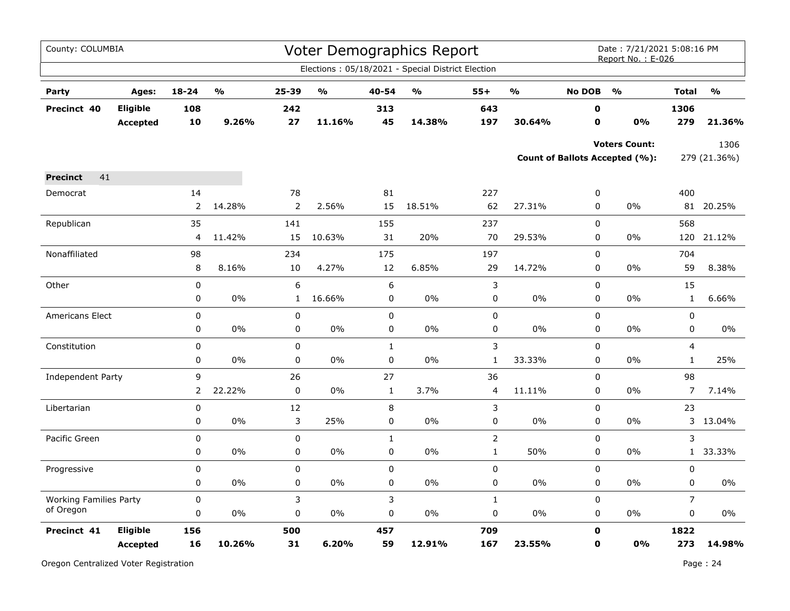| County: COLUMBIA              |                                    |                |               |                |                         |              | <b>Voter Demographics Report</b>                  |                |                         |                            | Date: 7/21/2021 5:08:16 PM<br>Report No.: E-026        |                |                      |
|-------------------------------|------------------------------------|----------------|---------------|----------------|-------------------------|--------------|---------------------------------------------------|----------------|-------------------------|----------------------------|--------------------------------------------------------|----------------|----------------------|
|                               |                                    |                |               |                |                         |              | Elections: 05/18/2021 - Special District Election |                |                         |                            |                                                        |                |                      |
| Party                         | Ages:                              | $18 - 24$      | $\frac{1}{2}$ | 25-39          | $\mathbf{0}/\mathbf{0}$ | 40-54        | $\mathbf{O}/\mathbf{o}$                           | $55+$          | $\mathbf{O}/\mathbf{O}$ | <b>No DOB</b>              | $\frac{0}{0}$                                          | <b>Total</b>   | $\frac{0}{0}$        |
| Precinct 40                   | <b>Eligible</b><br><b>Accepted</b> | 108<br>10      | 9.26%         | 242<br>27      | 11.16%                  | 313<br>45    | 14.38%                                            | 643<br>197     | 30.64%                  | $\mathbf 0$<br>$\mathbf 0$ | 0%                                                     | 1306<br>279    | 21.36%               |
|                               |                                    |                |               |                |                         |              |                                                   |                |                         |                            | <b>Voters Count:</b><br>Count of Ballots Accepted (%): |                | 1306<br>279 (21.36%) |
| 41<br><b>Precinct</b>         |                                    |                |               |                |                         |              |                                                   |                |                         |                            |                                                        |                |                      |
| Democrat                      |                                    | 14             |               | 78             |                         | 81           |                                                   | 227            |                         | 0                          |                                                        | 400            |                      |
|                               |                                    | $\overline{2}$ | 14.28%        | $\overline{2}$ | 2.56%                   | 15           | 18.51%                                            | 62             | 27.31%                  | 0                          | 0%                                                     | 81             | 20.25%               |
| Republican                    |                                    | 35             |               | 141            |                         | 155          |                                                   | 237            |                         | $\mathbf 0$                |                                                        | 568            |                      |
|                               |                                    | 4              | 11.42%        | 15             | 10.63%                  | 31           | 20%                                               | 70             | 29.53%                  | 0                          | 0%                                                     | 120            | 21.12%               |
| Nonaffiliated                 |                                    | 98             |               | 234            |                         | 175          |                                                   | 197            |                         | $\mathbf 0$                |                                                        | 704            |                      |
|                               |                                    | 8              | 8.16%         | 10             | 4.27%                   | 12           | 6.85%                                             | 29             | 14.72%                  | $\mathbf 0$                | $0\%$                                                  | 59             | 8.38%                |
| Other                         |                                    | 0              |               | 6              |                         | 6            |                                                   | 3              |                         | 0                          |                                                        | 15             |                      |
|                               |                                    | 0              | 0%            | $\mathbf{1}$   | 16.66%                  | 0            | 0%                                                | $\pmb{0}$      | $0\%$                   | 0                          | $0\%$                                                  | $\mathbf{1}$   | 6.66%                |
| Americans Elect               |                                    | 0              |               | 0              |                         | 0            |                                                   | $\mathbf 0$    |                         | $\mathbf 0$                |                                                        | $\pmb{0}$      |                      |
|                               |                                    | 0              | $0\%$         | 0              | 0%                      | 0            | 0%                                                | 0              | 0%                      | 0                          | $0\%$                                                  | $\pmb{0}$      | $0\%$                |
| Constitution                  |                                    | 0              |               | $\mathbf 0$    |                         | $\mathbf{1}$ |                                                   | 3              |                         | $\mathsf 0$                |                                                        | 4              |                      |
|                               |                                    | 0              | $0\%$         | $\pmb{0}$      | 0%                      | 0            | 0%                                                | 1              | 33.33%                  | 0                          | $0\%$                                                  | $\mathbf{1}$   | 25%                  |
| Independent Party             |                                    | 9              |               | 26             |                         | 27           |                                                   | 36             |                         | $\pmb{0}$                  |                                                        | 98             |                      |
|                               |                                    | $\overline{2}$ | 22.22%        | $\mathbf 0$    | 0%                      | $\mathbf{1}$ | 3.7%                                              | 4              | 11.11%                  | 0                          | 0%                                                     | $\overline{7}$ | 7.14%                |
| Libertarian                   |                                    | 0              |               | 12             |                         | 8            |                                                   | 3              |                         | 0                          |                                                        | 23             |                      |
|                               |                                    | 0              | $0\%$         | 3              | 25%                     | $\pmb{0}$    | 0%                                                | $\mathbf 0$    | $0\%$                   | $\pmb{0}$                  | $0\%$                                                  |                | 3 13.04%             |
| Pacific Green                 |                                    | 0              |               | $\mathbf 0$    |                         | $\mathbf{1}$ |                                                   | $\overline{2}$ |                         | $\pmb{0}$                  |                                                        | 3              |                      |
|                               |                                    | 0              | 0%            | 0              | 0%                      | 0            | 0%                                                | $\mathbf{1}$   | 50%                     | 0                          | $0\%$                                                  |                | 1 33.33%             |
| Progressive                   |                                    | 0              |               | 0              |                         | 0            |                                                   | 0              |                         | 0                          |                                                        | 0              |                      |
|                               |                                    | 0              | 0%            | 0              | 0%                      | $\pmb{0}$    | 0%                                                | 0              | 0%                      | 0                          | 0%                                                     | $\pmb{0}$      | 0%                   |
| <b>Working Families Party</b> |                                    | 0              |               | 3              |                         | 3            |                                                   | $\mathbf{1}$   |                         | $\mathbf 0$                |                                                        | $\overline{7}$ |                      |
| of Oregon                     |                                    | 0              | $0\%$         | 0              | $0\%$                   | 0            | 0%                                                | 0              | 0%                      | 0                          | $0\%$                                                  | $\mathsf 0$    | $0\%$                |
| Precinct 41                   | Eligible                           | 156            |               | 500            |                         | 457          |                                                   | 709            |                         | $\mathbf 0$                |                                                        | 1822           |                      |
|                               | <b>Accepted</b>                    | 16             | 10.26%        | 31             | 6.20%                   | 59           | 12.91%                                            | 167            | 23.55%                  | O                          | 0%                                                     | 273            | 14.98%               |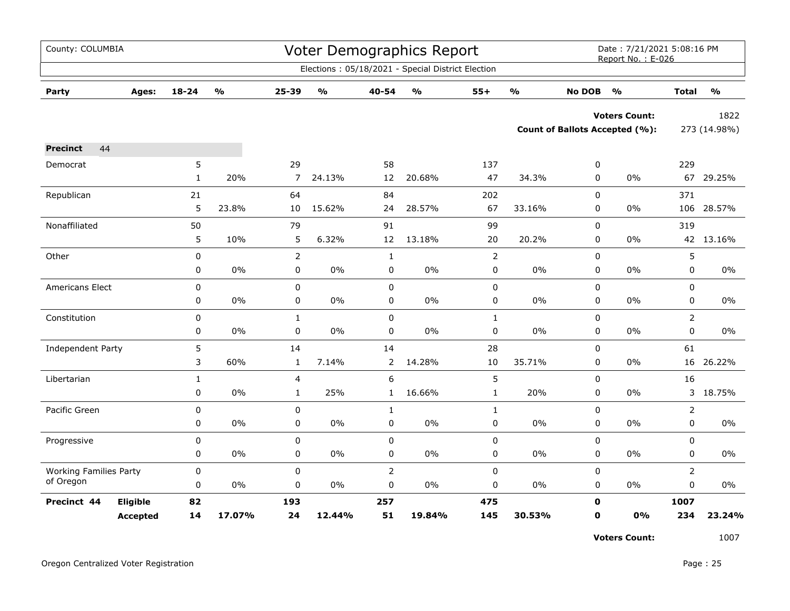| County: COLUMBIA              |                 |              |                         |                |                         |              | Voter Demographics Report                         |                |                         |               | Date: 7/21/2021 5:08:16 PM<br>Report No.: E-026               |                |                         |
|-------------------------------|-----------------|--------------|-------------------------|----------------|-------------------------|--------------|---------------------------------------------------|----------------|-------------------------|---------------|---------------------------------------------------------------|----------------|-------------------------|
|                               |                 |              |                         |                |                         |              | Elections: 05/18/2021 - Special District Election |                |                         |               |                                                               |                |                         |
| Party                         | Ages:           | 18-24        | $\mathbf{O}/\mathbf{o}$ | 25-39          | $\mathbf{O}/\mathbf{o}$ | 40-54        | $\mathbf{o}_{\mathbf{0}}$                         | $55+$          | $\mathbf{O}/\mathbf{O}$ | <b>No DOB</b> | $\frac{1}{2}$                                                 | <b>Total</b>   | $\mathbf{O}/\mathbf{o}$ |
|                               |                 |              |                         |                |                         |              |                                                   |                |                         |               | <b>Voters Count:</b><br><b>Count of Ballots Accepted (%):</b> |                | 1822<br>273 (14.98%)    |
| <b>Precinct</b><br>44         |                 |              |                         |                |                         |              |                                                   |                |                         |               |                                                               |                |                         |
| Democrat                      |                 | 5            |                         | 29             |                         | 58           |                                                   | 137            |                         | 0             |                                                               | 229            |                         |
|                               |                 | $\mathbf{1}$ | 20%                     | $\overline{7}$ | 24.13%                  | 12           | 20.68%                                            | 47             | 34.3%                   | $\mathbf 0$   | $0\%$                                                         |                | 67 29.25%               |
| Republican                    |                 | 21           |                         | 64             |                         | 84           |                                                   | 202            |                         | 0             |                                                               | 371            |                         |
|                               |                 | 5            | 23.8%                   | 10             | 15.62%                  | 24           | 28.57%                                            | 67             | 33.16%                  | 0             | $0\%$                                                         | 106            | 28.57%                  |
| Nonaffiliated                 |                 | 50           |                         | 79             |                         | 91           |                                                   | 99             |                         | $\mathbf 0$   |                                                               | 319            |                         |
|                               |                 | 5            | 10%                     | 5              | 6.32%                   | 12           | 13.18%                                            | 20             | 20.2%                   | 0             | $0\%$                                                         |                | 42 13.16%               |
| Other                         |                 | 0            |                         | $\overline{2}$ |                         | 1            |                                                   | $\overline{2}$ |                         | $\mathbf 0$   |                                                               | 5              |                         |
|                               |                 | 0            | 0%                      | 0              | 0%                      | $\pmb{0}$    | 0%                                                | 0              | $0\%$                   | 0             | 0%                                                            | $\pmb{0}$      | $0\%$                   |
| <b>Americans Elect</b>        |                 | 0            |                         | 0              |                         | $\mathbf 0$  |                                                   | 0              |                         | $\mathbf 0$   |                                                               | $\mathbf 0$    |                         |
|                               |                 | 0            | $0\%$                   | 0              | $0\%$                   | 0            | 0%                                                | 0              | $0\%$                   | 0             | $0\%$                                                         | 0              | $0\%$                   |
| Constitution                  |                 | 0            |                         | $\mathbf{1}$   |                         | $\pmb{0}$    |                                                   | $\mathbf{1}$   |                         | $\pmb{0}$     |                                                               | $\overline{2}$ |                         |
|                               |                 | 0            | $0\%$                   | 0              | 0%                      | 0            | 0%                                                | 0              | $0\%$                   | 0             | $0\%$                                                         | $\mathbf 0$    | $0\%$                   |
| Independent Party             |                 | 5            |                         | 14             |                         | 14           |                                                   | 28             |                         | 0             |                                                               | 61             |                         |
|                               |                 | 3            | 60%                     | $\mathbf{1}$   | 7.14%                   | $\mathbf{2}$ | 14.28%                                            | 10             | 35.71%                  | $\mathbf 0$   | $0\%$                                                         | 16             | 26.22%                  |
| Libertarian                   |                 | 1            |                         | 4              |                         | 6            |                                                   | 5              |                         | $\pmb{0}$     |                                                               | 16             |                         |
|                               |                 | 0            | $0\%$                   | $\mathbf{1}$   | 25%                     | $\mathbf{1}$ | 16.66%                                            | $\mathbf{1}$   | 20%                     | 0             | $0\%$                                                         | 3              | 18.75%                  |
| Pacific Green                 |                 | 0            |                         | 0              |                         | $\mathbf{1}$ |                                                   | $\mathbf{1}$   |                         | 0             |                                                               | 2              |                         |
|                               |                 | 0            | 0%                      | 0              | $0\%$                   | 0            | $0\%$                                             | 0              | $0\%$                   | 0             | $0\%$                                                         | 0              | $0\%$                   |
| Progressive                   |                 | 0            |                         | $\mathbf 0$    |                         | 0            |                                                   | $\mathbf 0$    |                         | 0             |                                                               | 0              |                         |
|                               |                 | 0            | 0%                      | 0              | 0%                      | 0            | 0%                                                | 0              | $0\%$                   | 0             | 0%                                                            | 0              | $0\%$                   |
| <b>Working Families Party</b> |                 | 0            |                         | $\mathbf 0$    |                         | 2            |                                                   | $\mathbf 0$    |                         | $\mathbf 0$   |                                                               | $\overline{2}$ |                         |
| of Oregon                     |                 | 0            | 0%                      | $\mathbf 0$    | 0%                      | 0            | 0%                                                | 0              | 0%                      | $\mathbf 0$   | 0%                                                            | $\mathbf 0$    | $0\%$                   |
| Precinct 44                   | Eligible        | 82           |                         | 193            |                         | 257          |                                                   | 475            |                         | $\mathbf 0$   |                                                               | 1007           |                         |
|                               | <b>Accepted</b> | 14           | 17.07%                  | 24             | 12.44%                  | 51           | 19.84%                                            | 145            | 30.53%                  | O             | 0%                                                            | 234            | 23.24%                  |

**Voters Count:** 1007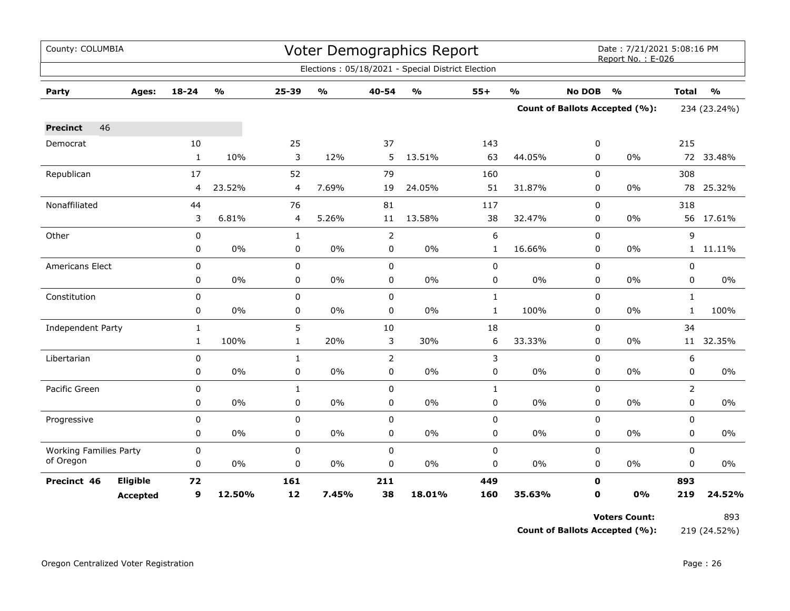| County: COLUMBIA              |                 |             |               |              |               |                | Voter Demographics Report                         |              |                         |               | Date: 7/21/2021 5:08:16 PM<br>Report No.: E-026 |                |                         |
|-------------------------------|-----------------|-------------|---------------|--------------|---------------|----------------|---------------------------------------------------|--------------|-------------------------|---------------|-------------------------------------------------|----------------|-------------------------|
|                               |                 |             |               |              |               |                | Elections: 05/18/2021 - Special District Election |              |                         |               |                                                 |                |                         |
| Party                         | Ages:           | $18 - 24$   | $\frac{0}{0}$ | 25-39        | $\frac{0}{0}$ | 40-54          | $\frac{0}{0}$                                     | $55+$        | $\mathbf{O}/\mathbf{o}$ | <b>No DOB</b> | $\frac{1}{2}$                                   | <b>Total</b>   | $\mathbf{O}/\mathbf{o}$ |
|                               |                 |             |               |              |               |                |                                                   |              |                         |               | Count of Ballots Accepted (%):                  |                | 234 (23.24%)            |
| 46<br><b>Precinct</b>         |                 |             |               |              |               |                |                                                   |              |                         |               |                                                 |                |                         |
| Democrat                      |                 | 10          |               | 25           |               | 37             |                                                   | 143          |                         | 0             |                                                 | 215            |                         |
|                               |                 | 1           | 10%           | 3            | 12%           | 5              | 13.51%                                            | 63           | 44.05%                  | 0             | 0%                                              |                | 72 33.48%               |
| Republican                    |                 | 17          |               | 52           |               | 79             |                                                   | 160          |                         | $\mathbf 0$   |                                                 | 308            |                         |
|                               |                 | 4           | 23.52%        | 4            | 7.69%         | 19             | 24.05%                                            | 51           | 31.87%                  | 0             | 0%                                              | 78             | 25.32%                  |
| Nonaffiliated                 |                 | 44          |               | 76           |               | 81             |                                                   | 117          |                         | 0             |                                                 | 318            |                         |
|                               |                 | 3           | 6.81%         | 4            | 5.26%         | 11             | 13.58%                                            | 38           | 32.47%                  | 0             | 0%                                              |                | 56 17.61%               |
| Other                         |                 | $\pmb{0}$   |               | $\mathbf{1}$ |               | $\overline{2}$ |                                                   | 6            |                         | $\mathbf 0$   |                                                 | 9              |                         |
|                               |                 | 0           | 0%            | 0            | 0%            | $\pmb{0}$      | 0%                                                | $\mathbf{1}$ | 16.66%                  | 0             | 0%                                              |                | 1 11.11%                |
| Americans Elect               |                 | $\pmb{0}$   |               | $\mathbf 0$  |               | $\mathbf 0$    |                                                   | $\pmb{0}$    |                         | 0             |                                                 | $\mathbf 0$    |                         |
|                               |                 | 0           | 0%            | 0            | 0%            | 0              | 0%                                                | $\pmb{0}$    | 0%                      | 0             | $0\%$                                           | 0              | $0\%$                   |
| Constitution                  |                 | $\mathbf 0$ |               | $\mathbf 0$  |               | $\mathbf 0$    |                                                   | $\mathbf{1}$ |                         | $\mathbf 0$   |                                                 | $\mathbf{1}$   |                         |
|                               |                 | 0           | 0%            | 0            | 0%            | $\pmb{0}$      | 0%                                                | $\mathbf 1$  | 100%                    | 0             | 0%                                              | $\mathbf{1}$   | 100%                    |
| <b>Independent Party</b>      |                 | 1           |               | 5            |               | 10             |                                                   | 18           |                         | $\mathbf 0$   |                                                 | 34             |                         |
|                               |                 | 1           | 100%          | $\mathbf{1}$ | 20%           | 3              | 30%                                               | 6            | 33.33%                  | 0             | 0%                                              |                | 11 32.35%               |
| Libertarian                   |                 | $\pmb{0}$   |               | $\mathbf{1}$ |               | 2              |                                                   | 3            |                         | $\mathbf 0$   |                                                 | 6              |                         |
|                               |                 | 0           | 0%            | 0            | 0%            | $\pmb{0}$      | $0\%$                                             | $\pmb{0}$    | 0%                      | 0             | $0\%$                                           | 0              | $0\%$                   |
| Pacific Green                 |                 | $\pmb{0}$   |               | $\mathbf{1}$ |               | $\mathbf 0$    |                                                   | $\mathbf{1}$ |                         | 0             |                                                 | $\overline{2}$ |                         |
|                               |                 | 0           | 0%            | 0            | 0%            | $\pmb{0}$      | 0%                                                | $\pmb{0}$    | 0%                      | 0             | 0%                                              | 0              | 0%                      |
| Progressive                   |                 | $\pmb{0}$   |               | $\mathbf 0$  |               | $\mathbf 0$    |                                                   | $\pmb{0}$    |                         | $\mathbf 0$   |                                                 | $\mathbf 0$    |                         |
|                               |                 | 0           | $0\%$         | 0            | 0%            | $\pmb{0}$      | $0\%$                                             | $\pmb{0}$    | 0%                      | 0             | $0\%$                                           | 0              | 0%                      |
| <b>Working Families Party</b> |                 | $\pmb{0}$   |               | $\mathbf 0$  |               | $\mathbf 0$    |                                                   | $\pmb{0}$    |                         | $\mathbf 0$   |                                                 | $\mathbf 0$    |                         |
| of Oregon                     |                 | 0           | 0%            | $\mathbf 0$  | 0%            | 0              | 0%                                                | $\pmb{0}$    | 0%                      | 0             | $0\%$                                           | 0              | 0%                      |
| Precinct 46                   | Eligible        | 72          |               | 161          |               | 211            |                                                   | 449          |                         | $\mathbf o$   |                                                 | 893            |                         |
|                               | <b>Accepted</b> | 9           | 12.50%        | 12           | 7.45%         | 38             | 18.01%                                            | 160          | 35.63%                  | O             | 0%                                              | 219            | 24.52%                  |

**Count of Ballots Accepted (%):** 219 (24.52%)

Voters Count: 893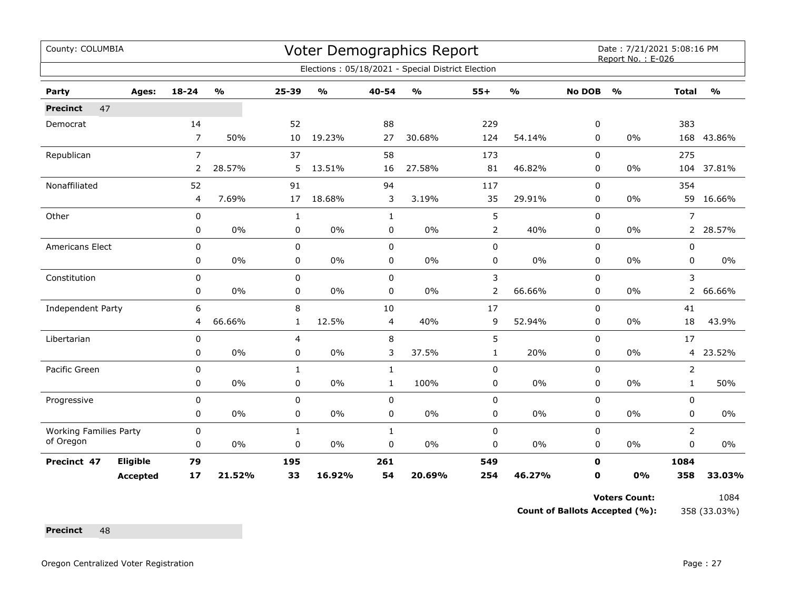| County: COLUMBIA              |                 |                |                         |              |                                   |                | Voter Demographics Report                         |                |                                   |               | Date: 7/21/2021 5:08:16 PM<br>Report No.: E-026 |                |               |
|-------------------------------|-----------------|----------------|-------------------------|--------------|-----------------------------------|----------------|---------------------------------------------------|----------------|-----------------------------------|---------------|-------------------------------------------------|----------------|---------------|
|                               |                 |                |                         |              |                                   |                | Elections: 05/18/2021 - Special District Election |                |                                   |               |                                                 |                |               |
| Party                         | Ages:           | $18 - 24$      | $\mathbf{O}/\mathbf{o}$ | 25-39        | $\mathsf{o}\mathsf{v}_\mathsf{o}$ | 40-54          | $\frac{0}{0}$                                     | $55+$          | $\mathsf{o}\mathsf{v}_\mathsf{o}$ | <b>No DOB</b> | $\frac{0}{0}$                                   | <b>Total</b>   | $\frac{1}{2}$ |
| 47<br><b>Precinct</b>         |                 |                |                         |              |                                   |                |                                                   |                |                                   |               |                                                 |                |               |
| Democrat                      |                 | 14             |                         | 52           |                                   | 88             |                                                   | 229            |                                   | 0             |                                                 | 383            |               |
|                               |                 | $\overline{7}$ | 50%                     | 10           | 19.23%                            | 27             | 30.68%                                            | 124            | 54.14%                            | $\Omega$      | 0%                                              | 168            | 43.86%        |
| Republican                    |                 | $\overline{7}$ |                         | 37           |                                   | 58             |                                                   | 173            |                                   | 0             |                                                 | 275            |               |
|                               |                 | $\mathbf{2}$   | 28.57%                  | 5            | 13.51%                            | 16             | 27.58%                                            | 81             | 46.82%                            | 0             | 0%                                              | 104            | 37.81%        |
| Nonaffiliated                 |                 | 52             |                         | 91           |                                   | 94             |                                                   | 117            |                                   | $\mathbf 0$   |                                                 | 354            |               |
|                               |                 | 4              | 7.69%                   | 17           | 18.68%                            | 3              | 3.19%                                             | 35             | 29.91%                            | 0             | 0%                                              |                | 59 16.66%     |
| Other                         |                 | $\mathbf 0$    |                         | $\mathbf{1}$ |                                   | $\mathbf{1}$   |                                                   | 5              |                                   | $\Omega$      |                                                 | $\overline{7}$ |               |
|                               |                 | 0              | 0%                      | 0            | $0\%$                             | 0              | $0\%$                                             | $\overline{2}$ | 40%                               | 0             | 0%                                              | $2^{\circ}$    | 28.57%        |
| <b>Americans Elect</b>        |                 | 0              |                         | $\mathsf 0$  |                                   | $\mathbf 0$    |                                                   | $\mathbf 0$    |                                   | 0             |                                                 | 0              |               |
|                               |                 | 0              | 0%                      | 0            | 0%                                | 0              | 0%                                                | 0              | $0\%$                             | 0             | 0%                                              | 0              | $0\%$         |
| Constitution                  |                 | 0              |                         | 0            |                                   | $\mathbf 0$    |                                                   | 3              |                                   | 0             |                                                 | 3              |               |
|                               |                 | 0              | 0%                      | 0            | 0%                                | 0              | 0%                                                | $\overline{2}$ | 66.66%                            | 0             | 0%                                              | $\overline{2}$ | 66.66%        |
| Independent Party             |                 | 6              |                         | 8            |                                   | 10             |                                                   | 17             |                                   | $\Omega$      |                                                 | 41             |               |
|                               |                 | 4              | 66.66%                  | $\mathbf{1}$ | 12.5%                             | $\overline{4}$ | 40%                                               | 9              | 52.94%                            | $\Omega$      | 0%                                              | 18             | 43.9%         |
| Libertarian                   |                 | $\mathbf 0$    |                         | 4            |                                   | 8              |                                                   | 5              |                                   | $\mathbf 0$   |                                                 | 17             |               |
|                               |                 | 0              | $0\%$                   | 0            | $0\%$                             | 3              | 37.5%                                             | $\mathbf{1}$   | 20%                               | 0             | 0%                                              | 4              | 23.52%        |
| Pacific Green                 |                 | $\mathbf 0$    |                         | 1            |                                   | $\mathbf{1}$   |                                                   | 0              |                                   | $\mathbf 0$   |                                                 | 2              |               |
|                               |                 | 0              | 0%                      | $\pmb{0}$    | 0%                                | $\mathbf{1}$   | 100%                                              | $\pmb{0}$      | $0\%$                             | 0             | 0%                                              | $\mathbf{1}$   | 50%           |
| Progressive                   |                 | $\mathbf 0$    |                         | $\mathbf 0$  |                                   | $\mathbf 0$    |                                                   | $\mathbf 0$    |                                   | $\mathbf 0$   |                                                 | $\overline{0}$ |               |
|                               |                 | 0              | 0%                      | $\pmb{0}$    | $0\%$                             | 0              | $0\%$                                             | 0              | 0%                                | 0             | 0%                                              | 0              | $0\%$         |
| <b>Working Families Party</b> |                 | 0              |                         | $\mathbf{1}$ |                                   | $\mathbf{1}$   |                                                   | $\pmb{0}$      |                                   | $\mathbf 0$   |                                                 | $\overline{2}$ |               |
| of Oregon                     |                 | 0              | $0\%$                   | 0            | 0%                                | 0              | $0\%$                                             | 0              | $0\%$                             | 0             | $0\%$                                           | 0              | 0%            |
| Precinct 47                   | <b>Eligible</b> | 79             |                         | 195          |                                   | 261            |                                                   | 549            |                                   | O             |                                                 | 1084           |               |
|                               | <b>Accepted</b> | 17             | 21.52%                  | 33           | 16.92%                            | 54             | 20.69%                                            | 254            | 46.27%                            | 0             | 0%                                              | 358            | 33.03%        |

Voters Count: 1084

**Count of Ballots Accepted (%):** 358 (33.03%)

Precinct 48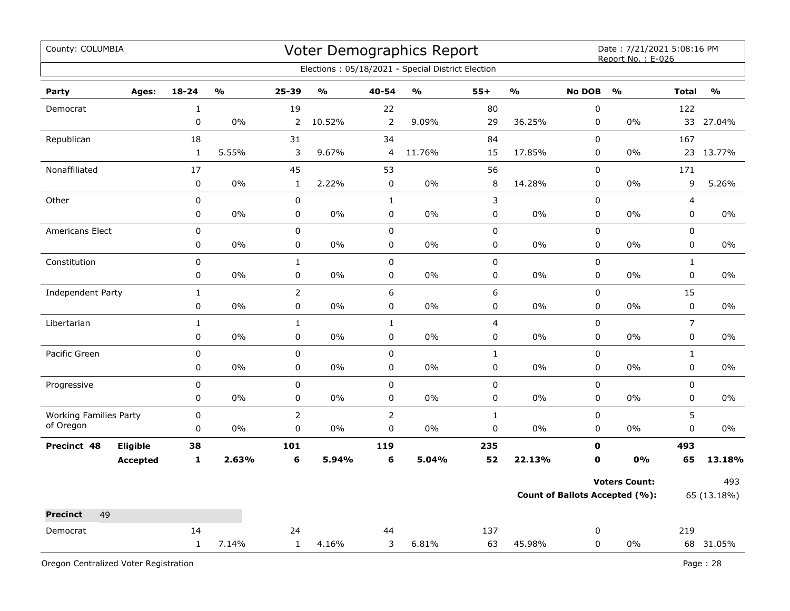| County: COLUMBIA              |                 |              |       |                |                         |                | Voter Demographics Report                         |                |                         |               | Date: 7/21/2021 5:08:16 PM<br>Report No.: E-026 |                         |               |
|-------------------------------|-----------------|--------------|-------|----------------|-------------------------|----------------|---------------------------------------------------|----------------|-------------------------|---------------|-------------------------------------------------|-------------------------|---------------|
|                               |                 |              |       |                |                         |                | Elections: 05/18/2021 - Special District Election |                |                         |               |                                                 |                         |               |
| Party                         | Ages:           | $18 - 24$    | %     | 25-39          | $\mathbf{0}/\mathbf{0}$ | 40-54          | $\mathbf{O}/\mathbf{o}$                           | $55+$          | $\mathbf{0}/\mathbf{0}$ | <b>No DOB</b> | $\frac{1}{2}$                                   | <b>Total</b>            | $\frac{0}{0}$ |
| Democrat                      |                 | $\mathbf 1$  |       | 19             |                         | 22             |                                                   | 80             |                         | $\pmb{0}$     |                                                 | 122                     |               |
|                               |                 | $\pmb{0}$    | $0\%$ | 2              | 10.52%                  | $\overline{2}$ | 9.09%                                             | 29             | 36.25%                  | 0             | 0%                                              | 33                      | 27.04%        |
| Republican                    |                 | 18           |       | 31             |                         | 34             |                                                   | 84             |                         | $\mathsf 0$   |                                                 | 167                     |               |
|                               |                 | $\mathbf 1$  | 5.55% | 3              | 9.67%                   | 4              | 11.76%                                            | 15             | 17.85%                  | $\pmb{0}$     | 0%                                              | 23                      | 13.77%        |
| Nonaffiliated                 |                 | 17           |       | 45             |                         | 53             |                                                   | 56             |                         | $\mathsf 0$   |                                                 | 171                     |               |
|                               |                 | $\pmb{0}$    | 0%    | $\mathbf{1}$   | 2.22%                   | $\mathbf 0$    | $0\%$                                             | 8              | 14.28%                  | $\pmb{0}$     | 0%                                              | 9                       | 5.26%         |
| Other                         |                 | 0            |       | $\pmb{0}$      |                         | $\mathbf{1}$   |                                                   | 3              |                         | $\mathsf 0$   |                                                 | $\overline{\mathbf{4}}$ |               |
|                               |                 | 0            | 0%    | $\pmb{0}$      | 0%                      | $\pmb{0}$      | 0%                                                | 0              | 0%                      | $\mathsf 0$   | $0\%$                                           | $\mathsf 0$             | 0%            |
| <b>Americans Elect</b>        |                 | 0            |       | $\mathbf 0$    |                         | $\mathbf 0$    |                                                   | $\mathsf 0$    |                         | $\mathbf 0$   |                                                 | $\mathbf 0$             |               |
|                               |                 | $\pmb{0}$    | 0%    | $\pmb{0}$      | 0%                      | $\pmb{0}$      | 0%                                                | $\pmb{0}$      | 0%                      | $\pmb{0}$     | 0%                                              | $\pmb{0}$               | $0\%$         |
| Constitution                  |                 | $\pmb{0}$    |       | $\mathbf 1$    |                         | $\pmb{0}$      |                                                   | $\pmb{0}$      |                         | $\pmb{0}$     |                                                 | $\mathbf 1$             |               |
|                               |                 | 0            | 0%    | $\pmb{0}$      | 0%                      | $\pmb{0}$      | 0%                                                | $\pmb{0}$      | $0\%$                   | $\mathbf 0$   | 0%                                              | $\pmb{0}$               | 0%            |
| <b>Independent Party</b>      |                 | $1\,$        |       | $\overline{2}$ |                         | 6              |                                                   | 6              |                         | $\mathsf 0$   |                                                 | 15                      |               |
|                               |                 | 0            | 0%    | $\pmb{0}$      | 0%                      | $\pmb{0}$      | 0%                                                | 0              | 0%                      | $\pmb{0}$     | 0%                                              | $\pmb{0}$               | 0%            |
| Libertarian                   |                 | $\mathbf{1}$ |       | $\mathbf{1}$   |                         | $\mathbf{1}$   |                                                   | $\overline{4}$ |                         | $\pmb{0}$     |                                                 | $\overline{7}$          |               |
|                               |                 | 0            | 0%    | $\pmb{0}$      | 0%                      | $\pmb{0}$      | 0%                                                | 0              | 0%                      | $\pmb{0}$     | 0%                                              | $\pmb{0}$               | $0\%$         |
| Pacific Green                 |                 | $\mathbf 0$  |       | $\mathbf 0$    |                         | $\mathbf 0$    |                                                   | $\mathbf{1}$   |                         | $\mathbf 0$   |                                                 | $\mathbf{1}$            |               |
|                               |                 | $\mathbf 0$  | 0%    | 0              | 0%                      | $\mathbf 0$    | 0%                                                | 0              | 0%                      | $\mathbf 0$   | 0%                                              | 0                       | $0\%$         |
| Progressive                   |                 | $\pmb{0}$    |       | $\pmb{0}$      |                         | $\pmb{0}$      |                                                   | $\pmb{0}$      |                         | $\pmb{0}$     |                                                 | $\pmb{0}$               |               |
|                               |                 | 0            | 0%    | $\pmb{0}$      | 0%                      | $\pmb{0}$      | 0%                                                | 0              | $0\%$                   | $\mathbf 0$   | $0\%$                                           | $\pmb{0}$               | 0%            |
| <b>Working Families Party</b> |                 | $\pmb{0}$    |       | $\overline{2}$ |                         | $\overline{2}$ |                                                   | $\mathbf{1}$   |                         | $\mathsf 0$   |                                                 | 5                       |               |
| of Oregon                     |                 | 0            | 0%    | $\pmb{0}$      | 0%                      | $\pmb{0}$      | 0%                                                | $\pmb{0}$      | 0%                      | $\mathsf 0$   | 0%                                              | $\pmb{0}$               | 0%            |
| Precinct 48                   | Eligible        | 38           |       | 101            |                         | 119            |                                                   | 235            |                         | $\mathbf 0$   |                                                 | 493                     |               |
|                               | <b>Accepted</b> | $\mathbf{1}$ | 2.63% | 6              | 5.94%                   | 6              | 5.04%                                             | 52             | 22.13%                  | $\mathbf 0$   | 0%                                              | 65                      | 13.18%        |
|                               |                 |              |       |                |                         |                |                                                   |                |                         |               | <b>Voters Count:</b>                            |                         | 493           |
|                               |                 |              |       |                |                         |                |                                                   |                |                         |               | Count of Ballots Accepted (%):                  |                         | 65 (13.18%)   |
| 49<br><b>Precinct</b>         |                 |              |       |                |                         |                |                                                   |                |                         |               |                                                 |                         |               |
| Democrat                      |                 | 14           |       | 24             |                         | 44             |                                                   | 137            |                         | 0             |                                                 | 219                     |               |
|                               |                 | $\mathbf{1}$ | 7.14% | $\mathbf{1}$   | 4.16%                   | 3              | 6.81%                                             | 63             | 45.98%                  | 0             | 0%                                              |                         | 68 31.05%     |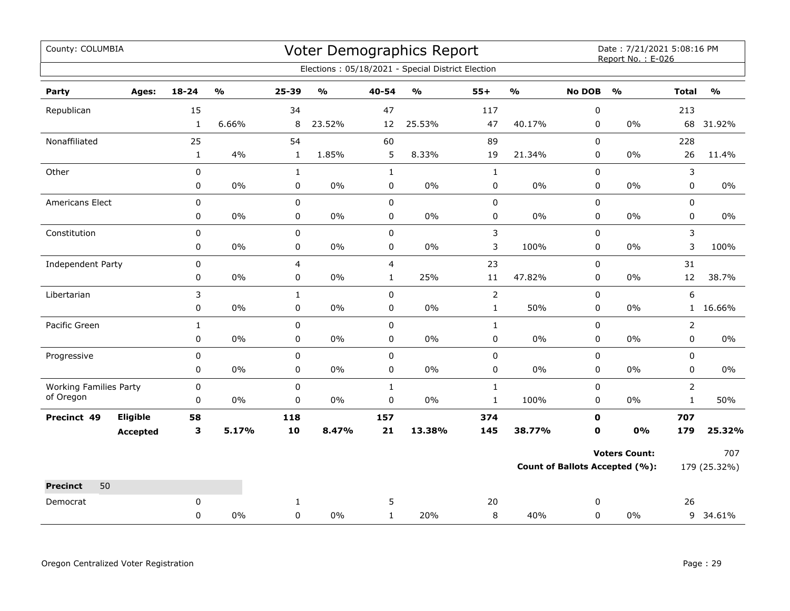| Voter Demographics Report<br>County: COLUMBIA |                 |              |                         |                |                         |              |                                                   |              |               | Date: 7/21/2021 5:08:16 PM<br>Report No.: E-026 |                                       |                |               |  |
|-----------------------------------------------|-----------------|--------------|-------------------------|----------------|-------------------------|--------------|---------------------------------------------------|--------------|---------------|-------------------------------------------------|---------------------------------------|----------------|---------------|--|
|                                               |                 |              |                         |                |                         |              | Elections: 05/18/2021 - Special District Election |              |               |                                                 |                                       |                |               |  |
| Party                                         | Ages:           | $18 - 24$    | $\mathbf{O}/\mathbf{o}$ | 25-39          | $\mathbf{0}/\mathbf{0}$ | 40-54        | $\mathbf{0}/\mathbf{0}$                           | $55+$        | $\frac{9}{6}$ | <b>No DOB</b>                                   | $\frac{0}{0}$                         | <b>Total</b>   | $\frac{9}{0}$ |  |
| Republican                                    |                 | 15           |                         | 34             |                         | 47           |                                                   | 117          |               | 0                                               |                                       | 213            |               |  |
|                                               |                 | $\mathbf{1}$ | 6.66%                   | 8              | 23.52%                  | 12           | 25.53%                                            | 47           | 40.17%        | 0                                               | $0\%$                                 | 68             | 31.92%        |  |
| Nonaffiliated                                 |                 | 25           |                         | 54             |                         | 60           |                                                   | 89           |               | 0                                               |                                       | 228            |               |  |
|                                               |                 | $\mathbf{1}$ | 4%                      | $\mathbf{1}$   | 1.85%                   | 5            | 8.33%                                             | 19           | 21.34%        | 0                                               | 0%                                    | 26             | 11.4%         |  |
| Other                                         |                 | 0            |                         | $\mathbf{1}$   |                         | $\mathbf{1}$ |                                                   | $\mathbf{1}$ |               | 0                                               |                                       | 3              |               |  |
|                                               |                 | 0            | 0%                      | $\pmb{0}$      | 0%                      | 0            | $0\%$                                             | 0            | 0%            | 0                                               | $0\%$                                 | 0              | $0\%$         |  |
| Americans Elect                               |                 | 0            |                         | $\pmb{0}$      |                         | 0            |                                                   | 0            |               | 0                                               |                                       | 0              |               |  |
|                                               |                 | 0            | 0%                      | 0              | $0\%$                   | 0            | $0\%$                                             | 0            | $0\%$         | 0                                               | 0%                                    | 0              | $0\%$         |  |
| Constitution                                  |                 | $\pmb{0}$    |                         | $\pmb{0}$      |                         | 0            |                                                   | 3            |               | 0                                               |                                       | 3              |               |  |
|                                               |                 | 0            | $0\%$                   | $\pmb{0}$      | $0\%$                   | $\mathbf 0$  | $0\%$                                             | 3            | 100%          | 0                                               | $0\%$                                 | 3              | 100%          |  |
| Independent Party                             |                 | 0            |                         | $\overline{4}$ |                         | 4            |                                                   | 23           |               | $\mathbf 0$                                     |                                       | 31             |               |  |
|                                               |                 | 0            | 0%                      | $\pmb{0}$      | $0\%$                   | $\mathbf{1}$ | 25%                                               | $11\,$       | 47.82%        | 0                                               | $0\%$                                 | 12             | 38.7%         |  |
| Libertarian                                   |                 | 3            |                         | $\mathbf{1}$   |                         | 0            |                                                   | $\mathbf 2$  |               | 0                                               |                                       | 6              |               |  |
|                                               |                 | 0            | 0%                      | 0              | $0\%$                   | 0            | $0\%$                                             | $\mathbf{1}$ | 50%           | 0                                               | 0%                                    | $\mathbf{1}$   | 16.66%        |  |
| Pacific Green                                 |                 | $\mathbf{1}$ |                         | $\pmb{0}$      |                         | 0            |                                                   | $\mathbf{1}$ |               | 0                                               |                                       | $\overline{2}$ |               |  |
|                                               |                 | 0            | 0%                      | 0              | 0%                      | 0            | 0%                                                | 0            | $0\%$         | 0                                               | $0\%$                                 | 0              | 0%            |  |
| Progressive                                   |                 | 0            |                         | $\pmb{0}$      |                         | $\pmb{0}$    |                                                   | 0            |               | 0                                               |                                       | 0              |               |  |
|                                               |                 | 0            | 0%                      | 0              | 0%                      | 0            | 0%                                                | 0            | $0\%$         | 0                                               | 0%                                    | 0              | $0\%$         |  |
| <b>Working Families Party</b><br>of Oregon    |                 | $\pmb{0}$    |                         | $\pmb{0}$      |                         | $\mathbf{1}$ |                                                   | $\mathbf 1$  |               | 0                                               |                                       | $\overline{2}$ |               |  |
|                                               |                 | 0            | 0%                      | $\mathbf 0$    | $0\%$                   | $\pmb{0}$    | 0%                                                | $\mathbf 1$  | 100%          | 0                                               | $0\%$                                 | $\mathbf{1}$   | 50%           |  |
| Precinct 49                                   | Eligible        | 58           |                         | 118            |                         | 157          |                                                   | 374          |               | 0                                               |                                       | 707            |               |  |
|                                               | <b>Accepted</b> | 3            | 5.17%                   | 10             | 8.47%                   | 21           | 13.38%                                            | 145          | 38.77%        | 0                                               | 0%                                    | 179            | 25.32%        |  |
|                                               |                 |              |                         |                |                         |              |                                                   |              |               |                                                 | <b>Voters Count:</b>                  |                | 707           |  |
|                                               |                 |              |                         |                |                         |              |                                                   |              |               |                                                 | <b>Count of Ballots Accepted (%):</b> |                | 179 (25.32%)  |  |
| 50<br><b>Precinct</b>                         |                 |              |                         |                |                         |              |                                                   |              |               |                                                 |                                       |                |               |  |
| Democrat                                      |                 | 0            |                         | 1              |                         | 5            |                                                   | 20           |               | 0                                               |                                       | 26             |               |  |
|                                               |                 | 0            | 0%                      | $\mathbf 0$    | $0\%$                   | $\mathbf{1}$ | 20%                                               | 8            | 40%           | 0                                               | 0%                                    |                | 9 34.61%      |  |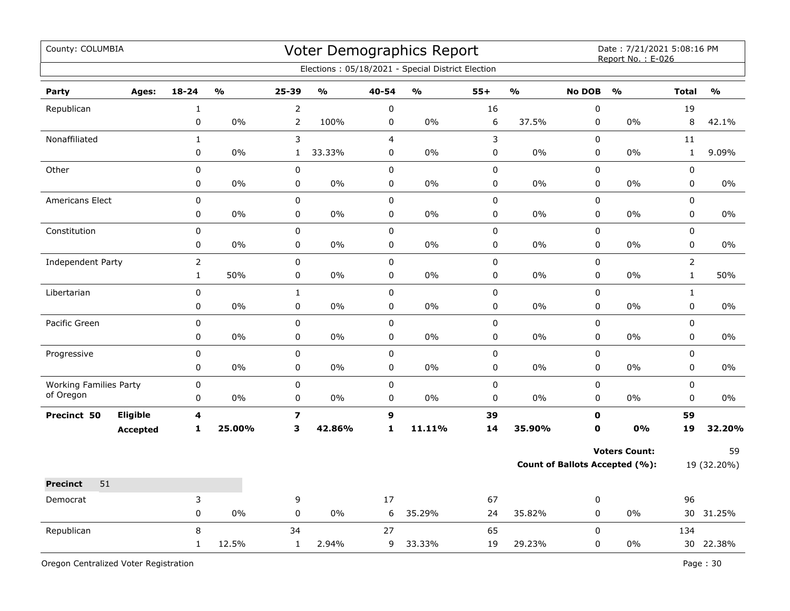| County: COLUMBIA              |                 |                |                         |                         |                                   |                | Voter Demographics Report<br>Elections: 05/18/2021 - Special District Election |             |                         |                                | Date: 7/21/2021 5:08:16 PM<br>Report No.: E-026 |                |               |
|-------------------------------|-----------------|----------------|-------------------------|-------------------------|-----------------------------------|----------------|--------------------------------------------------------------------------------|-------------|-------------------------|--------------------------------|-------------------------------------------------|----------------|---------------|
|                               |                 |                |                         |                         |                                   |                |                                                                                |             |                         |                                |                                                 |                |               |
| Party                         | Ages:           | $18 - 24$      | $\mathbf{0}/\mathbf{0}$ | 25-39                   | $\mathsf{o}\mathsf{v}_\mathsf{o}$ | 40-54          | $\frac{1}{2}$                                                                  | $55+$       | $\mathbf{O}/\mathbf{O}$ | <b>No DOB</b>                  | $\frac{1}{2}$                                   | <b>Total</b>   | $\frac{0}{0}$ |
| Republican                    |                 | $\mathbf 1$    |                         | $\overline{2}$          |                                   | $\pmb{0}$      |                                                                                | 16          |                         | $\pmb{0}$                      |                                                 | 19             |               |
|                               |                 | 0              | 0%                      | $\overline{2}$          | 100%                              | $\pmb{0}$      | $0\%$                                                                          | 6           | 37.5%                   | $\mathsf 0$                    | $0\%$                                           | 8              | 42.1%         |
| Nonaffiliated                 |                 | $\mathbf{1}$   |                         | 3                       |                                   | $\overline{4}$ |                                                                                | 3           |                         | $\mathbf 0$                    |                                                 | 11             |               |
|                               |                 | 0              | 0%                      | $\mathbf{1}$            | 33.33%                            | $\mathbf 0$    | 0%                                                                             | $\pmb{0}$   | 0%                      | $\pmb{0}$                      | 0%                                              | $\mathbf 1$    | 9.09%         |
| Other                         |                 | 0              |                         | 0                       |                                   | $\pmb{0}$      |                                                                                | $\mathsf 0$ |                         | $\mathbf 0$                    |                                                 | 0              |               |
|                               |                 | 0              | 0%                      | $\pmb{0}$               | 0%                                | 0              | 0%                                                                             | 0           | 0%                      | $\pmb{0}$                      | 0%                                              | $\pmb{0}$      | 0%            |
| <b>Americans Elect</b>        |                 | 0              |                         | $\mathbf 0$             |                                   | $\mathbf 0$    |                                                                                | $\mathbf 0$ |                         | $\mathbf 0$                    |                                                 | $\mathbf 0$    |               |
|                               |                 | 0              | 0%                      | $\pmb{0}$               | 0%                                | $\pmb{0}$      | 0%                                                                             | 0           | 0%                      | $\mathsf 0$                    | 0%                                              | $\mathbf 0$    | 0%            |
| Constitution                  |                 | $\pmb{0}$      |                         | $\pmb{0}$               |                                   | $\mathbf 0$    |                                                                                | $\pmb{0}$   |                         | $\pmb{0}$                      |                                                 | $\pmb{0}$      |               |
|                               |                 | 0              | $0\%$                   | 0                       | 0%                                | 0              | 0%                                                                             | 0           | 0%                      | 0                              | $0\%$                                           | 0              | $0\%$         |
| Independent Party             |                 | $\overline{2}$ |                         | $\mathbf 0$             |                                   | $\mathbf 0$    |                                                                                | 0           |                         | $\mathbf 0$                    |                                                 | $\overline{2}$ |               |
|                               |                 | $\mathbf{1}$   | 50%                     | $\pmb{0}$               | 0%                                | 0              | 0%                                                                             | 0           | 0%                      | $\mathsf 0$                    | 0%                                              | $\mathbf{1}$   | 50%           |
| Libertarian                   |                 | $\mathbf 0$    |                         | $\mathbf{1}$            |                                   | $\mathsf 0$    |                                                                                | 0           |                         | $\mathbf 0$                    |                                                 | $\mathbf{1}$   |               |
|                               |                 | $\pmb{0}$      | 0%                      | $\pmb{0}$               | $0\%$                             | $\pmb{0}$      | 0%                                                                             | 0           | 0%                      | $\mathsf 0$                    | 0%                                              | $\pmb{0}$      | 0%            |
| Pacific Green                 |                 | $\mathbf 0$    |                         | $\mathsf 0$             |                                   | $\mathsf 0$    |                                                                                | $\pmb{0}$   |                         | $\mathbf 0$                    |                                                 | $\pmb{0}$      |               |
|                               |                 | $\mathbf 0$    | 0%                      | 0                       | 0%                                | $\mathbf 0$    | 0%                                                                             | 0           | 0%                      | $\mathbf 0$                    | $0\%$                                           | $\mathbf 0$    | $0\%$         |
| Progressive                   |                 | 0              |                         | 0                       |                                   | $\mathbf 0$    |                                                                                | 0           |                         | $\mathsf 0$                    |                                                 | $\mathsf 0$    |               |
|                               |                 | 0              | 0%                      | 0                       | 0%                                | $\mathbf 0$    | 0%                                                                             | $\pmb{0}$   | $0\%$                   | $\mathbf 0$                    | $0\%$                                           | $\mathbf 0$    | 0%            |
| <b>Working Families Party</b> |                 | 0              |                         | $\pmb{0}$               |                                   | $\pmb{0}$      |                                                                                | $\pmb{0}$   |                         | $\pmb{0}$                      |                                                 | $\pmb{0}$      |               |
| of Oregon                     |                 | 0              | 0%                      | 0                       | 0%                                | 0              | 0%                                                                             | 0           | $0\%$                   | $\mathbf 0$                    | $0\%$                                           | $\mathbf 0$    | 0%            |
| Precinct 50                   | <b>Eligible</b> | 4              |                         | $\overline{\mathbf{z}}$ |                                   | $\mathbf{9}$   |                                                                                | 39          |                         | 0                              |                                                 | 59             |               |
|                               | <b>Accepted</b> | 1              | 25.00%                  | 3                       | 42.86%                            | $\mathbf{1}$   | 11.11%                                                                         | 14          | 35.90%                  | $\mathbf{0}$                   | 0%                                              | 19             | 32.20%        |
|                               |                 |                |                         |                         |                                   |                |                                                                                |             |                         |                                | <b>Voters Count:</b>                            |                | 59            |
|                               |                 |                |                         |                         |                                   |                |                                                                                |             |                         | Count of Ballots Accepted (%): |                                                 |                | 19 (32.20%)   |
| 51<br><b>Precinct</b>         |                 |                |                         |                         |                                   |                |                                                                                |             |                         |                                |                                                 |                |               |
| Democrat                      |                 | 3              |                         | 9                       |                                   | 17             |                                                                                | 67          |                         | $\pmb{0}$                      |                                                 | 96             |               |
|                               |                 | $\pmb{0}$      | 0%                      | $\pmb{0}$               | 0%                                | 6              | 35.29%                                                                         | 24          | 35.82%                  | 0                              | 0%                                              |                | 30 31.25%     |
| Republican                    |                 | 8              |                         | 34                      |                                   | 27             |                                                                                | 65          |                         | $\mathsf 0$                    |                                                 | 134            |               |
|                               |                 | $\mathbf{1}$   | 12.5%                   | $\mathbf{1}$            | 2.94%                             | 9              | 33.33%                                                                         | 19          | 29.23%                  | $\pmb{0}$                      | 0%                                              |                | 30 22.38%     |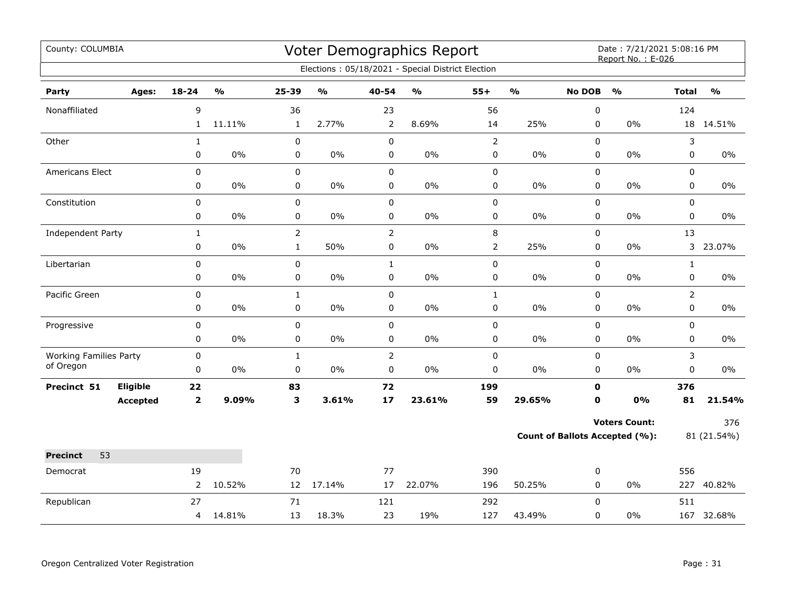| County: COLUMBIA              |                 |                         |                         |                |               |                | Voter Demographics Report                         |                |               |               | Date: 7/21/2021 5:08:16 PM<br>Report No.: E-026 |                |               |
|-------------------------------|-----------------|-------------------------|-------------------------|----------------|---------------|----------------|---------------------------------------------------|----------------|---------------|---------------|-------------------------------------------------|----------------|---------------|
|                               |                 |                         |                         |                |               |                | Elections: 05/18/2021 - Special District Election |                |               |               |                                                 |                |               |
| Party                         | Ages:           | 18-24                   | $\mathbf{O}/\mathbf{o}$ | 25-39          | $\frac{1}{2}$ | $40 - 54$      | $\mathsf{o}\mathsf{v}_\mathsf{o}$                 | $55+$          | $\frac{0}{0}$ | <b>No DOB</b> | $\frac{1}{2}$                                   | <b>Total</b>   | $\frac{9}{0}$ |
| Nonaffiliated                 |                 | 9                       |                         | 36             |               | 23             |                                                   | 56             |               | 0             |                                                 | 124            |               |
|                               |                 | $\mathbf{1}$            | 11.11%                  | $\mathbf{1}$   | 2.77%         | 2              | 8.69%                                             | 14             | 25%           | 0             | $0\%$                                           |                | 18 14.51%     |
| Other                         |                 | $\mathbf{1}$            |                         | $\pmb{0}$      |               | $\pmb{0}$      |                                                   | $\overline{2}$ |               | 0             |                                                 | 3              |               |
|                               |                 | 0                       | $0\%$                   | $\pmb{0}$      | 0%            | 0              | $0\%$                                             | $\pmb{0}$      | 0%            | 0             | 0%                                              | 0              | $0\%$         |
| Americans Elect               |                 | 0                       |                         | $\pmb{0}$      |               | $\mathbf 0$    |                                                   | $\pmb{0}$      |               | 0             |                                                 | 0              |               |
|                               |                 | 0                       | $0\%$                   | 0              | $0\%$         | $\pmb{0}$      | $0\%$                                             | $\pmb{0}$      | 0%            | 0             | $0\%$                                           | 0              | 0%            |
| Constitution                  |                 | 0                       |                         | $\mathbf 0$    |               | $\mathbf 0$    |                                                   | $\mathbf 0$    |               | 0             |                                                 | 0              |               |
|                               |                 | 0                       | 0%                      | 0              | $0\%$         | 0              | 0%                                                | 0              | 0%            | $\mathbf 0$   | $0\%$                                           | $\mathbf 0$    | $0\%$         |
| Independent Party             |                 | $\mathbf{1}$            |                         | $\overline{2}$ |               | $\mathbf 2$    |                                                   | $\,8\,$        |               | 0             |                                                 | 13             |               |
|                               |                 | 0                       | $0\%$                   | $\mathbf{1}$   | 50%           | $\pmb{0}$      | $0\%$                                             | $\overline{2}$ | 25%           | 0             | $0\%$                                           | 3              | 23.07%        |
| Libertarian                   |                 | 0                       |                         | $\pmb{0}$      |               | $\mathbf{1}$   |                                                   | $\pmb{0}$      |               | 0             |                                                 | $\mathbf{1}$   |               |
|                               |                 | 0                       | $0\%$                   | 0              | $0\%$         | $\pmb{0}$      | $0\%$                                             | $\pmb{0}$      | 0%            | 0             | $0\%$                                           | $\pmb{0}$      | $0\%$         |
| Pacific Green                 |                 | 0                       |                         | $\mathbf{1}$   |               | $\mathbf 0$    |                                                   | $\mathbf{1}$   |               | 0             |                                                 | $\overline{2}$ |               |
|                               |                 | 0                       | 0%                      | 0              | 0%            | $\mathbf 0$    | 0%                                                | 0              | 0%            | 0             | $0\%$                                           | 0              | $0\%$         |
| Progressive                   |                 | 0                       |                         | $\pmb{0}$      |               | $\pmb{0}$      |                                                   | $\pmb{0}$      |               | 0             |                                                 | 0              |               |
|                               |                 | 0                       | 0%                      | 0              | $0\%$         | 0              | $0\%$                                             | 0              | $0\%$         | 0             | $0\%$                                           | 0              | 0%            |
| <b>Working Families Party</b> |                 | 0                       |                         | $\mathbf{1}$   |               | $\overline{2}$ |                                                   | $\mathbf 0$    |               | 0             |                                                 | 3              |               |
| of Oregon                     |                 | 0                       | $0\%$                   | $\mathbf 0$    | 0%            | $\mathbf 0$    | $0\%$                                             | 0              | 0%            | 0             | 0%                                              | 0              | $0\%$         |
| Precinct 51                   | Eligible        | 22                      |                         | 83             |               | 72             |                                                   | 199            |               | $\mathbf 0$   |                                                 | 376            |               |
|                               | <b>Accepted</b> | $\overline{\mathbf{2}}$ | 9.09%                   | $\mathbf{3}$   | 3.61%         | 17             | 23.61%                                            | 59             | 29.65%        | 0             | 0%                                              | 81             | 21.54%        |
|                               |                 |                         |                         |                |               |                |                                                   |                |               |               | <b>Voters Count:</b>                            |                | 376           |
|                               |                 |                         |                         |                |               |                |                                                   |                |               |               | Count of Ballots Accepted (%):                  |                | 81 (21.54%)   |
| 53<br><b>Precinct</b>         |                 |                         |                         |                |               |                |                                                   |                |               |               |                                                 |                |               |
| Democrat                      |                 | 19                      |                         | 70             |               | 77             |                                                   | 390            |               | 0             |                                                 | 556            |               |
|                               |                 | $\overline{2}$          | 10.52%                  | 12             | 17.14%        | 17             | 22.07%                                            | 196            | 50.25%        | 0             | $0\%$                                           |                | 227 40.82%    |
| Republican                    |                 | 27                      |                         | 71             |               | 121            |                                                   | 292            |               | 0             |                                                 | 511            |               |
|                               |                 | $4 \overline{ }$        | 14.81%                  | 13             | 18.3%         | 23             | 19%                                               | 127            | 43.49%        | 0             | $0\%$                                           |                | 167 32.68%    |